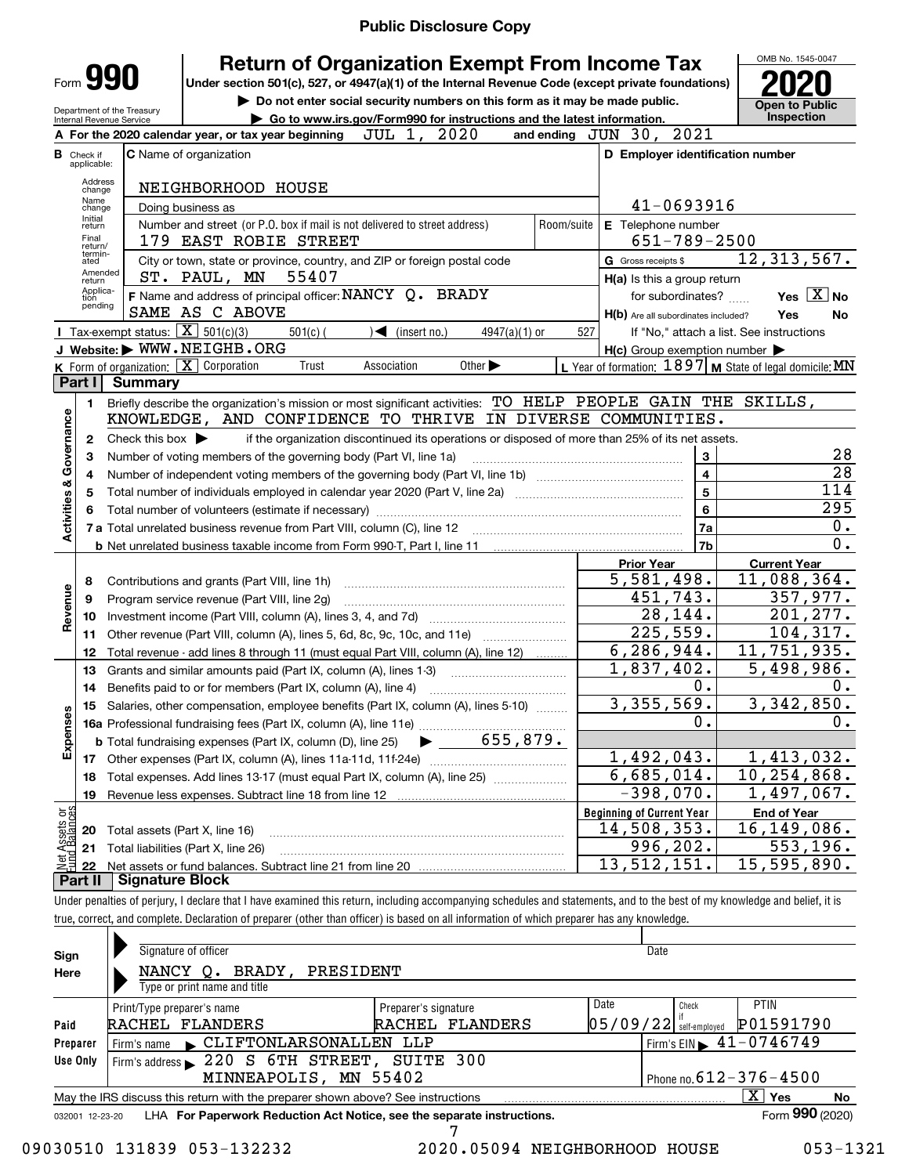| Form |  |
|------|--|

# **Return of Organization Exempt From Income Tax**

**Under section 501(c), 527, or 4947(a)(1) of the Internal Revenue Code (except private foundations) 2020**

Department of the Treasury Internal Revenue Service

**| Do not enter social security numbers on this form as it may be made public.**



|              |                                  | venarunent or the freasur<br>Internal Revenue Service | Go to www.irs.gov/Form990 for instructions and the latest information.                                                                                                     |                                                           | Inspection                                        |
|--------------|----------------------------------|-------------------------------------------------------|----------------------------------------------------------------------------------------------------------------------------------------------------------------------------|-----------------------------------------------------------|---------------------------------------------------|
|              |                                  |                                                       | 2020<br>JUL<br>1.<br>and ending<br>A For the 2020 calendar year, or tax year beginning                                                                                     | JUN<br>30,<br>2021                                        |                                                   |
|              | <b>B</b> Check if<br>applicable: |                                                       | <b>C</b> Name of organization                                                                                                                                              | D Employer identification number                          |                                                   |
|              | Address<br>change                |                                                       | NEIGHBORHOOD HOUSE                                                                                                                                                         |                                                           |                                                   |
|              | Name<br>change                   |                                                       | Doing business as                                                                                                                                                          | 41-0693916                                                |                                                   |
|              | Initial<br>return                |                                                       | Number and street (or P.O. box if mail is not delivered to street address)<br>Room/suite                                                                                   | E Telephone number                                        |                                                   |
|              | Final<br>return/                 |                                                       | 179 EAST ROBIE STREET                                                                                                                                                      | $651 - 789 - 2500$                                        |                                                   |
|              | termin-<br>ated                  |                                                       | City or town, state or province, country, and ZIP or foreign postal code                                                                                                   | G Gross receipts \$                                       | 12, 313, 567.                                     |
|              | Amended<br>return                |                                                       | 55407<br>ST. PAUL, MN                                                                                                                                                      | $H(a)$ is this a group return                             |                                                   |
|              | Applica-<br>tion                 |                                                       | F Name and address of principal officer: NANCY Q. BRADY                                                                                                                    | for subordinates?                                         | Yes $X $ No                                       |
|              | pending                          |                                                       | SAME AS C ABOVE                                                                                                                                                            | H(b) Are all subordinates included?                       | Yes<br><b>No</b>                                  |
|              |                                  | Tax-exempt status: $\boxed{\mathbf{X}}$ 501(c)(3)     | $)\blacktriangleleft$ (insert no.)<br>$4947(a)(1)$ or<br>$501(c)$ (                                                                                                        | 527                                                       | If "No," attach a list. See instructions          |
|              |                                  |                                                       | J Website: WWW.NEIGHB.ORG                                                                                                                                                  | $H(c)$ Group exemption number $\blacktriangleright$       |                                                   |
|              |                                  |                                                       | K Form of organization: $\boxed{\mathbf{X}}$ Corporation<br>Other $\blacktriangleright$<br>Trust<br>Association                                                            | L Year of formation: $1897$ M State of legal domicile: MN |                                                   |
|              | Part $\vert \vert$               | <b>Summary</b>                                        |                                                                                                                                                                            |                                                           |                                                   |
|              | $\blacksquare$                   |                                                       | Briefly describe the organization's mission or most significant activities: TO_HELP_PEOPLE_GAIN_THE_SKILLS,<br>KNOWLEDGE, AND CONFIDENCE TO THRIVE IN DIVERSE COMMUNITIES. |                                                           |                                                   |
| Governance   |                                  |                                                       |                                                                                                                                                                            |                                                           |                                                   |
|              | $\mathbf{2}$                     | Check this box $\blacktriangleright$                  | if the organization discontinued its operations or disposed of more than 25% of its net assets.                                                                            | 3                                                         | 28                                                |
|              | з<br>4                           |                                                       | Number of voting members of the governing body (Part VI, line 1a)                                                                                                          | $\overline{\mathbf{4}}$                                   | $\overline{28}$                                   |
|              | 5                                |                                                       |                                                                                                                                                                            | 5                                                         | 114                                               |
|              | 6                                |                                                       |                                                                                                                                                                            | 6                                                         | 295                                               |
| Activities & |                                  |                                                       | 7 a Total unrelated business revenue from Part VIII, column (C), line 12                                                                                                   | 7a                                                        | 0.                                                |
|              |                                  |                                                       | <b>b</b> Net unrelated business taxable income from Form 990-T, Part I, line 11                                                                                            | 7b                                                        | 0.                                                |
|              |                                  |                                                       |                                                                                                                                                                            | <b>Prior Year</b>                                         | <b>Current Year</b>                               |
|              | 8                                |                                                       | Contributions and grants (Part VIII, line 1h)                                                                                                                              | 5,581,498.                                                | 11,088,364.                                       |
|              | 9                                |                                                       | Program service revenue (Part VIII, line 2g)                                                                                                                               | 451,743.                                                  | 357,977.                                          |
| Revenue      | 10                               |                                                       | Investment income (Part VIII, column (A), lines 3, 4, and 7d)                                                                                                              | 28, 144.                                                  | 201, 277.                                         |
|              | 11                               |                                                       |                                                                                                                                                                            | $\overline{225}$ , 559.                                   | 104, 317.                                         |
|              | 12                               |                                                       | Total revenue - add lines 8 through 11 (must equal Part VIII, column (A), line 12)                                                                                         | 6, 286, 944.                                              | 11,751,935.                                       |
|              | 13                               |                                                       | Grants and similar amounts paid (Part IX, column (A), lines 1-3) <i></i>                                                                                                   | 1,837,402.                                                | 5,498,986.                                        |
|              | 14                               |                                                       | Benefits paid to or for members (Part IX, column (A), line 4)                                                                                                              | о.                                                        | 0.                                                |
|              | 15                               |                                                       | Salaries, other compensation, employee benefits (Part IX, column (A), lines 5-10)                                                                                          | 3,355,569.                                                | 3,342,850.                                        |
| Expenses     |                                  |                                                       | 16a Professional fundraising fees (Part IX, column (A), line 11e)                                                                                                          | Ο.                                                        | 0.                                                |
|              |                                  |                                                       | $\blacktriangleright$ 655,879.<br><b>b</b> Total fundraising expenses (Part IX, column (D), line 25)                                                                       |                                                           |                                                   |
|              |                                  |                                                       |                                                                                                                                                                            | 1,492,043.                                                | 1,413,032.                                        |
|              | 18                               |                                                       | Total expenses. Add lines 13-17 (must equal Part IX, column (A), line 25) <i>manameron</i>                                                                                 | 6,685,014.                                                | 10,254,868.                                       |
|              | 19                               |                                                       |                                                                                                                                                                            | $-398,070.$                                               | $\overline{1,497},067.$                           |
| äğ           |                                  |                                                       |                                                                                                                                                                            | <b>Beginning of Current Year</b>                          | <b>End of Year</b><br>$\overline{16}$ , 149, 086. |
|              | 20                               |                                                       | Total assets (Part X, line 16)                                                                                                                                             | 14,508,353.<br>996,202.                                   | $\overline{553}, 196.$                            |
|              | 21                               |                                                       | Total liabilities (Part X, line 26)                                                                                                                                        | 13, 512, 151.                                             | 15, 595, 890.                                     |
|              | 22<br>Part II                    | <b>Signature Block</b>                                |                                                                                                                                                                            |                                                           |                                                   |

Under penalties of perjury, I declare that I have examined this return, including accompanying schedules and statements, and to the best of my knowledge and belief, it is true, correct, and complete. Declaration of preparer (other than officer) is based on all information of which preparer has any knowledge.

| Sign<br>Here    | Signature of officer<br>NANCY Q. BRADY, PRESIDENT<br>Type or print name and title |                      | Date     |               |                                             |    |
|-----------------|-----------------------------------------------------------------------------------|----------------------|----------|---------------|---------------------------------------------|----|
|                 | Print/Type preparer's name                                                        | Preparer's signature | Date     | Check         | PTIN                                        |    |
| Paid            | RACHEL FLANDERS                                                                   | RACHEL FLANDERS      | 05/09/22 | self-emploved | P01591790                                   |    |
| Preparer        | Firm's name CLIFTONLARSONALLEN LLP                                                |                      |          |               | Firm's EIN $\blacktriangleright$ 41-0746749 |    |
| Use Only        | Firm's address 220 S 6TH STREET, SUITE 300                                        |                      |          |               |                                             |    |
|                 | MINNEAPOLIS, MN 55402                                                             |                      |          |               | Phone no. $612 - 376 - 4500$                |    |
|                 | May the IRS discuss this return with the preparer shown above? See instructions   |                      |          |               | $\mathbf{x}$<br>Yes                         | No |
| 032001 12-23-20 | LHA For Paperwork Reduction Act Notice, see the separate instructions.            |                      |          |               | Form 990 (2020)                             |    |

09030510 131839 053-132232 2020.05094 NEIGHBORHOOD HOUSE 053-1321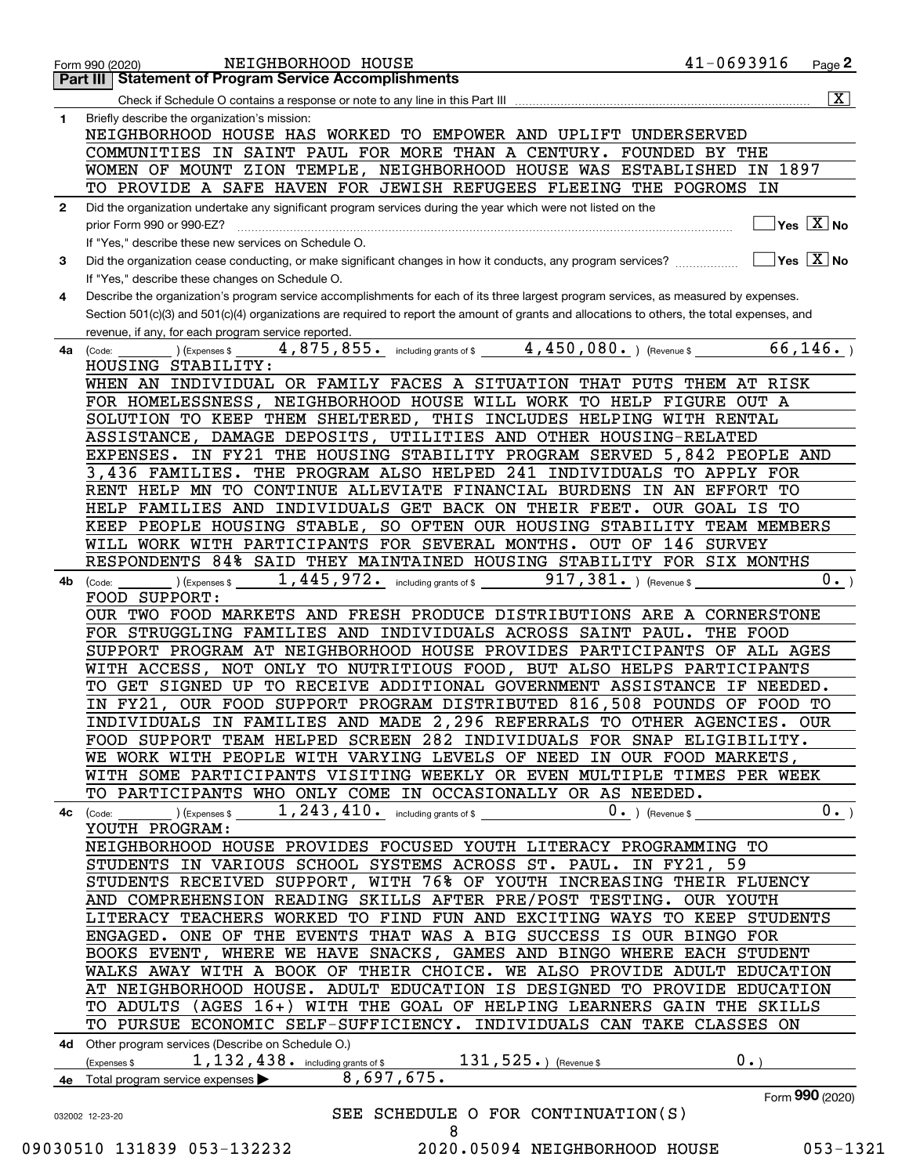|              | NEIGHBORHOOD HOUSE<br>Form 990 (2020)                                                                                                        | 41-0693916 | Page 2                                           |
|--------------|----------------------------------------------------------------------------------------------------------------------------------------------|------------|--------------------------------------------------|
|              | <b>Statement of Program Service Accomplishments</b><br>Part III I                                                                            |            |                                                  |
|              |                                                                                                                                              |            | $\overline{\mathbf{x}}$                          |
| 1.           | Briefly describe the organization's mission:                                                                                                 |            |                                                  |
|              | NEIGHBORHOOD HOUSE HAS WORKED TO EMPOWER AND UPLIFT UNDERSERVED                                                                              |            |                                                  |
|              | COMMUNITIES IN SAINT PAUL FOR MORE THAN A CENTURY. FOUNDED BY THE                                                                            |            |                                                  |
|              | WOMEN OF MOUNT ZION TEMPLE, NEIGHBORHOOD HOUSE WAS ESTABLISHED IN 1897                                                                       |            |                                                  |
|              | TO PROVIDE A SAFE HAVEN FOR JEWISH REFUGEES FLEEING THE POGROMS IN                                                                           |            |                                                  |
| $\mathbf{2}$ | Did the organization undertake any significant program services during the year which were not listed on the                                 |            |                                                  |
|              |                                                                                                                                              |            | $\sqrt{}$ Yes $\sqrt{X}$ No                      |
|              | prior Form 990 or 990-EZ?                                                                                                                    |            |                                                  |
|              | If "Yes," describe these new services on Schedule O.                                                                                         |            |                                                  |
| 3            |                                                                                                                                              |            | $\overline{\ }$ Yes $\overline{\phantom{a}X}$ No |
|              | If "Yes," describe these changes on Schedule O.                                                                                              |            |                                                  |
| 4            | Describe the organization's program service accomplishments for each of its three largest program services, as measured by expenses.         |            |                                                  |
|              | Section 501(c)(3) and 501(c)(4) organizations are required to report the amount of grants and allocations to others, the total expenses, and |            |                                                  |
|              | revenue, if any, for each program service reported.                                                                                          |            |                                                  |
| 4a           | 4,875,855. including grants of \$ 4,450,080. ) (Revenue \$<br>) (Expenses \$<br>(Code:                                                       |            | 66, 146.                                         |
|              | HOUSING STABILITY:                                                                                                                           |            |                                                  |
|              | WHEN AN INDIVIDUAL OR FAMILY FACES A SITUATION THAT PUTS THEM AT RISK                                                                        |            |                                                  |
|              | FOR HOMELESSNESS, NEIGHBORHOOD HOUSE WILL WORK TO HELP FIGURE OUT A                                                                          |            |                                                  |
|              | SOLUTION TO KEEP THEM SHELTERED, THIS INCLUDES HELPING WITH RENTAL                                                                           |            |                                                  |
|              | ASSISTANCE, DAMAGE DEPOSITS, UTILITIES AND OTHER HOUSING-RELATED                                                                             |            |                                                  |
|              | EXPENSES. IN FY21 THE HOUSING STABILITY PROGRAM SERVED 5,842 PEOPLE AND                                                                      |            |                                                  |
|              | THE PROGRAM ALSO HELPED 241 INDIVIDUALS TO APPLY FOR<br>3,436 FAMILIES.                                                                      |            |                                                  |
|              | RENT HELP MN TO CONTINUE ALLEVIATE FINANCIAL BURDENS IN AN EFFORT TO                                                                         |            |                                                  |
|              |                                                                                                                                              |            |                                                  |
|              | HELP FAMILIES AND INDIVIDUALS GET BACK ON THEIR FEET. OUR GOAL IS TO                                                                         |            |                                                  |
|              | KEEP PEOPLE HOUSING STABLE, SO OFTEN OUR HOUSING STABILITY TEAM MEMBERS                                                                      |            |                                                  |
|              | WILL WORK WITH PARTICIPANTS FOR SEVERAL MONTHS. OUT OF 146 SURVEY                                                                            |            |                                                  |
|              | RESPONDENTS 84% SAID THEY MAINTAINED HOUSING STABILITY FOR SIX MONTHS                                                                        |            |                                                  |
| 4b           | 917, 381. ) (Revenue \$<br>$1,445,972$ and including grants of \$<br>) (Expenses \$<br>(Code:                                                |            | $0 \cdot$ )                                      |
|              | FOOD SUPPORT:                                                                                                                                |            |                                                  |
|              | OUR TWO FOOD MARKETS AND FRESH PRODUCE DISTRIBUTIONS ARE A CORNERSTONE                                                                       |            |                                                  |
|              | FOR STRUGGLING FAMILIES AND INDIVIDUALS ACROSS SAINT PAUL.                                                                                   | THE FOOD   |                                                  |
|              | SUPPORT PROGRAM AT NEIGHBORHOOD HOUSE PROVIDES PARTICIPANTS OF ALL AGES                                                                      |            |                                                  |
|              | WITH ACCESS, NOT ONLY TO NUTRITIOUS FOOD, BUT ALSO HELPS PARTICIPANTS                                                                        |            |                                                  |
|              | TO GET SIGNED UP TO RECEIVE ADDITIONAL GOVERNMENT ASSISTANCE IF NEEDED.                                                                      |            |                                                  |
|              | IN FY21, OUR FOOD SUPPORT PROGRAM DISTRIBUTED 816,508 POUNDS OF FOOD TO                                                                      |            |                                                  |
|              | INDIVIDUALS IN FAMILIES AND MADE 2,296 REFERRALS TO OTHER AGENCIES. OUR                                                                      |            |                                                  |
|              | FOOD SUPPORT TEAM HELPED SCREEN 282 INDIVIDUALS FOR SNAP ELIGIBILITY.                                                                        |            |                                                  |
|              | WE WORK WITH PEOPLE WITH VARYING LEVELS OF NEED IN OUR FOOD MARKETS,                                                                         |            |                                                  |
|              | WITH SOME PARTICIPANTS VISITING WEEKLY OR EVEN MULTIPLE TIMES PER WEEK                                                                       |            |                                                  |
|              | TO PARTICIPANTS WHO ONLY COME IN OCCASIONALLY OR AS NEEDED.                                                                                  |            |                                                  |
| 4c           | $1,243,410$ and including grants of \$<br>$0 \cdot$ ) (Revenue \$<br>(Code: ) (Expenses \$                                                   |            | $\overline{0}$ .)                                |
|              | YOUTH PROGRAM:                                                                                                                               |            |                                                  |
|              | NEIGHBORHOOD HOUSE PROVIDES FOCUSED YOUTH LITERACY PROGRAMMING TO                                                                            |            |                                                  |
|              | STUDENTS IN VARIOUS SCHOOL SYSTEMS ACROSS ST. PAUL. IN FY21, 59                                                                              |            |                                                  |
|              | STUDENTS RECEIVED SUPPORT, WITH 76% OF YOUTH INCREASING THEIR FLUENCY                                                                        |            |                                                  |
|              |                                                                                                                                              |            |                                                  |
|              | AND COMPREHENSION READING SKILLS AFTER PRE/POST TESTING. OUR YOUTH                                                                           |            |                                                  |
|              | LITERACY TEACHERS WORKED TO FIND FUN AND EXCITING WAYS TO KEEP STUDENTS                                                                      |            |                                                  |
|              | ENGAGED. ONE OF THE EVENTS THAT WAS A BIG SUCCESS IS OUR BINGO FOR                                                                           |            |                                                  |
|              | BOOKS EVENT, WHERE WE HAVE SNACKS, GAMES AND BINGO WHERE EACH STUDENT                                                                        |            |                                                  |
|              | WALKS AWAY WITH A BOOK OF THEIR CHOICE. WE ALSO PROVIDE ADULT EDUCATION                                                                      |            |                                                  |
|              | AT NEIGHBORHOOD HOUSE. ADULT EDUCATION IS DESIGNED TO PROVIDE EDUCATION                                                                      |            |                                                  |
|              | TO ADULTS (AGES 16+) WITH THE GOAL OF HELPING LEARNERS GAIN THE SKILLS                                                                       |            |                                                  |
|              | TO PURSUE ECONOMIC SELF-SUFFICIENCY. INDIVIDUALS CAN TAKE CLASSES ON                                                                         |            |                                                  |
|              | 4d Other program services (Describe on Schedule O.)                                                                                          |            |                                                  |
|              | $131, 525.$ (Revenue \$<br>$1,132,438$ $\cdot$ including grants of \$<br>(Expenses \$                                                        | 0.         |                                                  |
|              | 8,697,675.<br>4e Total program service expenses                                                                                              |            |                                                  |
|              |                                                                                                                                              |            | Form 990 (2020)                                  |
|              | SEE SCHEDULE O FOR CONTINUATION(S)                                                                                                           |            |                                                  |
|              | 032002 12-23-20<br>8                                                                                                                         |            |                                                  |
|              | 2020.05094 NEIGHBORHOOD HOUSE<br>09030510 131839 053-132232                                                                                  |            | $053 - 1321$                                     |
|              |                                                                                                                                              |            |                                                  |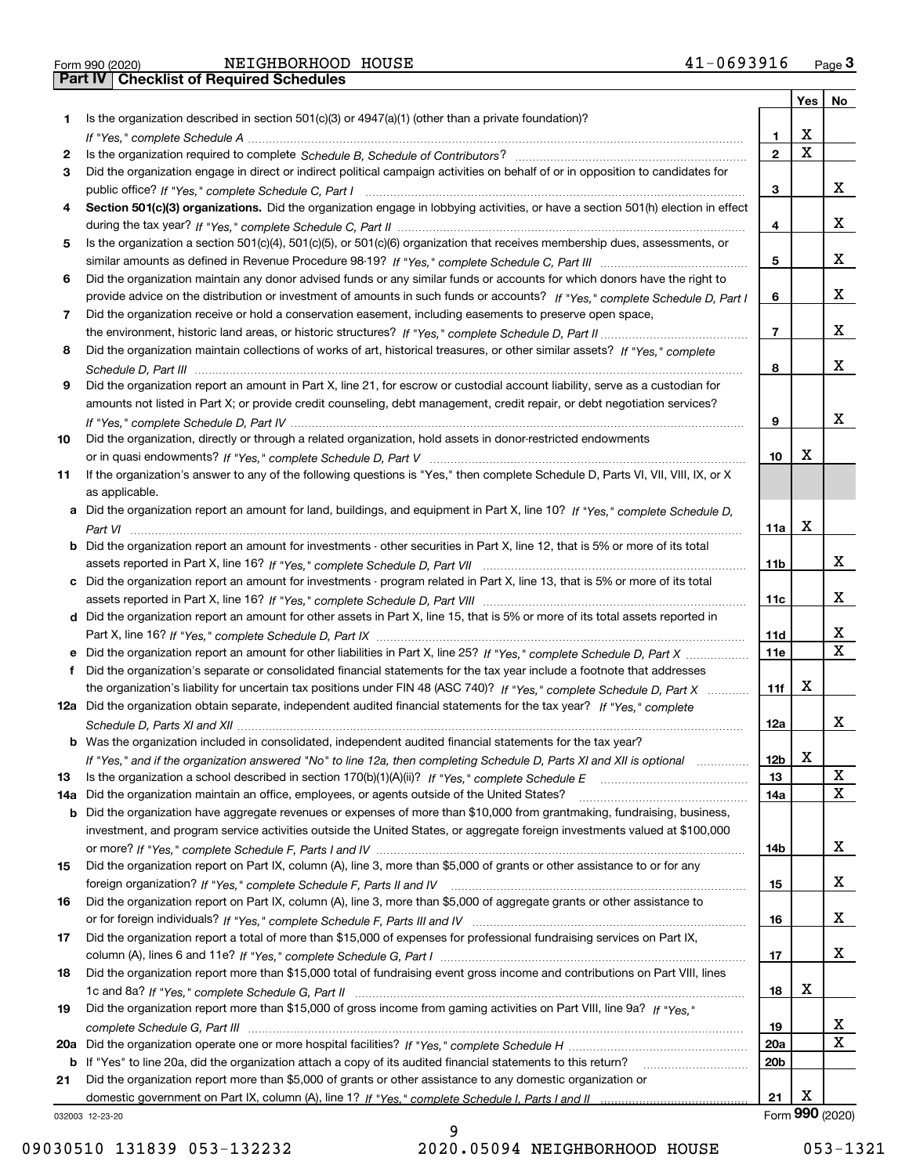Form 990 (2020) Page **3Part IV Checklist of Required Schedules** NEIGHBORHOOD HOUSE 41-0693916

|     |                                                                                                                                       |                 | Yes | No |
|-----|---------------------------------------------------------------------------------------------------------------------------------------|-----------------|-----|----|
| 1.  | Is the organization described in section $501(c)(3)$ or $4947(a)(1)$ (other than a private foundation)?                               |                 |     |    |
|     |                                                                                                                                       | 1               | X   |    |
| 2   |                                                                                                                                       | $\mathbf{2}$    | X   |    |
| 3   | Did the organization engage in direct or indirect political campaign activities on behalf of or in opposition to candidates for       |                 |     |    |
|     |                                                                                                                                       | 3               |     | x  |
| 4   | Section 501(c)(3) organizations. Did the organization engage in lobbying activities, or have a section 501(h) election in effect      |                 |     |    |
|     |                                                                                                                                       | 4               |     | x  |
| 5   | Is the organization a section 501(c)(4), 501(c)(5), or 501(c)(6) organization that receives membership dues, assessments, or          |                 |     |    |
|     |                                                                                                                                       | 5               |     | x  |
| 6   | Did the organization maintain any donor advised funds or any similar funds or accounts for which donors have the right to             |                 |     |    |
|     | provide advice on the distribution or investment of amounts in such funds or accounts? If "Yes," complete Schedule D, Part I          | 6               |     | x  |
| 7   | Did the organization receive or hold a conservation easement, including easements to preserve open space,                             |                 |     |    |
|     |                                                                                                                                       | $\overline{7}$  |     | x  |
| 8   | Did the organization maintain collections of works of art, historical treasures, or other similar assets? If "Yes," complete          |                 |     |    |
|     |                                                                                                                                       | 8               |     | x  |
| 9   | Did the organization report an amount in Part X, line 21, for escrow or custodial account liability, serve as a custodian for         |                 |     |    |
|     | amounts not listed in Part X; or provide credit counseling, debt management, credit repair, or debt negotiation services?             |                 |     |    |
|     |                                                                                                                                       | 9               |     | x  |
| 10  | Did the organization, directly or through a related organization, hold assets in donor-restricted endowments                          |                 |     |    |
|     |                                                                                                                                       | 10              | х   |    |
|     |                                                                                                                                       |                 |     |    |
| 11  | If the organization's answer to any of the following questions is "Yes," then complete Schedule D, Parts VI, VII, VIII, IX, or X      |                 |     |    |
|     | as applicable.                                                                                                                        |                 |     |    |
|     | a Did the organization report an amount for land, buildings, and equipment in Part X, line 10? If "Yes," complete Schedule D,         |                 |     |    |
|     |                                                                                                                                       | 11a             | х   |    |
|     | <b>b</b> Did the organization report an amount for investments - other securities in Part X, line 12, that is 5% or more of its total |                 |     |    |
|     |                                                                                                                                       | 11 <sub>b</sub> |     | X. |
|     | c Did the organization report an amount for investments - program related in Part X, line 13, that is 5% or more of its total         |                 |     |    |
|     |                                                                                                                                       | 11c             |     | x  |
|     | d Did the organization report an amount for other assets in Part X, line 15, that is 5% or more of its total assets reported in       |                 |     |    |
|     |                                                                                                                                       | <b>11d</b>      |     | x  |
| е   |                                                                                                                                       | <b>11e</b>      |     | X  |
| f   | Did the organization's separate or consolidated financial statements for the tax year include a footnote that addresses               |                 |     |    |
|     | the organization's liability for uncertain tax positions under FIN 48 (ASC 740)? If "Yes," complete Schedule D, Part X                | 11f             | х   |    |
|     | 12a Did the organization obtain separate, independent audited financial statements for the tax year? If "Yes," complete               |                 |     |    |
|     |                                                                                                                                       | 12a             |     | x  |
|     | <b>b</b> Was the organization included in consolidated, independent audited financial statements for the tax year?                    |                 |     |    |
|     | If "Yes," and if the organization answered "No" to line 12a, then completing Schedule D, Parts XI and XII is optional                 | 12 <sub>b</sub> | x   |    |
| 13  | Is the organization a school described in section $170(b)(1)(A)(ii)?$ If "Yes," complete Schedule E                                   | 13              |     | х  |
| 14a | Did the organization maintain an office, employees, or agents outside of the United States?                                           | 14a             |     | X. |
|     | b Did the organization have aggregate revenues or expenses of more than \$10,000 from grantmaking, fundraising, business,             |                 |     |    |
|     | investment, and program service activities outside the United States, or aggregate foreign investments valued at \$100,000            |                 |     |    |
|     |                                                                                                                                       | 14b             |     | x  |
| 15  | Did the organization report on Part IX, column (A), line 3, more than \$5,000 of grants or other assistance to or for any             |                 |     |    |
|     |                                                                                                                                       | 15              |     | X. |
| 16  | Did the organization report on Part IX, column (A), line 3, more than \$5,000 of aggregate grants or other assistance to              |                 |     |    |
|     |                                                                                                                                       | 16              |     | x  |
| 17  | Did the organization report a total of more than \$15,000 of expenses for professional fundraising services on Part IX,               |                 |     |    |
|     |                                                                                                                                       | 17              |     | X. |
| 18  | Did the organization report more than \$15,000 total of fundraising event gross income and contributions on Part VIII, lines          |                 |     |    |
|     |                                                                                                                                       | 18              | x   |    |
| 19  | Did the organization report more than \$15,000 of gross income from gaming activities on Part VIII, line 9a? If "Yes."                |                 |     |    |
|     |                                                                                                                                       | 19              |     | X  |
| 20a |                                                                                                                                       | 20a             |     | X. |
|     | b If "Yes" to line 20a, did the organization attach a copy of its audited financial statements to this return?                        | 20 <sub>b</sub> |     |    |
| 21  | Did the organization report more than \$5,000 of grants or other assistance to any domestic organization or                           |                 |     |    |
|     |                                                                                                                                       | 21              | х   |    |
|     |                                                                                                                                       |                 | nnn |    |

032003 12-23-20

Form (2020) **990**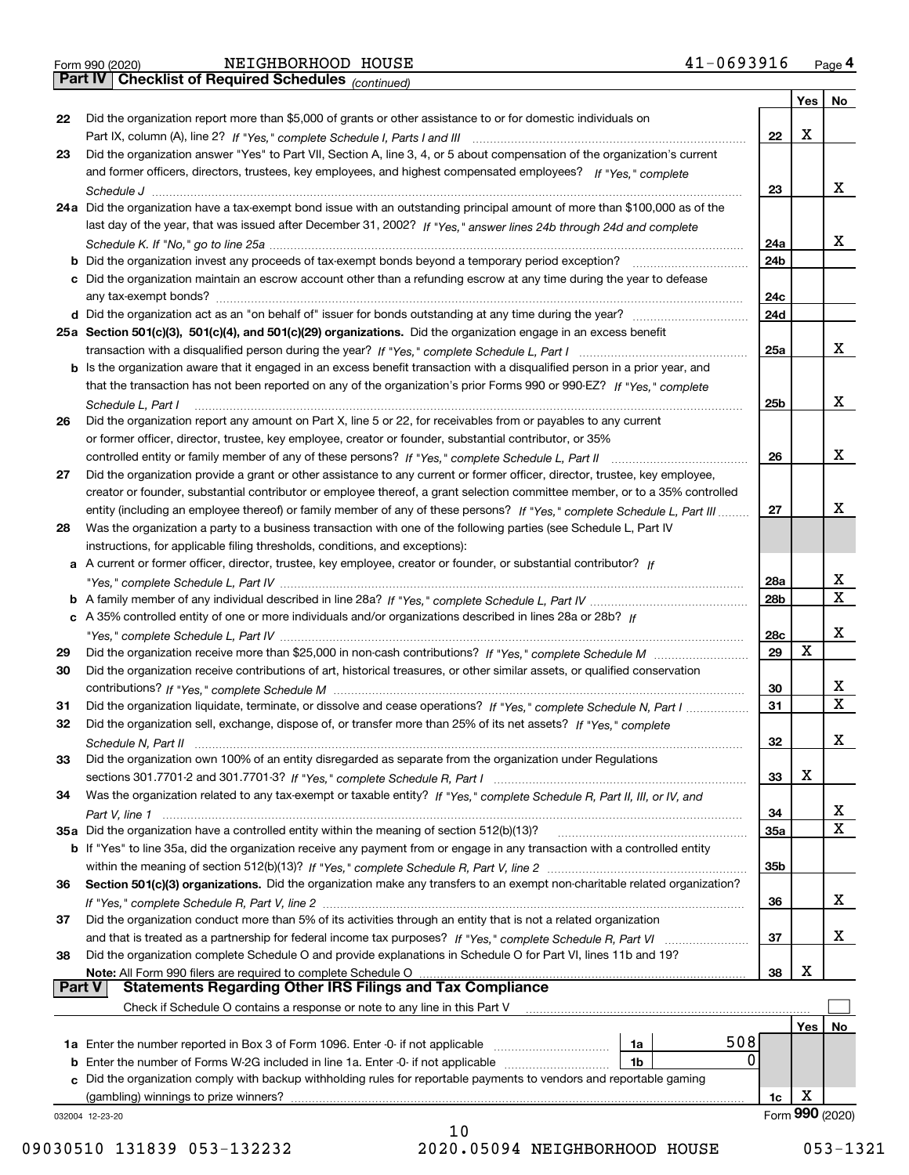|  | Form 990 (2020) |
|--|-----------------|
|  |                 |

*(continued)*

|          |                                                                                                                                                                                 |                 | Yes        | No              |
|----------|---------------------------------------------------------------------------------------------------------------------------------------------------------------------------------|-----------------|------------|-----------------|
| 22       | Did the organization report more than \$5,000 of grants or other assistance to or for domestic individuals on                                                                   |                 |            |                 |
|          |                                                                                                                                                                                 | 22              | X          |                 |
| 23       | Did the organization answer "Yes" to Part VII, Section A, line 3, 4, or 5 about compensation of the organization's current                                                      |                 |            |                 |
|          | and former officers, directors, trustees, key employees, and highest compensated employees? If "Yes," complete                                                                  |                 |            |                 |
|          |                                                                                                                                                                                 | 23              |            | x               |
|          | 24a Did the organization have a tax-exempt bond issue with an outstanding principal amount of more than \$100,000 as of the                                                     |                 |            |                 |
|          | last day of the year, that was issued after December 31, 2002? If "Yes," answer lines 24b through 24d and complete                                                              | 24a             |            | x               |
|          | b Did the organization invest any proceeds of tax-exempt bonds beyond a temporary period exception?                                                                             | 24b             |            |                 |
|          | c Did the organization maintain an escrow account other than a refunding escrow at any time during the year to defease                                                          |                 |            |                 |
|          |                                                                                                                                                                                 | 24c             |            |                 |
|          | d Did the organization act as an "on behalf of" issuer for bonds outstanding at any time during the year?                                                                       | 24d             |            |                 |
|          | 25a Section 501(c)(3), 501(c)(4), and 501(c)(29) organizations. Did the organization engage in an excess benefit                                                                |                 |            |                 |
|          |                                                                                                                                                                                 | 25a             |            | x               |
|          | b Is the organization aware that it engaged in an excess benefit transaction with a disqualified person in a prior year, and                                                    |                 |            |                 |
|          | that the transaction has not been reported on any of the organization's prior Forms 990 or 990-EZ? If "Yes," complete                                                           |                 |            |                 |
|          | Schedule L. Part I                                                                                                                                                              | 25 <sub>b</sub> |            | x               |
| 26       | Did the organization report any amount on Part X, line 5 or 22, for receivables from or payables to any current                                                                 |                 |            |                 |
|          | or former officer, director, trustee, key employee, creator or founder, substantial contributor, or 35%                                                                         |                 |            |                 |
|          |                                                                                                                                                                                 | 26              |            | x               |
| 27       | Did the organization provide a grant or other assistance to any current or former officer, director, trustee, key employee,                                                     |                 |            |                 |
|          | creator or founder, substantial contributor or employee thereof, a grant selection committee member, or to a 35% controlled                                                     |                 |            |                 |
|          | entity (including an employee thereof) or family member of any of these persons? If "Yes," complete Schedule L, Part III                                                        | 27              |            | x               |
| 28       | Was the organization a party to a business transaction with one of the following parties (see Schedule L, Part IV                                                               |                 |            |                 |
|          | instructions, for applicable filing thresholds, conditions, and exceptions):                                                                                                    |                 |            |                 |
|          | a A current or former officer, director, trustee, key employee, creator or founder, or substantial contributor? If                                                              |                 |            | х               |
|          |                                                                                                                                                                                 | 28a             |            | $\mathbf x$     |
|          | c A 35% controlled entity of one or more individuals and/or organizations described in lines 28a or 28b? If                                                                     | 28 <sub>b</sub> |            |                 |
|          |                                                                                                                                                                                 | 28c             |            | x               |
| 29       |                                                                                                                                                                                 | 29              | X          |                 |
| 30       | Did the organization receive contributions of art, historical treasures, or other similar assets, or qualified conservation                                                     |                 |            |                 |
|          |                                                                                                                                                                                 | 30              |            | x               |
| 31       | Did the organization liquidate, terminate, or dissolve and cease operations? If "Yes," complete Schedule N, Part I                                                              | 31              |            | $\mathbf X$     |
| 32       | Did the organization sell, exchange, dispose of, or transfer more than 25% of its net assets? If "Yes," complete                                                                |                 |            |                 |
|          |                                                                                                                                                                                 | 32              |            | х               |
| 33       | Did the organization own 100% of an entity disregarded as separate from the organization under Regulations                                                                      |                 |            |                 |
|          |                                                                                                                                                                                 | 33              | X          |                 |
| 34       | Was the organization related to any tax-exempt or taxable entity? If "Yes," complete Schedule R, Part II, III, or IV, and                                                       |                 |            |                 |
|          |                                                                                                                                                                                 | 34              |            | х               |
|          | 35a Did the organization have a controlled entity within the meaning of section 512(b)(13)?                                                                                     | 35a             |            | X               |
|          | b If "Yes" to line 35a, did the organization receive any payment from or engage in any transaction with a controlled entity                                                     |                 |            |                 |
|          |                                                                                                                                                                                 | 35 <sub>b</sub> |            |                 |
| 36       | Section 501(c)(3) organizations. Did the organization make any transfers to an exempt non-charitable related organization?                                                      |                 |            |                 |
|          |                                                                                                                                                                                 | 36              |            | x               |
| 37       | Did the organization conduct more than 5% of its activities through an entity that is not a related organization                                                                |                 |            | x               |
|          |                                                                                                                                                                                 | 37              |            |                 |
| 38       | Did the organization complete Schedule O and provide explanations in Schedule O for Part VI, lines 11b and 19?<br>Note: All Form 990 filers are required to complete Schedule O | 38              | X          |                 |
| ∣ Part V | <b>Statements Regarding Other IRS Filings and Tax Compliance</b>                                                                                                                |                 |            |                 |
|          | Check if Schedule O contains a response or note to any line in this Part V                                                                                                      |                 |            |                 |
|          |                                                                                                                                                                                 |                 | <b>Yes</b> | No              |
|          | 508<br><b>1a</b> Enter the number reported in Box 3 of Form 1096. Enter -0- if not applicable<br>1a                                                                             |                 |            |                 |
|          | 0<br><b>b</b> Enter the number of Forms W-2G included in line 1a. Enter -0- if not applicable <i>manumumumum</i><br>1b                                                          |                 |            |                 |
| c        | Did the organization comply with backup withholding rules for reportable payments to vendors and reportable gaming                                                              |                 |            |                 |
|          | (gambling) winnings to prize winners?                                                                                                                                           | 1c              | х          |                 |
|          | 032004 12-23-20                                                                                                                                                                 |                 |            | Form 990 (2020) |
|          |                                                                                                                                                                                 |                 |            |                 |

10 09030510 131839 053-132232 2020.05094 NEIGHBORHOOD HOUSE 053-1321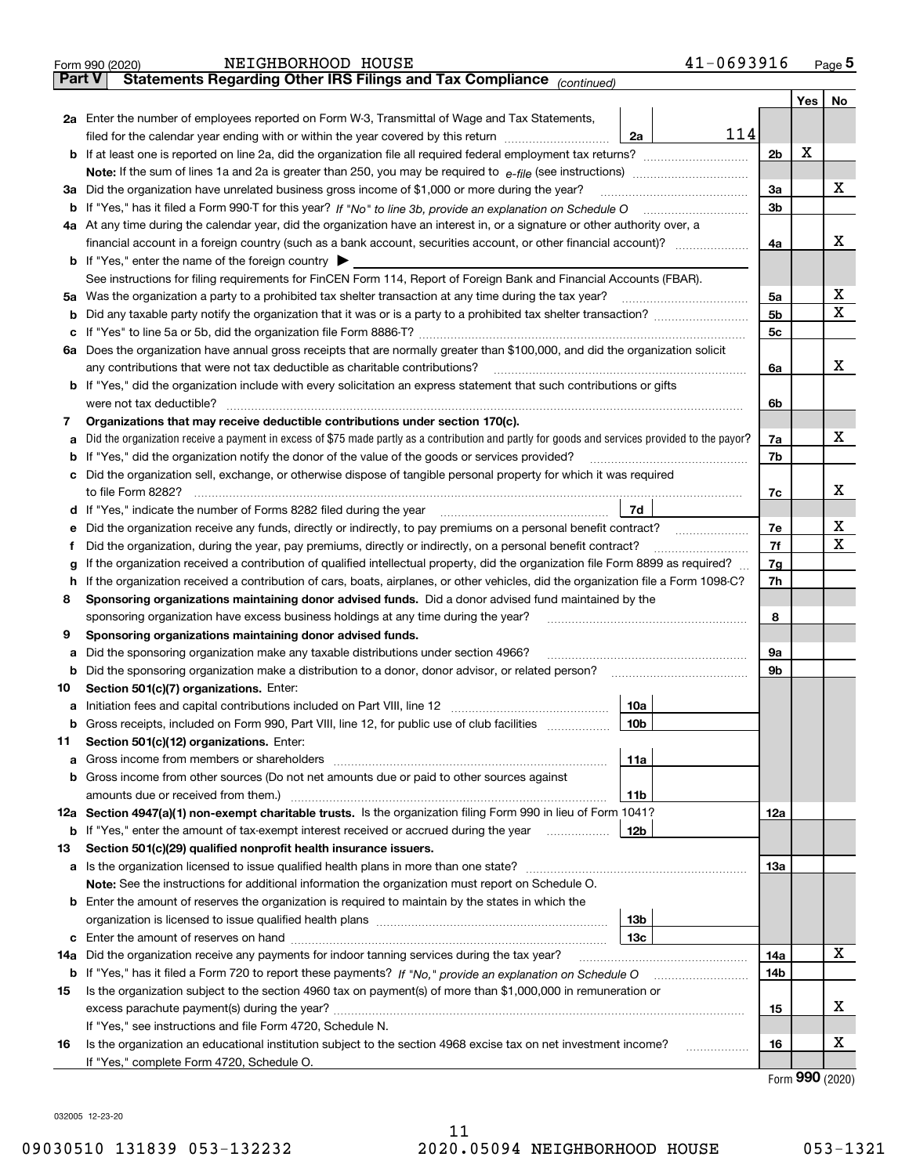|               | 41-0693916<br>NEIGHBORHOOD HOUSE<br>Form 990 (2020)                                                                                                    |                |         | <u>Page</u> 5 |
|---------------|--------------------------------------------------------------------------------------------------------------------------------------------------------|----------------|---------|---------------|
| <b>Part V</b> | Statements Regarding Other IRS Filings and Tax Compliance (continued)                                                                                  |                |         |               |
|               |                                                                                                                                                        |                | Yes $ $ | No            |
|               | 2a Enter the number of employees reported on Form W-3, Transmittal of Wage and Tax Statements,                                                         |                |         |               |
|               | 114<br>filed for the calendar year ending with or within the year covered by this return <i>manumumumum</i><br>2a                                      |                |         |               |
|               |                                                                                                                                                        | 2 <sub>b</sub> | X       |               |
|               |                                                                                                                                                        |                |         |               |
|               | 3a Did the organization have unrelated business gross income of \$1,000 or more during the year?                                                       | 3a             |         | x             |
|               |                                                                                                                                                        | 3b             |         |               |
|               | 4a At any time during the calendar year, did the organization have an interest in, or a signature or other authority over, a                           |                |         |               |
|               |                                                                                                                                                        | 4a             |         | х             |
|               | <b>b</b> If "Yes," enter the name of the foreign country $\blacktriangleright$                                                                         |                |         |               |
|               | See instructions for filing requirements for FinCEN Form 114, Report of Foreign Bank and Financial Accounts (FBAR).                                    |                |         |               |
|               | 5a Was the organization a party to a prohibited tax shelter transaction at any time during the tax year?                                               | 5a             |         | х             |
| b             |                                                                                                                                                        | 5 <sub>b</sub> |         | х             |
|               |                                                                                                                                                        | 5c             |         |               |
|               | 6a Does the organization have annual gross receipts that are normally greater than \$100,000, and did the organization solicit                         |                |         |               |
|               |                                                                                                                                                        | 6a             |         | х             |
|               | <b>b</b> If "Yes," did the organization include with every solicitation an express statement that such contributions or gifts                          |                |         |               |
|               |                                                                                                                                                        | 6b             |         |               |
| 7             | Organizations that may receive deductible contributions under section 170(c).                                                                          |                |         |               |
| a             | Did the organization receive a payment in excess of \$75 made partly as a contribution and partly for goods and services provided to the payor?        | 7a             |         | х             |
|               | <b>b</b> If "Yes," did the organization notify the donor of the value of the goods or services provided?                                               | 7b             |         |               |
|               | c Did the organization sell, exchange, or otherwise dispose of tangible personal property for which it was required                                    |                |         |               |
|               |                                                                                                                                                        | 7с             |         | х             |
|               | 7d<br>d If "Yes," indicate the number of Forms 8282 filed during the year [11] [11] The S, The Indicate the number of Forms 8282 filed during the year |                |         |               |
| е             |                                                                                                                                                        | 7e             |         | х             |
| f             | Did the organization, during the year, pay premiums, directly or indirectly, on a personal benefit contract?                                           | 7f             |         | x             |
| g             | If the organization received a contribution of qualified intellectual property, did the organization file Form 8899 as required?                       | 7g             |         |               |
| h.            | If the organization received a contribution of cars, boats, airplanes, or other vehicles, did the organization file a Form 1098-C?                     | 7h             |         |               |
| 8             | Sponsoring organizations maintaining donor advised funds. Did a donor advised fund maintained by the                                                   |                |         |               |
|               | sponsoring organization have excess business holdings at any time during the year?                                                                     | 8              |         |               |
| 9             | Sponsoring organizations maintaining donor advised funds.                                                                                              |                |         |               |
| а             | Did the sponsoring organization make any taxable distributions under section 4966?                                                                     | 9а             |         |               |
|               | <b>b</b> Did the sponsoring organization make a distribution to a donor, donor advisor, or related person?                                             | 9b             |         |               |
| 10            | Section 501(c)(7) organizations. Enter:                                                                                                                |                |         |               |
|               | 10a                                                                                                                                                    |                |         |               |
|               | 10b <br>Gross receipts, included on Form 990, Part VIII, line 12, for public use of club facilities                                                    |                |         |               |
| 11            | Section 501(c)(12) organizations. Enter:                                                                                                               |                |         |               |
|               | 11a                                                                                                                                                    |                |         |               |
|               | b Gross income from other sources (Do not net amounts due or paid to other sources against                                                             |                |         |               |
|               | 11b                                                                                                                                                    |                |         |               |
|               | 12a Section 4947(a)(1) non-exempt charitable trusts. Is the organization filing Form 990 in lieu of Form 1041?                                         | 12a            |         |               |
|               | 12b<br><b>b</b> If "Yes," enter the amount of tax-exempt interest received or accrued during the year <i>manument</i>                                  |                |         |               |
| 13            | Section 501(c)(29) qualified nonprofit health insurance issuers.                                                                                       |                |         |               |
|               | <b>a</b> Is the organization licensed to issue qualified health plans in more than one state?                                                          | 13а            |         |               |
|               | Note: See the instructions for additional information the organization must report on Schedule O.                                                      |                |         |               |
|               | <b>b</b> Enter the amount of reserves the organization is required to maintain by the states in which the                                              |                |         |               |
|               | 13b                                                                                                                                                    |                |         |               |
|               | 13с                                                                                                                                                    |                |         |               |
| 14a           | Did the organization receive any payments for indoor tanning services during the tax year?                                                             | 14a            |         | x             |
|               | <b>b</b> If "Yes," has it filed a Form 720 to report these payments? If "No," provide an explanation on Schedule O                                     | 14b            |         |               |
| 15            | Is the organization subject to the section 4960 tax on payment(s) of more than \$1,000,000 in remuneration or                                          |                |         |               |
|               |                                                                                                                                                        | 15             |         | x             |
|               | If "Yes," see instructions and file Form 4720, Schedule N.                                                                                             |                |         |               |
| 16            | Is the organization an educational institution subject to the section 4968 excise tax on net investment income?                                        | 16             |         | х             |
|               | If "Yes," complete Form 4720, Schedule O.                                                                                                              |                | ה ה     |               |

Form (2020) **990**

032005 12-23-20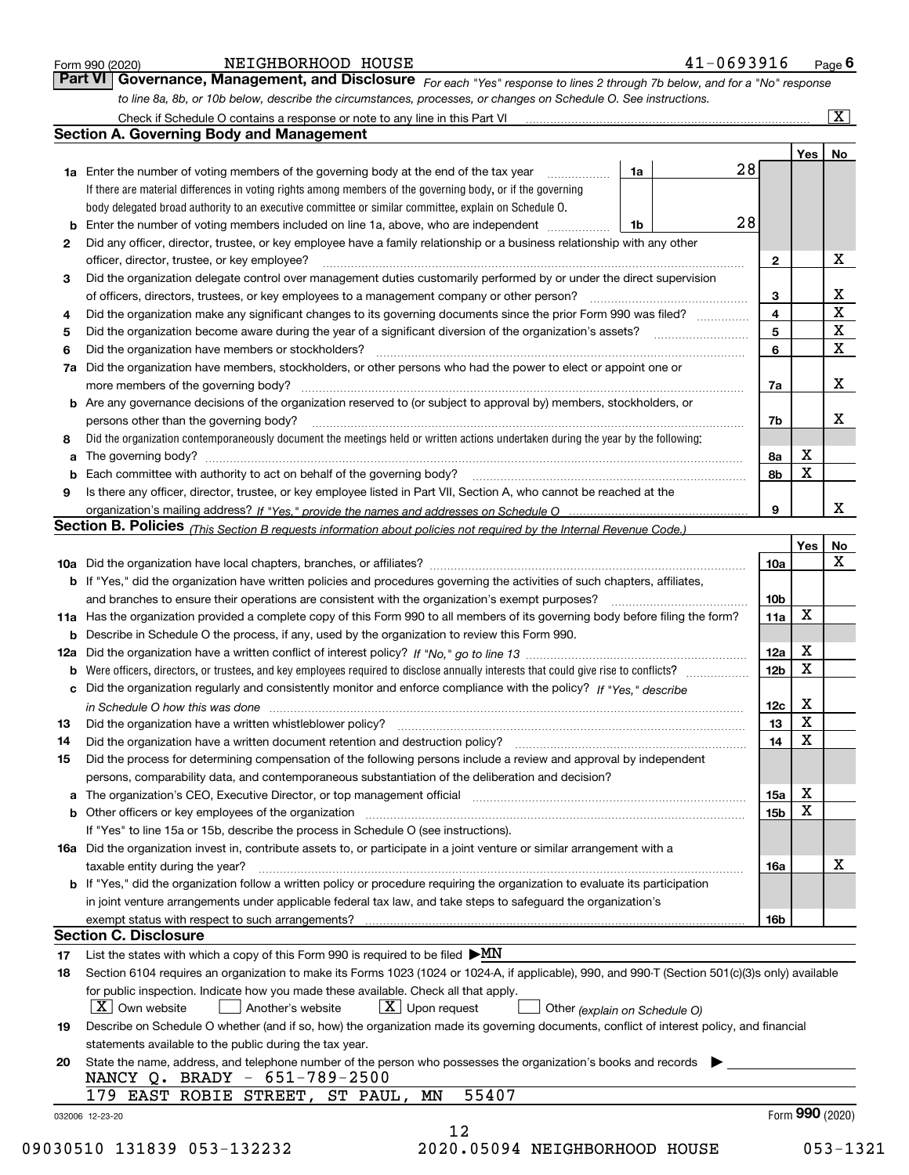|  | Form 990 (2020) |
|--|-----------------|
|  |                 |

| NEIGHBORHOOD HOUSE |  |  |
|--------------------|--|--|
|--------------------|--|--|

*For each "Yes" response to lines 2 through 7b below, and for a "No" response to line 8a, 8b, or 10b below, describe the circumstances, processes, or changes on Schedule O. See instructions.* Form 990 (2020) **Page 6**<br>**Part VI Governance, Management, and Disclosure** For each "Yes" response to lines 2 through 7b below, and for a "No" response

|    |                                                                                                                                                                                                                                |    |    |              | Yes | No                      |
|----|--------------------------------------------------------------------------------------------------------------------------------------------------------------------------------------------------------------------------------|----|----|--------------|-----|-------------------------|
|    | <b>1a</b> Enter the number of voting members of the governing body at the end of the tax year <i>manumum</i>                                                                                                                   | 1a | 28 |              |     |                         |
|    | If there are material differences in voting rights among members of the governing body, or if the governing                                                                                                                    |    |    |              |     |                         |
|    | body delegated broad authority to an executive committee or similar committee, explain on Schedule O.                                                                                                                          |    |    |              |     |                         |
| b  | Enter the number of voting members included on line 1a, above, who are independent                                                                                                                                             | 1b | 28 |              |     |                         |
| 2  | Did any officer, director, trustee, or key employee have a family relationship or a business relationship with any other                                                                                                       |    |    |              |     |                         |
|    | officer, director, trustee, or key employee?                                                                                                                                                                                   |    |    | $\mathbf{2}$ |     | X                       |
| 3  | Did the organization delegate control over management duties customarily performed by or under the direct supervision                                                                                                          |    |    |              |     |                         |
|    |                                                                                                                                                                                                                                |    |    | 3            |     | X                       |
| 4  | Did the organization make any significant changes to its governing documents since the prior Form 990 was filed?                                                                                                               |    |    | 4            |     | $\overline{\mathbf{x}}$ |
| 5  |                                                                                                                                                                                                                                |    |    | 5            |     | $\mathbf X$             |
| 6  | Did the organization have members or stockholders?                                                                                                                                                                             |    |    | 6            |     | $\mathbf X$             |
| 7a | Did the organization have members, stockholders, or other persons who had the power to elect or appoint one or                                                                                                                 |    |    |              |     |                         |
|    |                                                                                                                                                                                                                                |    |    | 7a           |     | X                       |
|    | <b>b</b> Are any governance decisions of the organization reserved to (or subject to approval by) members, stockholders, or                                                                                                    |    |    |              |     |                         |
|    | persons other than the governing body?                                                                                                                                                                                         |    |    | 7b           |     | X                       |
| 8  | Did the organization contemporaneously document the meetings held or written actions undertaken during the year by the following:                                                                                              |    |    |              |     |                         |
| a  |                                                                                                                                                                                                                                |    |    | 8a           | X   |                         |
| b  |                                                                                                                                                                                                                                |    |    | 8b           | X   |                         |
| 9  | Is there any officer, director, trustee, or key employee listed in Part VII, Section A, who cannot be reached at the                                                                                                           |    |    |              |     |                         |
|    |                                                                                                                                                                                                                                |    |    | 9            |     | х                       |
|    | Section B. Policies <sub>(This Section B requests information about policies not required by the Internal Revenue Code.)</sub>                                                                                                 |    |    |              |     |                         |
|    |                                                                                                                                                                                                                                |    |    |              | Yes | No                      |
|    |                                                                                                                                                                                                                                |    |    | 10a          |     | X                       |
|    | <b>b</b> If "Yes," did the organization have written policies and procedures governing the activities of such chapters, affiliates,                                                                                            |    |    |              |     |                         |
|    |                                                                                                                                                                                                                                |    |    | 10b          |     |                         |
|    | 11a Has the organization provided a complete copy of this Form 990 to all members of its governing body before filing the form?                                                                                                |    |    | 11a          | X   |                         |
|    | <b>b</b> Describe in Schedule O the process, if any, used by the organization to review this Form 990.                                                                                                                         |    |    |              |     |                         |
|    |                                                                                                                                                                                                                                |    |    | 12a          | X   |                         |
| b  |                                                                                                                                                                                                                                |    |    | 12b          | X   |                         |
| c  | Did the organization regularly and consistently monitor and enforce compliance with the policy? If "Yes," describe                                                                                                             |    |    |              |     |                         |
|    | in Schedule O how this was done material contact the control of the state of the state of the state of the state of the state of the state of the state of the state of the state of the state of the state of the state of th |    |    | 12c          | X   |                         |
| 13 |                                                                                                                                                                                                                                |    |    | 13           | X   |                         |
| 14 | Did the organization have a written document retention and destruction policy? manufactured and the organization have a written document retention and destruction policy?                                                     |    |    | 14           | X   |                         |
| 15 | Did the process for determining compensation of the following persons include a review and approval by independent                                                                                                             |    |    |              |     |                         |
|    | persons, comparability data, and contemporaneous substantiation of the deliberation and decision?                                                                                                                              |    |    |              |     |                         |
|    | The organization's CEO, Executive Director, or top management official manufactured content content of the organization's CEO, Executive Director, or top management official                                                  |    |    | 15a          | X   |                         |
| a  | <b>b</b> Other officers or key employees of the organization                                                                                                                                                                   |    |    | 15b          | X   |                         |
|    | If "Yes" to line 15a or 15b, describe the process in Schedule O (see instructions).                                                                                                                                            |    |    |              |     |                         |
|    |                                                                                                                                                                                                                                |    |    |              |     |                         |
|    | 16a Did the organization invest in, contribute assets to, or participate in a joint venture or similar arrangement with a                                                                                                      |    |    |              |     | X                       |
|    | taxable entity during the year?                                                                                                                                                                                                |    |    | 16a          |     |                         |
|    | b If "Yes," did the organization follow a written policy or procedure requiring the organization to evaluate its participation                                                                                                 |    |    |              |     |                         |
|    | in joint venture arrangements under applicable federal tax law, and take steps to safequard the organization's                                                                                                                 |    |    |              |     |                         |
|    | exempt status with respect to such arrangements?<br><b>Section C. Disclosure</b>                                                                                                                                               |    |    | 16b          |     |                         |
|    |                                                                                                                                                                                                                                |    |    |              |     |                         |
| 17 | List the states with which a copy of this Form 990 is required to be filed $\blacktriangleright MN$                                                                                                                            |    |    |              |     |                         |
| 18 | Section 6104 requires an organization to make its Forms 1023 (1024 or 1024-A, if applicable), 990, and 990-T (Section 501(c)(3)s only) available                                                                               |    |    |              |     |                         |
|    | for public inspection. Indicate how you made these available. Check all that apply.                                                                                                                                            |    |    |              |     |                         |
|    | $\boxed{\text{X}}$ Upon request<br>  X   Own website<br>Another's website<br>Other (explain on Schedule O)                                                                                                                     |    |    |              |     |                         |
| 19 | Describe on Schedule O whether (and if so, how) the organization made its governing documents, conflict of interest policy, and financial                                                                                      |    |    |              |     |                         |
|    | statements available to the public during the tax year.                                                                                                                                                                        |    |    |              |     |                         |
| 20 | State the name, address, and telephone number of the person who possesses the organization's books and records                                                                                                                 |    |    |              |     |                         |
|    | NANCY Q. BRADY - 651-789-2500                                                                                                                                                                                                  |    |    |              |     |                         |
|    | 55407<br>179 EAST ROBIE STREET, ST PAUL, MN                                                                                                                                                                                    |    |    |              |     | Form 990 (2020)         |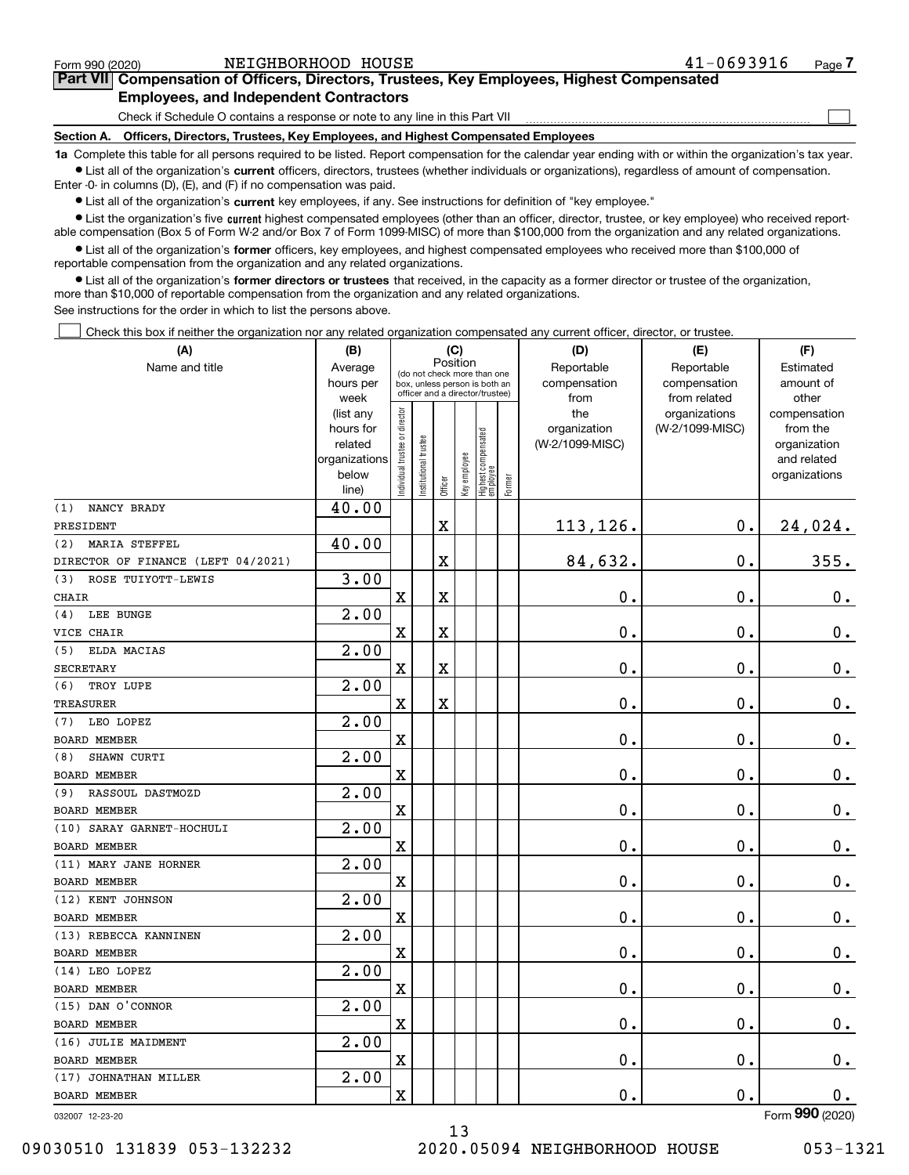$\mathcal{L}^{\text{max}}$ 

# **7Part VII Compensation of Officers, Directors, Trustees, Key Employees, Highest Compensated Employees, and Independent Contractors**

Check if Schedule O contains a response or note to any line in this Part VII

**Section A. Officers, Directors, Trustees, Key Employees, and Highest Compensated Employees**

**1a**  Complete this table for all persons required to be listed. Report compensation for the calendar year ending with or within the organization's tax year. **•** List all of the organization's current officers, directors, trustees (whether individuals or organizations), regardless of amount of compensation.

Enter -0- in columns (D), (E), and (F) if no compensation was paid.

 $\bullet$  List all of the organization's  $\,$ current key employees, if any. See instructions for definition of "key employee."

**•** List the organization's five current highest compensated employees (other than an officer, director, trustee, or key employee) who received reportable compensation (Box 5 of Form W-2 and/or Box 7 of Form 1099-MISC) of more than \$100,000 from the organization and any related organizations.

**•** List all of the organization's former officers, key employees, and highest compensated employees who received more than \$100,000 of reportable compensation from the organization and any related organizations.

**former directors or trustees**  ¥ List all of the organization's that received, in the capacity as a former director or trustee of the organization, more than \$10,000 of reportable compensation from the organization and any related organizations.

See instructions for the order in which to list the persons above.

Check this box if neither the organization nor any related organization compensated any current officer, director, or trustee.  $\mathcal{L}^{\text{max}}$ 

| (A)                                | (B)                    |                                |                                                                  | (C)                     |              |                                   |           | (D)                 | (E)                              | (F)                      |
|------------------------------------|------------------------|--------------------------------|------------------------------------------------------------------|-------------------------|--------------|-----------------------------------|-----------|---------------------|----------------------------------|--------------------------|
| Name and title                     | Average                |                                | Position<br>(do not check more than one                          |                         | Reportable   | Reportable                        | Estimated |                     |                                  |                          |
|                                    | hours per              |                                | box, unless person is both an<br>officer and a director/trustee) |                         | compensation | compensation                      | amount of |                     |                                  |                          |
|                                    | week                   |                                |                                                                  |                         |              |                                   |           | from                | from related                     | other                    |
|                                    | (list any<br>hours for |                                |                                                                  |                         |              |                                   |           | the<br>organization | organizations<br>(W-2/1099-MISC) | compensation<br>from the |
|                                    | related                |                                |                                                                  |                         |              |                                   |           | (W-2/1099-MISC)     |                                  | organization             |
|                                    | organizations          |                                |                                                                  |                         |              |                                   |           |                     |                                  | and related              |
|                                    | below                  | Individual trustee or director | Institutional trustee                                            |                         | Key employee |                                   |           |                     |                                  | organizations            |
|                                    | line)                  |                                |                                                                  | Officer                 |              | Highest compensated<br>  employee | Former    |                     |                                  |                          |
| NANCY BRADY<br>(1)                 | 40.00                  |                                |                                                                  |                         |              |                                   |           |                     |                                  |                          |
| PRESIDENT                          |                        |                                |                                                                  | $\overline{\mathbf{X}}$ |              |                                   |           | 113,126.            | $\mathbf 0$ .                    | 24,024.                  |
| MARIA STEFFEL<br>(2)               | 40.00                  |                                |                                                                  |                         |              |                                   |           |                     |                                  |                          |
| DIRECTOR OF FINANCE (LEFT 04/2021) |                        |                                |                                                                  | X                       |              |                                   |           | 84,632.             | 0.                               | 355.                     |
| ROSE TUIYOTT-LEWIS<br>(3)          | 3.00                   |                                |                                                                  |                         |              |                                   |           |                     |                                  |                          |
| CHAIR                              |                        | X                              |                                                                  | X                       |              |                                   |           | 0.                  | 0.                               | $\mathbf 0$ .            |
| LEE BUNGE<br>(4)                   | 2.00                   |                                |                                                                  |                         |              |                                   |           |                     |                                  |                          |
| VICE CHAIR                         |                        | х                              |                                                                  | X                       |              |                                   |           | 0.                  | 0.                               | $\mathbf 0$ .            |
| (5)<br>ELDA MACIAS                 | 2.00                   |                                |                                                                  |                         |              |                                   |           |                     |                                  |                          |
| SECRETARY                          |                        | х                              |                                                                  | X                       |              |                                   |           | $\mathbf 0$ .       | $\mathbf 0$ .                    | 0.                       |
| TROY LUPE<br>(6)                   | 2.00                   |                                |                                                                  |                         |              |                                   |           |                     |                                  |                          |
| TREASURER                          |                        | $\mathbf X$                    |                                                                  | $\overline{\mathbf{X}}$ |              |                                   |           | 0.                  | 0.                               | $0_{.}$                  |
| LEO LOPEZ<br>(7)                   | 2.00                   |                                |                                                                  |                         |              |                                   |           |                     |                                  |                          |
| <b>BOARD MEMBER</b>                |                        | $\mathbf X$                    |                                                                  |                         |              |                                   |           | 0.                  | $\mathbf 0$ .                    | $\mathbf 0$ .            |
| SHAWN CURTI<br>(8)                 | 2.00                   |                                |                                                                  |                         |              |                                   |           |                     |                                  |                          |
| BOARD MEMBER                       |                        | $\mathbf X$                    |                                                                  |                         |              |                                   |           | 0.                  | 0.                               | 0.                       |
| RASSOUL DASTMOZD<br>(9)            | 2.00                   |                                |                                                                  |                         |              |                                   |           |                     |                                  |                          |
| BOARD MEMBER                       |                        | $\mathbf X$                    |                                                                  |                         |              |                                   |           | $\mathbf 0$ .       | $\mathbf 0$ .                    | 0.                       |
| (10) SARAY GARNET-HOCHULI          | 2.00                   |                                |                                                                  |                         |              |                                   |           |                     |                                  |                          |
| BOARD MEMBER                       |                        | Χ                              |                                                                  |                         |              |                                   |           | 0.                  | 0.                               | $0_{.}$                  |
| (11) MARY JANE HORNER              | 2.00                   |                                |                                                                  |                         |              |                                   |           |                     |                                  |                          |
| <b>BOARD MEMBER</b>                |                        | $\mathbf X$                    |                                                                  |                         |              |                                   |           | $\mathbf 0$ .       | $\mathbf 0$ .                    | $\mathbf 0$ .            |
| (12) KENT JOHNSON                  | 2.00                   |                                |                                                                  |                         |              |                                   |           |                     |                                  |                          |
| <b>BOARD MEMBER</b>                |                        | X                              |                                                                  |                         |              |                                   |           | 0.                  | 0.                               | $0_{.}$                  |
| (13) REBECCA KANNINEN              | 2.00                   |                                |                                                                  |                         |              |                                   |           |                     |                                  |                          |
| <b>BOARD MEMBER</b>                |                        | X                              |                                                                  |                         |              |                                   |           | 0.                  | $\mathbf 0$ .                    | 0.                       |
| (14) LEO LOPEZ                     | 2.00                   |                                |                                                                  |                         |              |                                   |           |                     |                                  |                          |
| BOARD MEMBER                       |                        | $\mathbf x$                    |                                                                  |                         |              |                                   |           | 0.                  | $\mathbf 0$ .                    | 0.                       |
| (15) DAN O'CONNOR                  | 2.00                   |                                |                                                                  |                         |              |                                   |           |                     |                                  |                          |
| <b>BOARD MEMBER</b>                |                        | X                              |                                                                  |                         |              |                                   |           | $\mathbf 0$ .       | 0.                               | $\mathbf 0$ .            |
| (16) JULIE MAIDMENT                | 2.00                   |                                |                                                                  |                         |              |                                   |           |                     |                                  |                          |
| <b>BOARD MEMBER</b>                |                        | X                              |                                                                  |                         |              |                                   |           | 0.                  | $\mathbf 0$ .                    | 0.                       |
| (17) JOHNATHAN MILLER              | 2.00                   |                                |                                                                  |                         |              |                                   |           |                     |                                  |                          |
| BOARD MEMBER                       |                        | $\mathbf X$                    |                                                                  |                         |              |                                   |           | 0.                  | О.                               | 0.                       |
| 032007 12-23-20                    |                        |                                |                                                                  |                         |              |                                   |           |                     |                                  | Form 990 (2020)          |

13

032007 12-23-20

09030510 131839 053-132232 2020.05094 NEIGHBORHOOD HOUSE 053-1321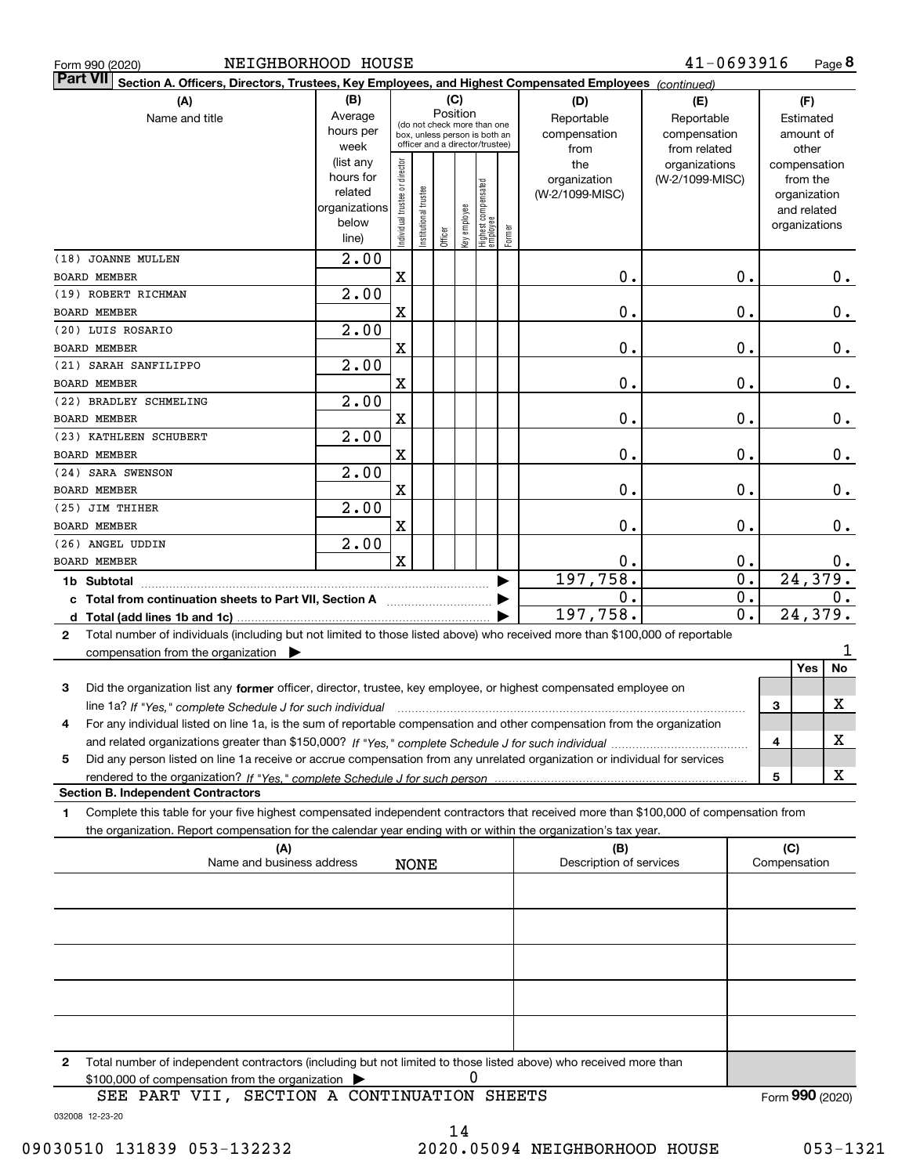|  | Form 990 (2020 |
|--|----------------|
|  |                |

| <b>Part VII</b><br>Section A. Officers, Directors, Trustees, Key Employees, and Highest Compensated Employees (continued)                    |                        |                                |                                                              |         |              |                                   |        |                         |                  |   |               |    |
|----------------------------------------------------------------------------------------------------------------------------------------------|------------------------|--------------------------------|--------------------------------------------------------------|---------|--------------|-----------------------------------|--------|-------------------------|------------------|---|---------------|----|
| (A)                                                                                                                                          | (B)                    |                                |                                                              | (C)     |              |                                   |        | (D)                     | (E)              |   | (F)           |    |
| Name and title                                                                                                                               | Average                | Position                       |                                                              |         |              |                                   |        | Reportable              | Reportable       |   | Estimated     |    |
|                                                                                                                                              | hours per              |                                | (do not check more than one<br>box, unless person is both an |         |              |                                   |        | compensation            | compensation     |   | amount of     |    |
|                                                                                                                                              | week                   |                                | officer and a director/trustee)                              |         |              |                                   |        | from                    | from related     |   | other         |    |
|                                                                                                                                              | (list any              |                                |                                                              |         |              |                                   |        | the                     | organizations    |   | compensation  |    |
|                                                                                                                                              | hours for              |                                |                                                              |         |              |                                   |        | organization            | (W-2/1099-MISC)  |   | from the      |    |
|                                                                                                                                              | related                |                                |                                                              |         |              |                                   |        | (W-2/1099-MISC)         |                  |   | organization  |    |
|                                                                                                                                              | organizations<br>below |                                |                                                              |         |              |                                   |        |                         |                  |   | and related   |    |
|                                                                                                                                              | line)                  | Individual trustee or director | Institutional trustee                                        | Officer | key employee | Highest compensated<br>  employee | Former |                         |                  |   | organizations |    |
| (18) JOANNE MULLEN                                                                                                                           | 2.00                   |                                |                                                              |         |              |                                   |        |                         |                  |   |               |    |
| <b>BOARD MEMBER</b>                                                                                                                          |                        | X                              |                                                              |         |              |                                   |        | $\mathbf 0$ .           | 0.               |   |               | 0. |
| (19) ROBERT RICHMAN                                                                                                                          | 2.00                   |                                |                                                              |         |              |                                   |        |                         |                  |   |               |    |
| <b>BOARD MEMBER</b>                                                                                                                          |                        | X                              |                                                              |         |              |                                   |        | $\mathbf 0$ .           | 0.               |   |               | 0. |
| (20) LUIS ROSARIO                                                                                                                            | 2.00                   |                                |                                                              |         |              |                                   |        |                         |                  |   |               |    |
| <b>BOARD MEMBER</b>                                                                                                                          |                        | X                              |                                                              |         |              |                                   |        | $\mathbf 0$ .           | 0.               |   |               | 0. |
| (21) SARAH SANFILIPPO                                                                                                                        | 2.00                   |                                |                                                              |         |              |                                   |        |                         |                  |   |               |    |
| <b>BOARD MEMBER</b>                                                                                                                          |                        | X                              |                                                              |         |              |                                   |        | $\mathbf 0$ .           | 0.               |   |               | 0. |
| (22) BRADLEY SCHMELING                                                                                                                       | 2.00                   |                                |                                                              |         |              |                                   |        |                         |                  |   |               |    |
| <b>BOARD MEMBER</b>                                                                                                                          |                        | X                              |                                                              |         |              |                                   |        | $\mathbf 0$ .           | 0.               |   |               | 0. |
| (23) KATHLEEN SCHUBERT                                                                                                                       | 2.00                   |                                |                                                              |         |              |                                   |        |                         |                  |   |               |    |
| <b>BOARD MEMBER</b>                                                                                                                          |                        | X                              |                                                              |         |              |                                   |        | $\mathbf 0$ .           | 0.               |   |               | 0. |
| (24) SARA SWENSON                                                                                                                            | 2.00                   |                                |                                                              |         |              |                                   |        |                         |                  |   |               |    |
| <b>BOARD MEMBER</b>                                                                                                                          |                        | X                              |                                                              |         |              |                                   |        | $\mathbf 0$ .           | 0.               |   |               | 0. |
| $(25)$ JIM THIHER                                                                                                                            | 2.00                   |                                |                                                              |         |              |                                   |        |                         |                  |   |               |    |
| <b>BOARD MEMBER</b>                                                                                                                          |                        | X                              |                                                              |         |              |                                   |        | $\mathbf 0$ .           | 0.               |   |               | 0. |
| (26) ANGEL UDDIN                                                                                                                             | 2.00                   |                                |                                                              |         |              |                                   |        |                         |                  |   |               |    |
| <b>BOARD MEMBER</b>                                                                                                                          |                        | $\mathbf x$                    |                                                              |         |              |                                   |        | 0.                      | 0.               |   |               | 0. |
| 1b Subtotal                                                                                                                                  |                        |                                |                                                              |         |              |                                   |        | 197,758.                | $\overline{0}$ . |   | 24, 379.      |    |
|                                                                                                                                              |                        |                                |                                                              |         |              |                                   |        | 0.                      | $\overline{0}$ . |   |               | 0. |
|                                                                                                                                              |                        |                                |                                                              |         |              |                                   |        | 197,758.                | $\overline{0}$ . |   | 24,379.       |    |
| Total number of individuals (including but not limited to those listed above) who received more than \$100,000 of reportable<br>$\mathbf{2}$ |                        |                                |                                                              |         |              |                                   |        |                         |                  |   |               |    |
| compensation from the organization $\blacktriangleright$                                                                                     |                        |                                |                                                              |         |              |                                   |        |                         |                  |   |               | 1  |
|                                                                                                                                              |                        |                                |                                                              |         |              |                                   |        |                         |                  |   | Yes           | No |
| Did the organization list any former officer, director, trustee, key employee, or highest compensated employee on<br>3                       |                        |                                |                                                              |         |              |                                   |        |                         |                  |   |               |    |
| line 1a? If "Yes," complete Schedule J for such individual                                                                                   |                        |                                |                                                              |         |              |                                   |        |                         |                  | 3 |               | х  |
| For any individual listed on line 1a, is the sum of reportable compensation and other compensation from the organization<br>4                |                        |                                |                                                              |         |              |                                   |        |                         |                  |   |               |    |
|                                                                                                                                              |                        |                                |                                                              |         |              |                                   |        |                         |                  |   | 4             | х  |
| Did any person listed on line 1a receive or accrue compensation from any unrelated organization or individual for services<br>5              |                        |                                |                                                              |         |              |                                   |        |                         |                  |   |               |    |
|                                                                                                                                              |                        |                                |                                                              |         |              |                                   |        |                         |                  | 5 |               | х  |
| <b>Section B. Independent Contractors</b>                                                                                                    |                        |                                |                                                              |         |              |                                   |        |                         |                  |   |               |    |
| 1<br>Complete this table for your five highest compensated independent contractors that received more than \$100,000 of compensation from    |                        |                                |                                                              |         |              |                                   |        |                         |                  |   |               |    |
| the organization. Report compensation for the calendar year ending with or within the organization's tax year.                               |                        |                                |                                                              |         |              |                                   |        |                         |                  |   |               |    |
| (A)                                                                                                                                          |                        |                                |                                                              |         |              |                                   |        | (B)                     |                  |   | (C)           |    |
| Name and business address                                                                                                                    |                        |                                | <b>NONE</b>                                                  |         |              |                                   |        | Description of services |                  |   | Compensation  |    |
|                                                                                                                                              |                        |                                |                                                              |         |              |                                   |        |                         |                  |   |               |    |
|                                                                                                                                              |                        |                                |                                                              |         |              |                                   |        |                         |                  |   |               |    |
|                                                                                                                                              |                        |                                |                                                              |         |              |                                   |        |                         |                  |   |               |    |
|                                                                                                                                              |                        |                                |                                                              |         |              |                                   |        |                         |                  |   |               |    |
|                                                                                                                                              |                        |                                |                                                              |         |              |                                   |        |                         |                  |   |               |    |
|                                                                                                                                              |                        |                                |                                                              |         |              |                                   |        |                         |                  |   |               |    |
|                                                                                                                                              |                        |                                |                                                              |         |              |                                   |        |                         |                  |   |               |    |
|                                                                                                                                              |                        |                                |                                                              |         |              |                                   |        |                         |                  |   |               |    |
|                                                                                                                                              |                        |                                |                                                              |         |              |                                   |        |                         |                  |   |               |    |
|                                                                                                                                              |                        |                                |                                                              |         |              |                                   |        |                         |                  |   |               |    |
| 2<br>Total number of independent contractors (including but not limited to those listed above) who received more than                        |                        |                                |                                                              |         |              |                                   |        |                         |                  |   |               |    |

 $$100,000$  of compensation from the organization  $\qquad \blacktriangleright$   $\qquad \qquad 0$ 

14 09030510 131839 053-132232 2020.05094 NEIGHBORHOOD HOUSE 053-1321

<sup>032008 12-23-20</sup> SEE PART VII, SECTION A CONTINUATION SHEETS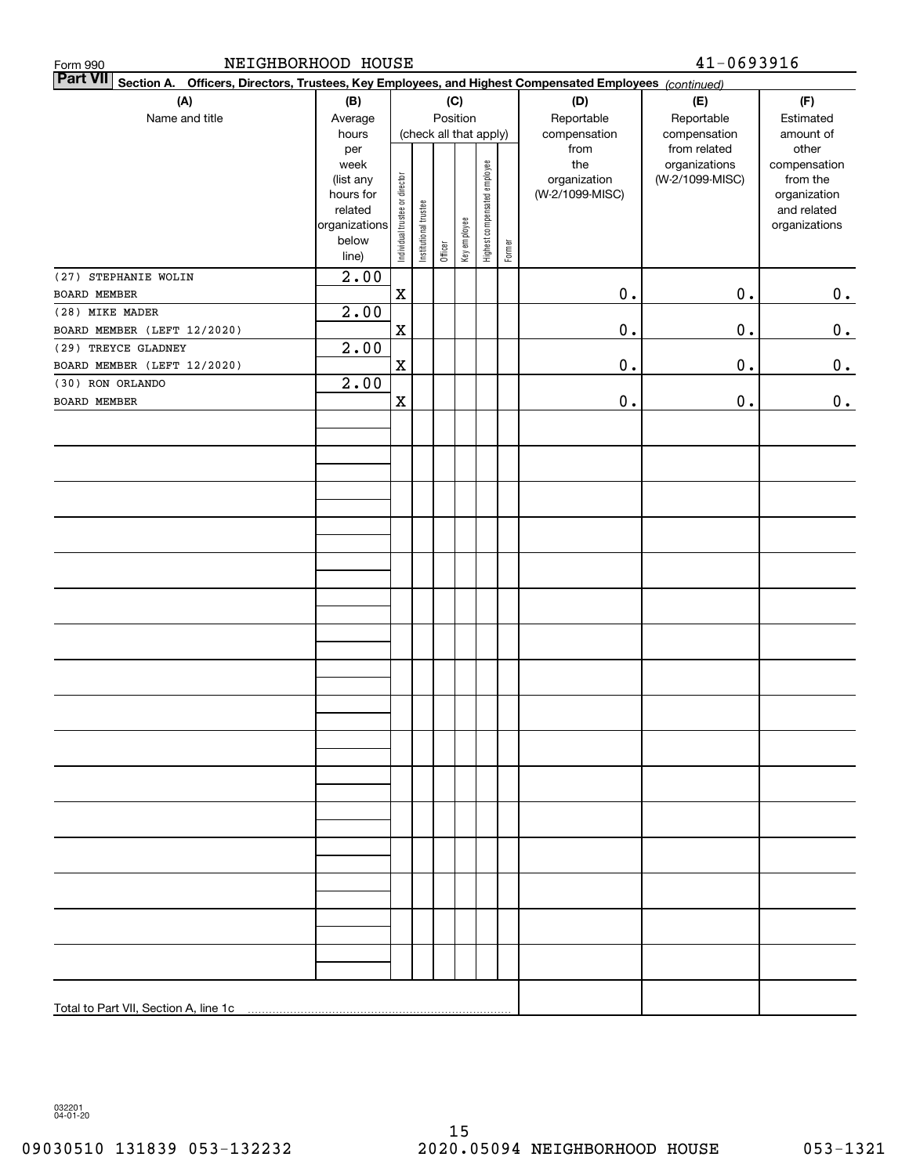| NEIGHBORHOOD HOUSE<br>Form 990 |                                                                                              | 41-0693916                     |                       |         |              |                                                        |        |                                                                                             |                                                                  |                                                                                                |  |  |  |
|--------------------------------|----------------------------------------------------------------------------------------------|--------------------------------|-----------------------|---------|--------------|--------------------------------------------------------|--------|---------------------------------------------------------------------------------------------|------------------------------------------------------------------|------------------------------------------------------------------------------------------------|--|--|--|
| <b>Part VII</b><br>Section A.  |                                                                                              |                                |                       |         |              |                                                        |        | Officers, Directors, Trustees, Key Employees, and Highest Compensated Employees (continued) |                                                                  |                                                                                                |  |  |  |
| (A)                            | (B)                                                                                          |                                |                       |         | (C)          |                                                        |        | (D)                                                                                         | (E)                                                              | (F)                                                                                            |  |  |  |
| Name and title                 | Average                                                                                      |                                |                       |         | Position     |                                                        |        | Reportable                                                                                  | Reportable                                                       | Estimated                                                                                      |  |  |  |
|                                | hours<br>per<br>week<br>(list any<br>hours for<br>related<br>organizations<br>below<br>line) | Individual trustee or director | Institutional trustee | Officer | Key employee | (check all that apply)<br>Highest compensated employee | Former | compensation<br>from<br>the<br>organization<br>(W-2/1099-MISC)                              | compensation<br>from related<br>organizations<br>(W-2/1099-MISC) | amount of<br>other<br>compensation<br>from the<br>organization<br>and related<br>organizations |  |  |  |
| (27) STEPHANIE WOLIN           | 2.00                                                                                         |                                |                       |         |              |                                                        |        |                                                                                             |                                                                  |                                                                                                |  |  |  |
| BOARD MEMBER                   |                                                                                              | $\mathbf X$                    |                       |         |              |                                                        |        | $\mathbf 0$ .                                                                               | $0$ .                                                            | 0.                                                                                             |  |  |  |
| (28) MIKE MADER                | 2.00                                                                                         |                                |                       |         |              |                                                        |        |                                                                                             |                                                                  |                                                                                                |  |  |  |
| BOARD MEMBER (LEFT 12/2020)    |                                                                                              | $\mathbf X$                    |                       |         |              |                                                        |        | $\mathbf 0$ .                                                                               | 0.                                                               | $\mathbf 0$ .                                                                                  |  |  |  |
| (29) TREYCE GLADNEY            | 2.00                                                                                         |                                |                       |         |              |                                                        |        |                                                                                             |                                                                  |                                                                                                |  |  |  |
| BOARD MEMBER (LEFT 12/2020)    |                                                                                              | $\mathbf X$                    |                       |         |              |                                                        |        | $\mathbf 0$ .                                                                               | 0.                                                               | $\mathbf 0$ .                                                                                  |  |  |  |
| (30) RON ORLANDO               | 2.00                                                                                         |                                |                       |         |              |                                                        |        |                                                                                             |                                                                  |                                                                                                |  |  |  |
| <b>BOARD MEMBER</b>            |                                                                                              | $\mathbf X$                    |                       |         |              |                                                        |        | 0.                                                                                          | 0.                                                               | 0.                                                                                             |  |  |  |
|                                |                                                                                              |                                |                       |         |              |                                                        |        |                                                                                             |                                                                  |                                                                                                |  |  |  |
|                                |                                                                                              |                                |                       |         |              |                                                        |        |                                                                                             |                                                                  |                                                                                                |  |  |  |
|                                |                                                                                              |                                |                       |         |              |                                                        |        |                                                                                             |                                                                  |                                                                                                |  |  |  |
|                                |                                                                                              |                                |                       |         |              |                                                        |        |                                                                                             |                                                                  |                                                                                                |  |  |  |
|                                |                                                                                              |                                |                       |         |              |                                                        |        |                                                                                             |                                                                  |                                                                                                |  |  |  |
|                                |                                                                                              |                                |                       |         |              |                                                        |        |                                                                                             |                                                                  |                                                                                                |  |  |  |
|                                |                                                                                              |                                |                       |         |              |                                                        |        |                                                                                             |                                                                  |                                                                                                |  |  |  |
|                                |                                                                                              |                                |                       |         |              |                                                        |        |                                                                                             |                                                                  |                                                                                                |  |  |  |
|                                |                                                                                              |                                |                       |         |              |                                                        |        |                                                                                             |                                                                  |                                                                                                |  |  |  |
|                                |                                                                                              |                                |                       |         |              |                                                        |        |                                                                                             |                                                                  |                                                                                                |  |  |  |
|                                |                                                                                              |                                |                       |         |              |                                                        |        |                                                                                             |                                                                  |                                                                                                |  |  |  |
|                                |                                                                                              |                                |                       |         |              |                                                        |        |                                                                                             |                                                                  |                                                                                                |  |  |  |
|                                |                                                                                              |                                |                       |         |              |                                                        |        |                                                                                             |                                                                  |                                                                                                |  |  |  |
|                                |                                                                                              |                                |                       |         |              |                                                        |        |                                                                                             |                                                                  |                                                                                                |  |  |  |
|                                |                                                                                              |                                |                       |         |              |                                                        |        |                                                                                             |                                                                  |                                                                                                |  |  |  |
|                                |                                                                                              |                                |                       |         |              |                                                        |        |                                                                                             |                                                                  |                                                                                                |  |  |  |
|                                |                                                                                              |                                |                       |         |              |                                                        |        |                                                                                             |                                                                  |                                                                                                |  |  |  |
|                                |                                                                                              |                                |                       |         |              |                                                        |        |                                                                                             |                                                                  |                                                                                                |  |  |  |
|                                |                                                                                              |                                |                       |         |              |                                                        |        |                                                                                             |                                                                  |                                                                                                |  |  |  |
|                                |                                                                                              |                                |                       |         |              |                                                        |        |                                                                                             |                                                                  |                                                                                                |  |  |  |
|                                |                                                                                              |                                |                       |         |              |                                                        |        |                                                                                             |                                                                  |                                                                                                |  |  |  |
|                                |                                                                                              |                                |                       |         |              |                                                        |        |                                                                                             |                                                                  |                                                                                                |  |  |  |
|                                |                                                                                              |                                |                       |         |              |                                                        |        |                                                                                             |                                                                  |                                                                                                |  |  |  |
|                                |                                                                                              |                                |                       |         |              |                                                        |        |                                                                                             |                                                                  |                                                                                                |  |  |  |
|                                |                                                                                              |                                |                       |         |              |                                                        |        |                                                                                             |                                                                  |                                                                                                |  |  |  |
|                                |                                                                                              |                                |                       |         |              |                                                        |        |                                                                                             |                                                                  |                                                                                                |  |  |  |
|                                |                                                                                              |                                |                       |         |              |                                                        |        |                                                                                             |                                                                  |                                                                                                |  |  |  |
|                                |                                                                                              |                                |                       |         |              |                                                        |        |                                                                                             |                                                                  |                                                                                                |  |  |  |
|                                |                                                                                              |                                |                       |         |              |                                                        |        |                                                                                             |                                                                  |                                                                                                |  |  |  |
|                                |                                                                                              |                                |                       |         |              |                                                        |        |                                                                                             |                                                                  |                                                                                                |  |  |  |
|                                |                                                                                              |                                |                       |         |              |                                                        |        |                                                                                             |                                                                  |                                                                                                |  |  |  |
|                                |                                                                                              |                                |                       |         |              |                                                        |        |                                                                                             |                                                                  |                                                                                                |  |  |  |

032201 04-01-20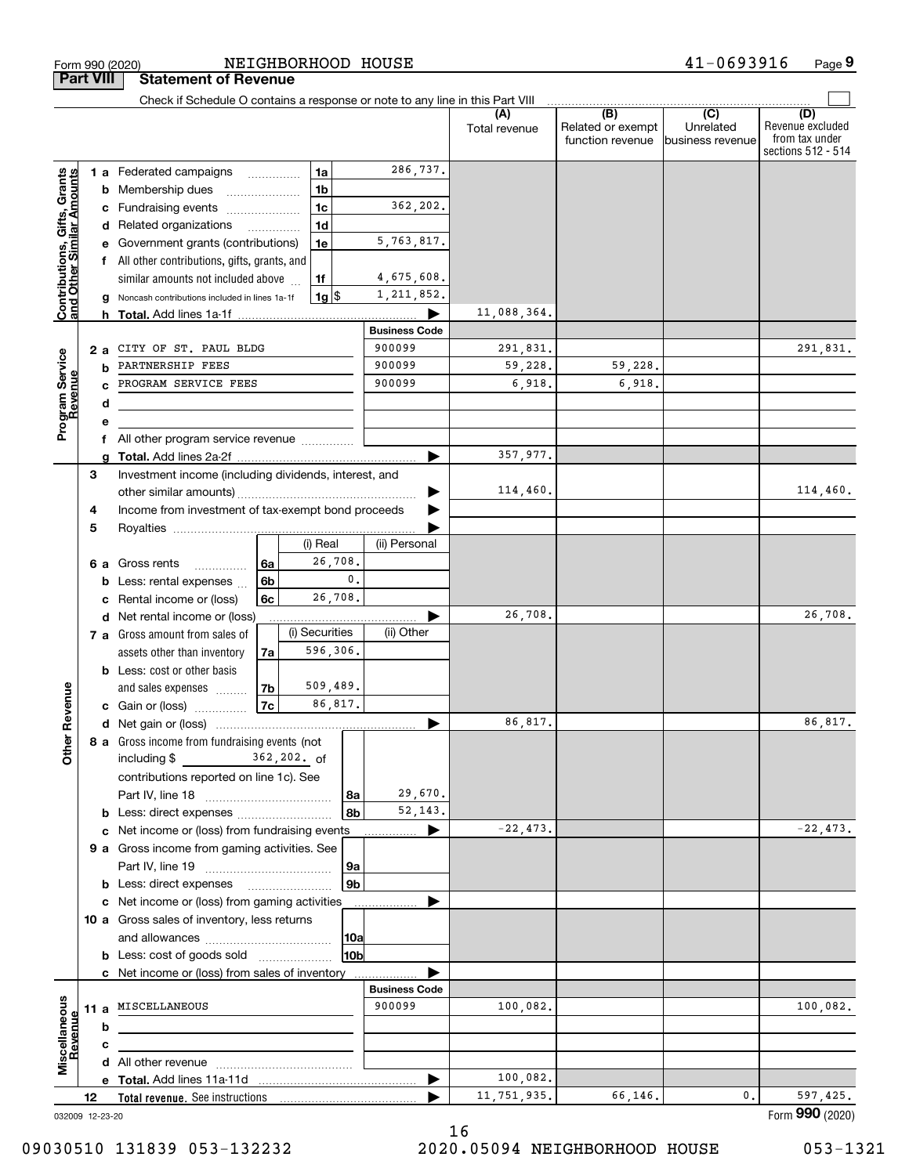|                                                           |    |   | Check if Schedule O contains a response or note to any line in this Part VIII |                |                |                      |                      |               |                                              |                                      |                                                                 |
|-----------------------------------------------------------|----|---|-------------------------------------------------------------------------------|----------------|----------------|----------------------|----------------------|---------------|----------------------------------------------|--------------------------------------|-----------------------------------------------------------------|
|                                                           |    |   |                                                                               |                |                |                      |                      | Total revenue | (B)<br>Related or exempt<br>function revenue | (C)<br>Unrelated<br>business revenue | (D)<br>Revenue excluded<br>from tax under<br>sections 512 - 514 |
|                                                           |    |   | 1 a Federated campaigns                                                       |                | 1a             |                      | 286,737.             |               |                                              |                                      |                                                                 |
| Contributions, Gifts, Grants<br>and Other Similar Amounts |    |   | <b>b</b> Membership dues                                                      |                | 1 <sub>b</sub> |                      |                      |               |                                              |                                      |                                                                 |
|                                                           |    |   | c Fundraising events                                                          |                | 1 <sub>c</sub> |                      | 362,202.             |               |                                              |                                      |                                                                 |
|                                                           |    |   | d Related organizations                                                       |                | 1 <sub>d</sub> |                      |                      |               |                                              |                                      |                                                                 |
|                                                           |    |   | e Government grants (contributions)                                           |                | 1e             |                      | 5,763,817.           |               |                                              |                                      |                                                                 |
|                                                           |    |   | f All other contributions, gifts, grants, and                                 |                |                |                      |                      |               |                                              |                                      |                                                                 |
|                                                           |    |   | similar amounts not included above                                            |                | 1f             |                      | 4,675,608.           |               |                                              |                                      |                                                                 |
|                                                           |    |   | g Noncash contributions included in lines 1a-1f                               |                | 1g             |                      | 1, 211, 852.         |               |                                              |                                      |                                                                 |
|                                                           |    |   |                                                                               |                |                |                      |                      | 11,088,364.   |                                              |                                      |                                                                 |
|                                                           |    |   |                                                                               |                |                |                      | <b>Business Code</b> |               |                                              |                                      |                                                                 |
|                                                           |    |   | 2 a CITY OF ST. PAUL BLDG                                                     |                |                |                      | 900099               | 291,831.      |                                              |                                      | 291,831.                                                        |
|                                                           |    |   | PARTNERSHIP FEES                                                              |                |                |                      | 900099               | 59,228.       | 59,228.                                      |                                      |                                                                 |
|                                                           |    |   | PROGRAM SERVICE FEES                                                          |                |                |                      | 900099               | 6,918.        | 6,918.                                       |                                      |                                                                 |
|                                                           |    | d |                                                                               |                |                |                      |                      |               |                                              |                                      |                                                                 |
| Program Service<br>Revenue                                |    | е |                                                                               |                |                |                      |                      |               |                                              |                                      |                                                                 |
|                                                           |    |   | f All other program service revenue                                           |                |                |                      |                      |               |                                              |                                      |                                                                 |
|                                                           |    |   |                                                                               |                |                |                      |                      | 357,977.      |                                              |                                      |                                                                 |
|                                                           | З  |   | Investment income (including dividends, interest, and                         |                |                |                      |                      |               |                                              |                                      |                                                                 |
|                                                           |    |   |                                                                               |                |                |                      |                      | 114,460.      |                                              |                                      | 114,460.                                                        |
|                                                           | 4  |   | Income from investment of tax-exempt bond proceeds                            |                |                |                      |                      |               |                                              |                                      |                                                                 |
|                                                           | 5  |   |                                                                               |                |                |                      |                      |               |                                              |                                      |                                                                 |
|                                                           |    |   |                                                                               |                | (i) Real       |                      | (ii) Personal        |               |                                              |                                      |                                                                 |
|                                                           |    |   | <b>6 a</b> Gross rents                                                        | 6a             | 26,708.        |                      |                      |               |                                              |                                      |                                                                 |
|                                                           |    |   | <b>b</b> Less: rental expenses                                                | 6b             |                | $\mathbf{0}$ .       |                      |               |                                              |                                      |                                                                 |
|                                                           |    |   | c Rental income or (loss)                                                     | 6c             | 26,708.        |                      |                      |               |                                              |                                      |                                                                 |
|                                                           |    |   | d Net rental income or (loss)                                                 |                |                |                      |                      | 26,708.       |                                              |                                      | 26,708.                                                         |
|                                                           |    |   | 7 a Gross amount from sales of                                                |                | (i) Securities |                      | (ii) Other           |               |                                              |                                      |                                                                 |
|                                                           |    |   | assets other than inventory                                                   | 7a             | 596,306.       |                      |                      |               |                                              |                                      |                                                                 |
|                                                           |    |   | <b>b</b> Less: cost or other basis                                            |                |                |                      |                      |               |                                              |                                      |                                                                 |
|                                                           |    |   | and sales expenses                                                            | 7 <sub>b</sub> | 509,489.       |                      |                      |               |                                              |                                      |                                                                 |
| ther Revenue                                              |    |   | c Gain or (loss)                                                              | 7c             | 86,817.        |                      |                      |               |                                              |                                      |                                                                 |
|                                                           |    |   |                                                                               |                |                |                      |                      | 86,817.       |                                              |                                      | 86,817.                                                         |
|                                                           |    |   | 8 a Gross income from fundraising events (not                                 |                |                |                      |                      |               |                                              |                                      |                                                                 |
| ō                                                         |    |   | including $$362, 202$ . of                                                    |                |                |                      |                      |               |                                              |                                      |                                                                 |
|                                                           |    |   | contributions reported on line 1c). See                                       |                |                |                      |                      |               |                                              |                                      |                                                                 |
|                                                           |    |   |                                                                               |                |                | l 8a                 | 29,670.              |               |                                              |                                      |                                                                 |
|                                                           |    |   | <b>b</b> Less: direct expenses <b>constants b</b>                             |                |                | 8b                   | 52, 143.             | $-22,473.$    |                                              |                                      | $-22,473.$                                                      |
|                                                           |    |   | c Net income or (loss) from fundraising events                                |                |                |                      |                      |               |                                              |                                      |                                                                 |
|                                                           |    |   | 9 a Gross income from gaming activities. See                                  |                |                |                      |                      |               |                                              |                                      |                                                                 |
|                                                           |    |   |                                                                               |                |                | 9a<br>9 <sub>b</sub> |                      |               |                                              |                                      |                                                                 |
|                                                           |    |   | c Net income or (loss) from gaming activities                                 |                |                |                      |                      |               |                                              |                                      |                                                                 |
|                                                           |    |   | 10 a Gross sales of inventory, less returns                                   |                |                |                      |                      |               |                                              |                                      |                                                                 |
|                                                           |    |   |                                                                               |                |                |                      |                      |               |                                              |                                      |                                                                 |
|                                                           |    |   | <b>b</b> Less: cost of goods sold                                             |                |                | 10a<br>10b           |                      |               |                                              |                                      |                                                                 |
|                                                           |    |   | c Net income or (loss) from sales of inventory                                |                |                |                      |                      |               |                                              |                                      |                                                                 |
|                                                           |    |   |                                                                               |                |                |                      | <b>Business Code</b> |               |                                              |                                      |                                                                 |
|                                                           |    |   | 11 a MISCELLANEOUS                                                            |                |                |                      | 900099               | 100,082.      |                                              |                                      | 100,082.                                                        |
|                                                           |    | b |                                                                               |                |                |                      |                      |               |                                              |                                      |                                                                 |
|                                                           |    | с |                                                                               |                |                |                      |                      |               |                                              |                                      |                                                                 |
| Miscellaneous<br>Revenue                                  |    |   |                                                                               |                |                |                      |                      |               |                                              |                                      |                                                                 |
|                                                           |    |   |                                                                               |                |                |                      | ▶                    | 100,082.      |                                              |                                      |                                                                 |
|                                                           | 12 |   |                                                                               |                |                |                      |                      | 11,751,935.   | 66,146.                                      | 0.                                   | 597,425.                                                        |
| 032009 12-23-20                                           |    |   |                                                                               |                |                |                      |                      |               |                                              |                                      | Form 990 (2020)                                                 |

16 09030510 131839 053-132232 2020.05094 NEIGHBORHOOD HOUSE 053-1321

**Part VIII Statement of Revenue**

NEIGHBORHOOD HOUSE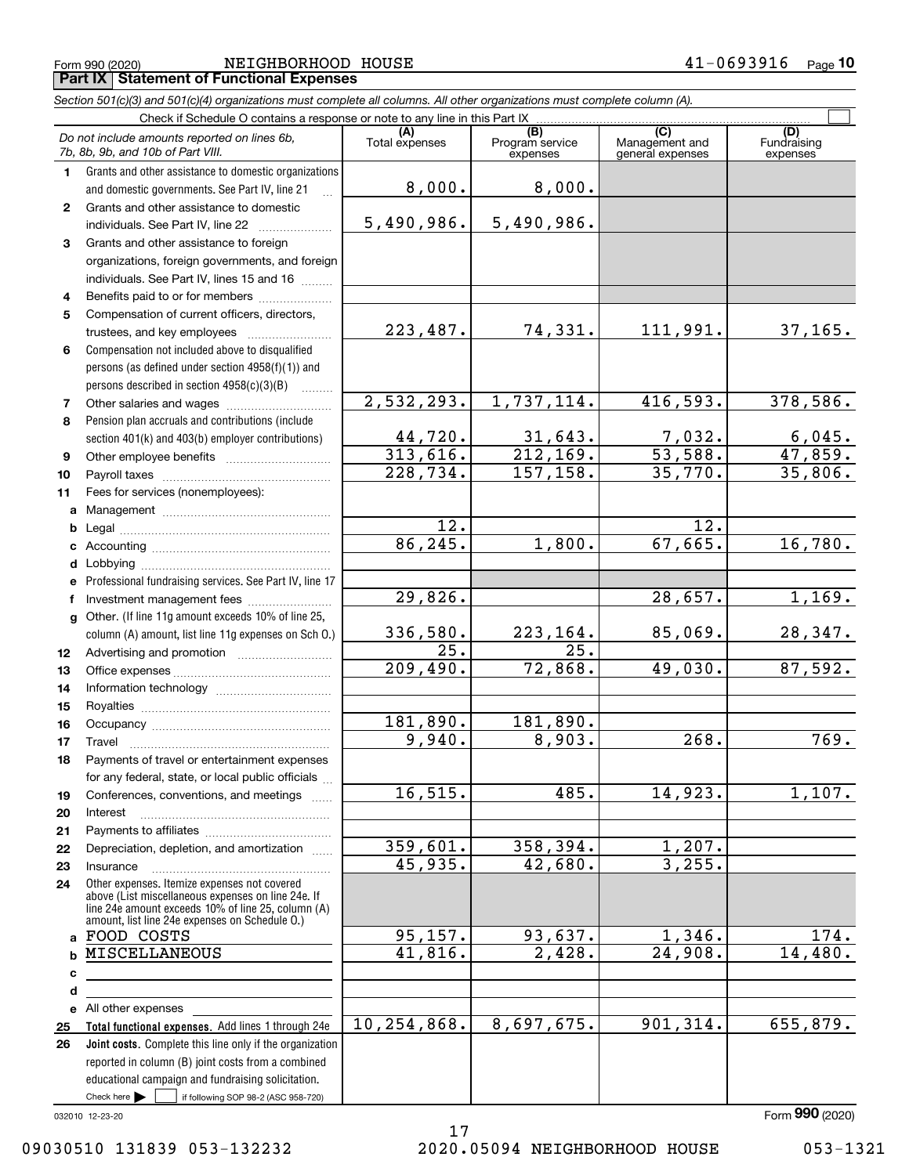Form 990 (2020) Page **Part IX Statement of Functional Expenses** NEIGHBORHOOD HOUSE 41-0693916

|              | Section 501(c)(3) and 501(c)(4) organizations must complete all columns. All other organizations must complete column (A).                                                                                 |                        |                                    |                                           |                                |
|--------------|------------------------------------------------------------------------------------------------------------------------------------------------------------------------------------------------------------|------------------------|------------------------------------|-------------------------------------------|--------------------------------|
|              | Check if Schedule O contains a response or note to any line in this Part IX                                                                                                                                |                        |                                    |                                           |                                |
|              | Do not include amounts reported on lines 6b,<br>7b, 8b, 9b, and 10b of Part VIII.                                                                                                                          | (A)<br>Total expenses  | (B)<br>Program service<br>expenses | (C)<br>Management and<br>general expenses | (D)<br>Fundraising<br>expenses |
| $\mathbf 1$  | Grants and other assistance to domestic organizations                                                                                                                                                      |                        |                                    |                                           |                                |
|              | and domestic governments. See Part IV, line 21                                                                                                                                                             | 8,000.                 | 8,000.                             |                                           |                                |
| $\mathbf{2}$ | Grants and other assistance to domestic                                                                                                                                                                    |                        |                                    |                                           |                                |
|              | individuals. See Part IV, line 22                                                                                                                                                                          | 5,490,986.             | 5,490,986.                         |                                           |                                |
| 3            | Grants and other assistance to foreign                                                                                                                                                                     |                        |                                    |                                           |                                |
|              | organizations, foreign governments, and foreign                                                                                                                                                            |                        |                                    |                                           |                                |
|              | individuals. See Part IV, lines 15 and 16                                                                                                                                                                  |                        |                                    |                                           |                                |
| 4            | Benefits paid to or for members                                                                                                                                                                            |                        |                                    |                                           |                                |
| 5            | Compensation of current officers, directors,                                                                                                                                                               |                        |                                    |                                           |                                |
|              | trustees, and key employees                                                                                                                                                                                | 223,487.               | 74,331.                            | 111,991.                                  | 37, 165.                       |
| 6            | Compensation not included above to disqualified                                                                                                                                                            |                        |                                    |                                           |                                |
|              | persons (as defined under section 4958(f)(1)) and                                                                                                                                                          |                        |                                    |                                           |                                |
|              | persons described in section 4958(c)(3)(B)<br>.                                                                                                                                                            |                        |                                    |                                           |                                |
| 7            |                                                                                                                                                                                                            | 2,532,293.             | 1,737,114.                         | 416,593.                                  | 378,586.                       |
| 8            | Pension plan accruals and contributions (include                                                                                                                                                           |                        |                                    |                                           |                                |
|              | section 401(k) and 403(b) employer contributions)                                                                                                                                                          | 44,720.                | $\frac{31,643}{212,169}$           | $\frac{7,032}{53,588}$                    | $\frac{6,045.}{47,859.}$       |
| 9            |                                                                                                                                                                                                            | 313,616.               |                                    |                                           |                                |
| 10           |                                                                                                                                                                                                            | $\overline{228,734}$ . | 157, 158.                          | 35,770.                                   | 35,806.                        |
| 11           | Fees for services (nonemployees):                                                                                                                                                                          |                        |                                    |                                           |                                |
| a            |                                                                                                                                                                                                            |                        |                                    |                                           |                                |
| b            |                                                                                                                                                                                                            | 12.                    |                                    | 12.                                       |                                |
| c            |                                                                                                                                                                                                            | 86, 245.               | 1,800.                             | 67,665.                                   | 16,780.                        |
| d            |                                                                                                                                                                                                            |                        |                                    |                                           |                                |
| е            | Professional fundraising services. See Part IV, line 17                                                                                                                                                    |                        |                                    |                                           |                                |
| f            | Investment management fees                                                                                                                                                                                 | 29,826.                |                                    | 28,657.                                   | 1,169.                         |
| g            | Other. (If line 11g amount exceeds 10% of line 25,                                                                                                                                                         |                        |                                    |                                           |                                |
|              | column (A) amount, list line 11g expenses on Sch O.)                                                                                                                                                       | 336,580.               | 223, 164.                          | 85,069.                                   | 28,347.                        |
| 12           |                                                                                                                                                                                                            | $\overline{25}$ .      | $\overline{25}$                    |                                           |                                |
| 13           |                                                                                                                                                                                                            | 209,490.               | 72,868.                            | 49,030.                                   | 87,592.                        |
| 14           |                                                                                                                                                                                                            |                        |                                    |                                           |                                |
| 15           |                                                                                                                                                                                                            |                        |                                    |                                           |                                |
| 16           |                                                                                                                                                                                                            | 181,890.               | 181,890.                           |                                           |                                |
| 17           |                                                                                                                                                                                                            | 9,940.                 | 8,903.                             | 268.                                      | 769.                           |
| 18           | Payments of travel or entertainment expenses                                                                                                                                                               |                        |                                    |                                           |                                |
|              | for any federal, state, or local public officials                                                                                                                                                          |                        |                                    |                                           |                                |
| 19           | Conferences, conventions, and meetings                                                                                                                                                                     | 16, 515.               | 485.                               | 14,923.                                   | 1,107.                         |
| 20           | Interest                                                                                                                                                                                                   |                        |                                    |                                           |                                |
| 21           |                                                                                                                                                                                                            |                        |                                    |                                           |                                |
| 22           | Depreciation, depletion, and amortization                                                                                                                                                                  | 359,601.               | 358,394.                           | 1,207.                                    |                                |
| 23           | Insurance                                                                                                                                                                                                  | 45,935.                | 42,680.                            | 3,255.                                    |                                |
| 24           | Other expenses. Itemize expenses not covered<br>above (List miscellaneous expenses on line 24e. If<br>line 24e amount exceeds 10% of line 25, column (A)<br>amount, list line 24e expenses on Schedule O.) |                        |                                    |                                           |                                |
| a            | FOOD COSTS                                                                                                                                                                                                 | 95, 157.               | 93,637.                            | 1,346.                                    | 174.                           |
| b            | <b>MISCELLANEOUS</b>                                                                                                                                                                                       | 41,816.                | 2,428.                             | $\overline{24,908}$ .                     | 14,480.                        |
| с            |                                                                                                                                                                                                            |                        |                                    |                                           |                                |
| d            |                                                                                                                                                                                                            |                        |                                    |                                           |                                |
|              | e All other expenses                                                                                                                                                                                       |                        |                                    |                                           |                                |
| 25           | Total functional expenses. Add lines 1 through 24e                                                                                                                                                         | 10,254,868.            | 8,697,675.                         | 901,314.                                  | 655,879.                       |
| 26           | Joint costs. Complete this line only if the organization                                                                                                                                                   |                        |                                    |                                           |                                |
|              | reported in column (B) joint costs from a combined                                                                                                                                                         |                        |                                    |                                           |                                |
|              | educational campaign and fundraising solicitation.                                                                                                                                                         |                        |                                    |                                           |                                |

032010 12-23-20

Check here

 $\mathcal{L}^{\text{max}}$ 

if following SOP 98-2 (ASC 958-720)

17 09030510 131839 053-132232 2020.05094 NEIGHBORHOOD HOUSE 053-1321

Form (2020) **990**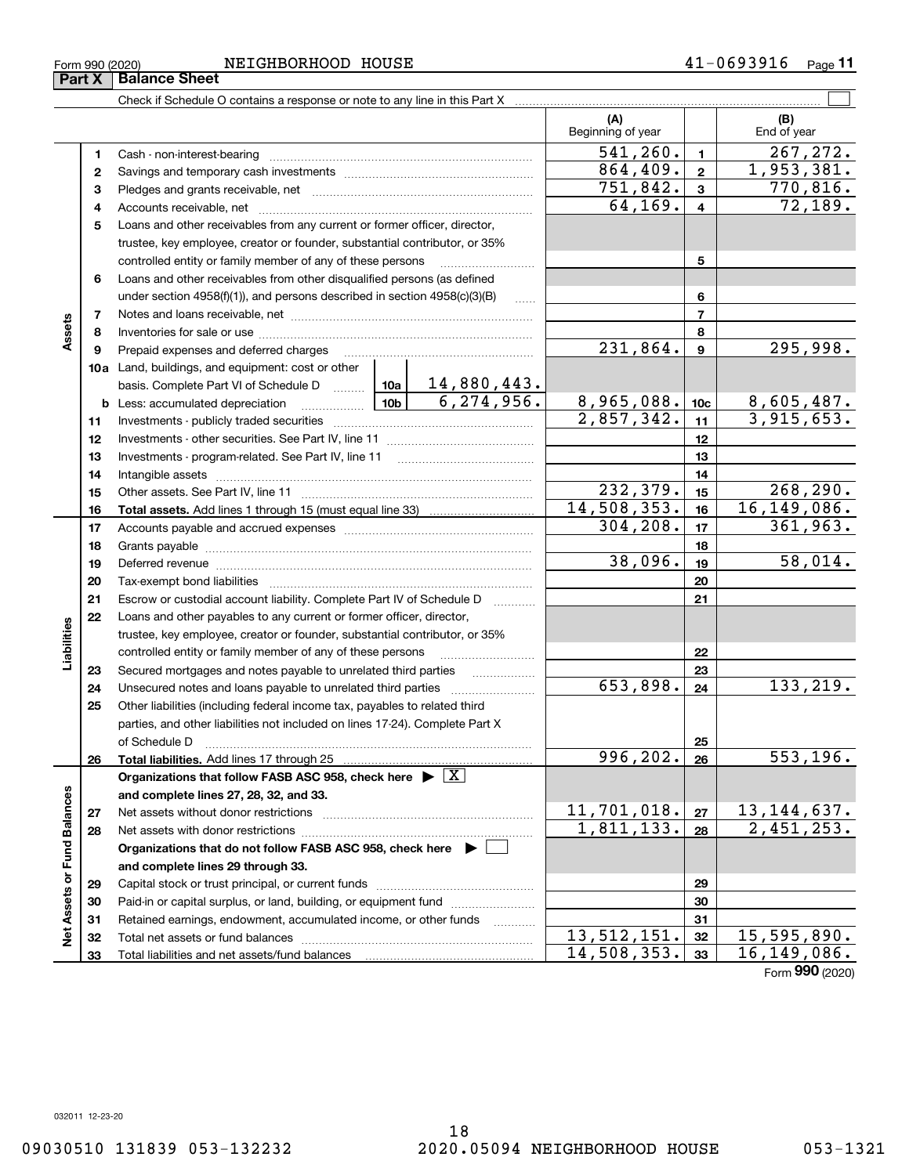| Form 990 (2020) | NEIGHBORHOOD HOUSE                                                         |                          |   | $41 - 0693916$<br>$_{\text{Page}}$ 11 |
|-----------------|----------------------------------------------------------------------------|--------------------------|---|---------------------------------------|
| Part X          | <b>Balance Sheet</b>                                                       |                          |   |                                       |
|                 | Check if Schedule O contains a response or note to any line in this Part X |                          |   |                                       |
|                 |                                                                            | (A)<br>Beginning of year |   | (B)<br>End of year                    |
|                 | Cash - non-interest-bearing                                                | 541, 260.                |   | 267,272.                              |
|                 | Savings and temporary cash investments                                     | 864,409.                 | 2 | 1,953,381.                            |
| з               | Pledges and grants receivable, net                                         | 751,842.                 |   | 770,816.                              |
| 4               | Accounts receivable, net                                                   | 64, 169.                 |   | 72,189.                               |
| 5               | Loans and other receivables from any current or former officer, director,  |                          |   |                                       |
|                 | trunted key employee erector or founder oubetantial contributor or 250%    |                          |   |                                       |

**5**Loans and other receivables from any current or former officer, director, trustee, key employee, creator or founder, substantial contributor, or 35%

controlled entity or family member of any of these persons ~~~~~~~~~

**6**Loans and other receivables from other disqualified persons (as defined

|                             |    | under section $4958(f)(1)$ , and persons described in section $4958(c)(3)(B)$                                     |                 | 6                                |             |                                  |                         |
|-----------------------------|----|-------------------------------------------------------------------------------------------------------------------|-----------------|----------------------------------|-------------|----------------------------------|-------------------------|
|                             | 7  |                                                                                                                   |                 |                                  |             | $\overline{7}$                   |                         |
| Assets                      | 8  |                                                                                                                   |                 |                                  |             | 8                                |                         |
|                             | 9  | Prepaid expenses and deferred charges [11] [11] prepaid expenses and deferred charges [11] [11] minimum materials |                 |                                  | 231,864.    | $\mathbf{9}$                     | 295,998.                |
|                             |    | 10a Land, buildings, and equipment: cost or other                                                                 |                 |                                  |             |                                  |                         |
|                             |    | basis. Complete Part VI of Schedule D  10a                                                                        |                 | 14,880,443.                      |             |                                  |                         |
|                             |    | <b>b</b> Less: accumulated depreciation<br>. 1                                                                    | 10 <sub>b</sub> | 6, 274, 956.                     | 8,965,088.  | 10 <sub>c</sub>                  | 8,605,487.              |
|                             | 11 |                                                                                                                   |                 |                                  | 2,857,342.  | 11                               | $\overline{3,915,653.}$ |
|                             | 12 |                                                                                                                   |                 |                                  |             | 12                               |                         |
|                             | 13 |                                                                                                                   |                 |                                  |             | 13                               |                         |
|                             | 14 | Intangible assets                                                                                                 |                 |                                  |             | 14                               |                         |
|                             | 15 |                                                                                                                   |                 |                                  | 232,379.    | 15                               | 268, 290.               |
|                             | 16 |                                                                                                                   |                 |                                  | 14,508,353. | 16                               | 16, 149, 086.           |
|                             | 17 |                                                                                                                   |                 |                                  | 304, 208.   | 17                               | 361,963.                |
|                             | 18 |                                                                                                                   |                 |                                  |             | 18                               |                         |
|                             | 19 |                                                                                                                   |                 |                                  | 38,096.     | 19                               | 58,014.                 |
|                             | 20 |                                                                                                                   |                 | 20                               |             |                                  |                         |
|                             | 21 | Escrow or custodial account liability. Complete Part IV of Schedule D                                             |                 | 21                               |             |                                  |                         |
|                             | 22 | Loans and other payables to any current or former officer, director,                                              |                 |                                  |             |                                  |                         |
|                             |    | trustee, key employee, creator or founder, substantial contributor, or 35%                                        |                 |                                  |             |                                  |                         |
| Liabilities                 |    | controlled entity or family member of any of these persons                                                        |                 |                                  |             | 22                               |                         |
|                             | 23 | Secured mortgages and notes payable to unrelated third parties                                                    |                 |                                  | 23          |                                  |                         |
|                             | 24 |                                                                                                                   | 653,898.        | 24                               | 133,219.    |                                  |                         |
|                             | 25 | Other liabilities (including federal income tax, payables to related third                                        |                 |                                  |             |                                  |                         |
|                             |    | parties, and other liabilities not included on lines 17-24). Complete Part X                                      |                 |                                  |             |                                  |                         |
|                             |    | of Schedule D                                                                                                     |                 |                                  | 25          |                                  |                         |
|                             | 26 |                                                                                                                   |                 |                                  | 996, 202.   | 26                               | 553, 196.               |
|                             |    | Organizations that follow FASB ASC 958, check here $\blacktriangleright \lfloor X \rfloor$                        |                 |                                  |             |                                  |                         |
|                             |    | and complete lines 27, 28, 32, and 33.                                                                            |                 |                                  |             |                                  |                         |
|                             | 27 |                                                                                                                   |                 | $\frac{11,701,018.}{1,811,133.}$ | 27          | $\frac{13,144,637.}{2,451,253.}$ |                         |
|                             | 28 |                                                                                                                   |                 |                                  |             | 28                               |                         |
|                             |    | Organizations that do not follow FASB ASC 958, check here $\blacktriangleright$                                   |                 |                                  |             |                                  |                         |
|                             |    | and complete lines 29 through 33.                                                                                 |                 |                                  |             |                                  |                         |
|                             | 29 |                                                                                                                   |                 |                                  | 29          |                                  |                         |
|                             | 30 | Paid-in or capital surplus, or land, building, or equipment fund                                                  |                 |                                  | 30          |                                  |                         |
| Net Assets or Fund Balances | 31 | Retained earnings, endowment, accumulated income, or other funds                                                  |                 |                                  |             | 31                               |                         |
|                             | 32 | Total net assets or fund balances                                                                                 |                 |                                  | 13,512,151. | 32                               | 15,595,890.             |
|                             | 33 |                                                                                                                   |                 |                                  | 14,508,353. | 33                               | 16, 149, 086.           |
|                             |    |                                                                                                                   |                 |                                  |             |                                  | Form 990 (2020)         |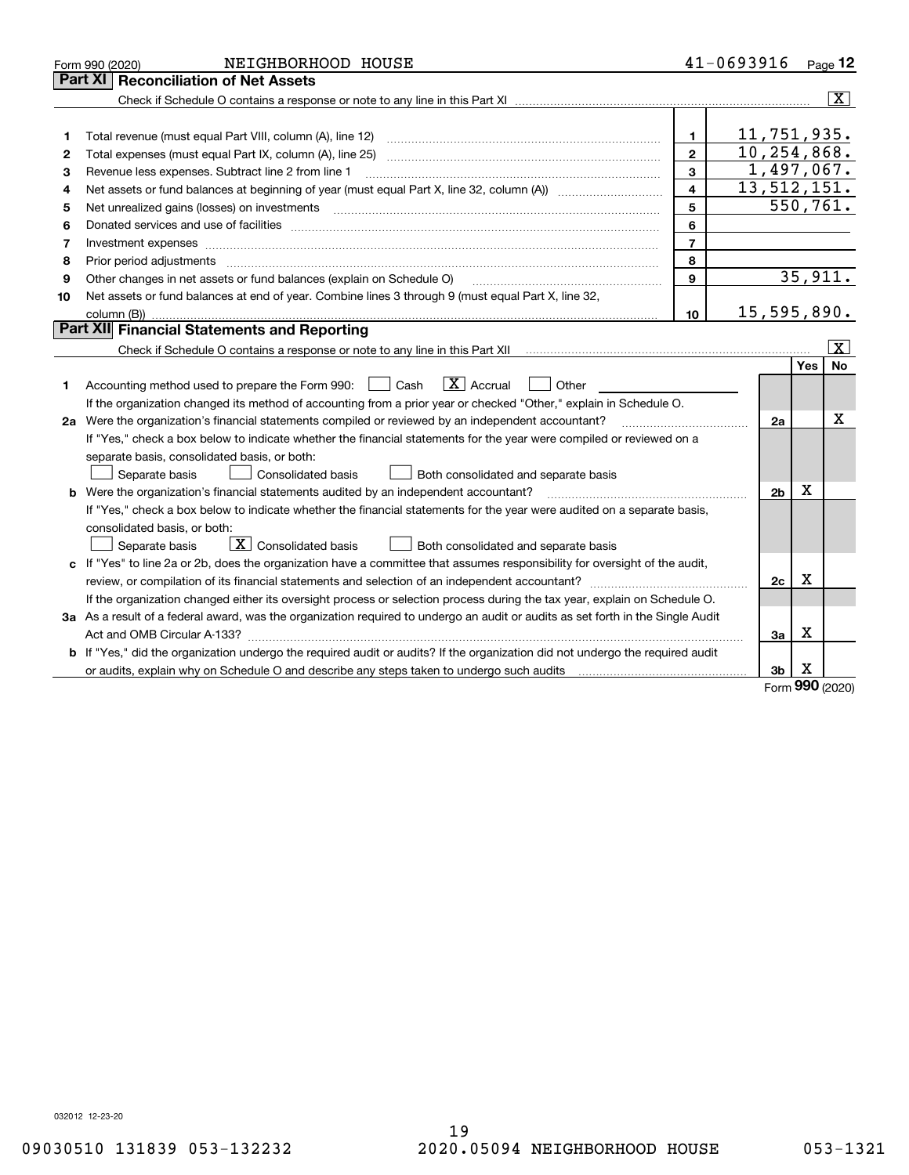|    | NEIGHBORHOOD HOUSE<br>Form 990 (2020)                                                                                                                                                                                          |                         | 41-0693916     |                 | Page 12                 |
|----|--------------------------------------------------------------------------------------------------------------------------------------------------------------------------------------------------------------------------------|-------------------------|----------------|-----------------|-------------------------|
|    | Part XI<br><b>Reconciliation of Net Assets</b>                                                                                                                                                                                 |                         |                |                 |                         |
|    |                                                                                                                                                                                                                                |                         |                |                 | $\overline{\mathbf{x}}$ |
|    |                                                                                                                                                                                                                                |                         |                |                 |                         |
| 1  |                                                                                                                                                                                                                                | 1                       | 11,751,935.    |                 |                         |
| 2  |                                                                                                                                                                                                                                | $\overline{2}$          | 10,254,868.    |                 |                         |
| 3  | Revenue less expenses. Subtract line 2 from line 1                                                                                                                                                                             | $\mathbf{3}$            | 1,497,067.     |                 |                         |
| 4  |                                                                                                                                                                                                                                | $\overline{\mathbf{A}}$ | 13, 512, 151.  |                 |                         |
| 5  |                                                                                                                                                                                                                                | 5                       |                |                 | 550, 761.               |
| 6  |                                                                                                                                                                                                                                | 6                       |                |                 |                         |
| 7  | Investment expenses                                                                                                                                                                                                            | $\overline{7}$          |                |                 |                         |
| 8  | Prior period adjustments material contents and content of the content of the content of the content of the content of the content of the content of the content of the content of the content of the content of the content of | 8                       |                |                 |                         |
| 9  | Other changes in net assets or fund balances (explain on Schedule O)                                                                                                                                                           | 9                       |                |                 | 35,911.                 |
| 10 | Net assets or fund balances at end of year. Combine lines 3 through 9 (must equal Part X, line 32,                                                                                                                             |                         |                |                 |                         |
|    |                                                                                                                                                                                                                                | 10                      | 15,595,890.    |                 |                         |
|    | Part XII Financial Statements and Reporting                                                                                                                                                                                    |                         |                |                 |                         |
|    |                                                                                                                                                                                                                                |                         |                |                 | $\boxed{\text{X}}$      |
|    |                                                                                                                                                                                                                                |                         |                | Yes             | No                      |
| 1  | $\boxed{\text{X}}$ Accrual<br>Accounting method used to prepare the Form 990: <u>June</u> Cash<br>Other<br>$\mathbf{1}$                                                                                                        |                         |                |                 |                         |
|    | If the organization changed its method of accounting from a prior year or checked "Other," explain in Schedule O.                                                                                                              |                         |                |                 |                         |
|    | 2a Were the organization's financial statements compiled or reviewed by an independent accountant?                                                                                                                             |                         | 2a             |                 | X                       |
|    | If "Yes," check a box below to indicate whether the financial statements for the year were compiled or reviewed on a                                                                                                           |                         |                |                 |                         |
|    | separate basis, consolidated basis, or both:                                                                                                                                                                                   |                         |                |                 |                         |
|    | Separate basis<br><b>Consolidated basis</b><br>Both consolidated and separate basis                                                                                                                                            |                         |                |                 |                         |
|    | <b>b</b> Were the organization's financial statements audited by an independent accountant?                                                                                                                                    |                         | 2 <sub>b</sub> | X               |                         |
|    | If "Yes," check a box below to indicate whether the financial statements for the year were audited on a separate basis,                                                                                                        |                         |                |                 |                         |
|    | consolidated basis, or both:                                                                                                                                                                                                   |                         |                |                 |                         |
|    | $\boxed{\mathbf{X}}$ Consolidated basis<br>Separate basis<br>Both consolidated and separate basis                                                                                                                              |                         |                |                 |                         |
|    | c If "Yes" to line 2a or 2b, does the organization have a committee that assumes responsibility for oversight of the audit,                                                                                                    |                         |                |                 |                         |
|    |                                                                                                                                                                                                                                |                         | 2c             | X               |                         |
|    | If the organization changed either its oversight process or selection process during the tax year, explain on Schedule O.                                                                                                      |                         |                |                 |                         |
|    | 3a As a result of a federal award, was the organization required to undergo an audit or audits as set forth in the Single Audit                                                                                                |                         |                |                 |                         |
|    |                                                                                                                                                                                                                                |                         | За             | x               |                         |
|    | b If "Yes," did the organization undergo the required audit or audits? If the organization did not undergo the required audit                                                                                                  |                         |                |                 |                         |
|    | or audits, explain why on Schedule O and describe any steps taken to undergo such audits manuming contains an                                                                                                                  |                         | 3 <sub>b</sub> | х<br><u>nuu</u> |                         |

Form (2020) **990**

032012 12-23-20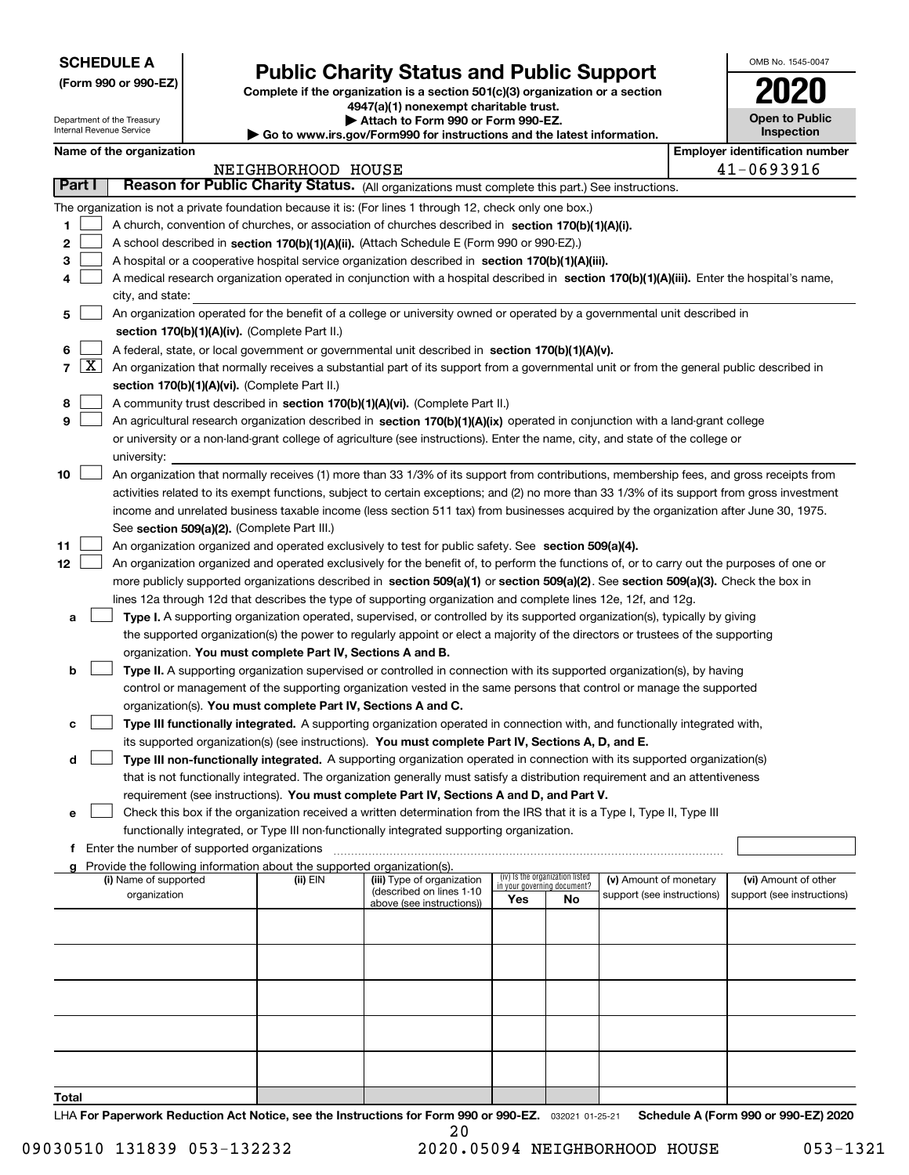Department of the Treasury Internal Revenue Service

**(Form 990 or 990-EZ)**

# **Public Charity Status and Public Support**

**Complete if the organization is a section 501(c)(3) organization or a section 4947(a)(1) nonexempt charitable trust. | Attach to Form 990 or Form 990-EZ.** 

**| Go to www.irs.gov/Form990 for instructions and the latest information.**

| OMB No 1545-0047                    |
|-------------------------------------|
|                                     |
| <b>Open to Public</b><br>Inspection |

|       | <b>Employer identification number</b><br>Name of the organization |                                                                                                                                                                                       |                    |                                                        |                             |                                 |                            |  |                            |
|-------|-------------------------------------------------------------------|---------------------------------------------------------------------------------------------------------------------------------------------------------------------------------------|--------------------|--------------------------------------------------------|-----------------------------|---------------------------------|----------------------------|--|----------------------------|
|       |                                                                   |                                                                                                                                                                                       | NEIGHBORHOOD HOUSE |                                                        |                             |                                 |                            |  | 41-0693916                 |
|       | Part I                                                            | Reason for Public Charity Status. (All organizations must complete this part.) See instructions.                                                                                      |                    |                                                        |                             |                                 |                            |  |                            |
|       |                                                                   | The organization is not a private foundation because it is: (For lines 1 through 12, check only one box.)                                                                             |                    |                                                        |                             |                                 |                            |  |                            |
| 1     |                                                                   | A church, convention of churches, or association of churches described in section 170(b)(1)(A)(i).                                                                                    |                    |                                                        |                             |                                 |                            |  |                            |
| 2     |                                                                   | A school described in section 170(b)(1)(A)(ii). (Attach Schedule E (Form 990 or 990-EZ).)                                                                                             |                    |                                                        |                             |                                 |                            |  |                            |
| З     |                                                                   | A hospital or a cooperative hospital service organization described in section $170(b)(1)(A)(iii)$ .                                                                                  |                    |                                                        |                             |                                 |                            |  |                            |
|       |                                                                   | A medical research organization operated in conjunction with a hospital described in section 170(b)(1)(A)(iii). Enter the hospital's name,                                            |                    |                                                        |                             |                                 |                            |  |                            |
|       |                                                                   | city, and state:                                                                                                                                                                      |                    |                                                        |                             |                                 |                            |  |                            |
| 5     |                                                                   | An organization operated for the benefit of a college or university owned or operated by a governmental unit described in                                                             |                    |                                                        |                             |                                 |                            |  |                            |
|       |                                                                   | section 170(b)(1)(A)(iv). (Complete Part II.)                                                                                                                                         |                    |                                                        |                             |                                 |                            |  |                            |
| 6     |                                                                   | A federal, state, or local government or governmental unit described in section 170(b)(1)(A)(v).                                                                                      |                    |                                                        |                             |                                 |                            |  |                            |
| 7     | $\lfloor x \rfloor$                                               | An organization that normally receives a substantial part of its support from a governmental unit or from the general public described in                                             |                    |                                                        |                             |                                 |                            |  |                            |
|       |                                                                   | section 170(b)(1)(A)(vi). (Complete Part II.)                                                                                                                                         |                    |                                                        |                             |                                 |                            |  |                            |
| 8     |                                                                   | A community trust described in section 170(b)(1)(A)(vi). (Complete Part II.)                                                                                                          |                    |                                                        |                             |                                 |                            |  |                            |
| 9     |                                                                   | An agricultural research organization described in section 170(b)(1)(A)(ix) operated in conjunction with a land-grant college                                                         |                    |                                                        |                             |                                 |                            |  |                            |
|       |                                                                   | or university or a non-land-grant college of agriculture (see instructions). Enter the name, city, and state of the college or                                                        |                    |                                                        |                             |                                 |                            |  |                            |
|       |                                                                   | university:                                                                                                                                                                           |                    |                                                        |                             |                                 |                            |  |                            |
| 10    |                                                                   | An organization that normally receives (1) more than 33 1/3% of its support from contributions, membership fees, and gross receipts from                                              |                    |                                                        |                             |                                 |                            |  |                            |
|       |                                                                   | activities related to its exempt functions, subject to certain exceptions; and (2) no more than 33 1/3% of its support from gross investment                                          |                    |                                                        |                             |                                 |                            |  |                            |
|       |                                                                   | income and unrelated business taxable income (less section 511 tax) from businesses acquired by the organization after June 30, 1975.                                                 |                    |                                                        |                             |                                 |                            |  |                            |
|       |                                                                   | See section 509(a)(2). (Complete Part III.)                                                                                                                                           |                    |                                                        |                             |                                 |                            |  |                            |
| 11    |                                                                   | An organization organized and operated exclusively to test for public safety. See section 509(a)(4).                                                                                  |                    |                                                        |                             |                                 |                            |  |                            |
| 12    |                                                                   | An organization organized and operated exclusively for the benefit of, to perform the functions of, or to carry out the purposes of one or                                            |                    |                                                        |                             |                                 |                            |  |                            |
|       |                                                                   | more publicly supported organizations described in section 509(a)(1) or section 509(a)(2). See section 509(a)(3). Check the box in                                                    |                    |                                                        |                             |                                 |                            |  |                            |
|       |                                                                   | lines 12a through 12d that describes the type of supporting organization and complete lines 12e, 12f, and 12g.                                                                        |                    |                                                        |                             |                                 |                            |  |                            |
| а     |                                                                   | Type I. A supporting organization operated, supervised, or controlled by its supported organization(s), typically by giving                                                           |                    |                                                        |                             |                                 |                            |  |                            |
|       |                                                                   | the supported organization(s) the power to regularly appoint or elect a majority of the directors or trustees of the supporting                                                       |                    |                                                        |                             |                                 |                            |  |                            |
|       |                                                                   | organization. You must complete Part IV, Sections A and B.<br>Type II. A supporting organization supervised or controlled in connection with its supported organization(s), by having |                    |                                                        |                             |                                 |                            |  |                            |
| b     |                                                                   | control or management of the supporting organization vested in the same persons that control or manage the supported                                                                  |                    |                                                        |                             |                                 |                            |  |                            |
|       |                                                                   | organization(s). You must complete Part IV, Sections A and C.                                                                                                                         |                    |                                                        |                             |                                 |                            |  |                            |
| с     |                                                                   | Type III functionally integrated. A supporting organization operated in connection with, and functionally integrated with,                                                            |                    |                                                        |                             |                                 |                            |  |                            |
|       |                                                                   | its supported organization(s) (see instructions). You must complete Part IV, Sections A, D, and E.                                                                                    |                    |                                                        |                             |                                 |                            |  |                            |
| d     |                                                                   | Type III non-functionally integrated. A supporting organization operated in connection with its supported organization(s)                                                             |                    |                                                        |                             |                                 |                            |  |                            |
|       |                                                                   | that is not functionally integrated. The organization generally must satisfy a distribution requirement and an attentiveness                                                          |                    |                                                        |                             |                                 |                            |  |                            |
|       |                                                                   | requirement (see instructions). You must complete Part IV, Sections A and D, and Part V.                                                                                              |                    |                                                        |                             |                                 |                            |  |                            |
| е     |                                                                   | Check this box if the organization received a written determination from the IRS that it is a Type I, Type II, Type III                                                               |                    |                                                        |                             |                                 |                            |  |                            |
|       |                                                                   | functionally integrated, or Type III non-functionally integrated supporting organization.                                                                                             |                    |                                                        |                             |                                 |                            |  |                            |
|       |                                                                   | f Enter the number of supported organizations                                                                                                                                         |                    |                                                        |                             |                                 |                            |  |                            |
|       |                                                                   | Provide the following information about the supported organization(s).                                                                                                                |                    |                                                        |                             |                                 |                            |  |                            |
|       |                                                                   | (i) Name of supported                                                                                                                                                                 | (ii) EIN           | (iii) Type of organization<br>(described on lines 1-10 | in your governing document? | (iv) Is the organization listed | (v) Amount of monetary     |  | (vi) Amount of other       |
|       |                                                                   | organization                                                                                                                                                                          |                    | above (see instructions))                              | Yes                         | No                              | support (see instructions) |  | support (see instructions) |
|       |                                                                   |                                                                                                                                                                                       |                    |                                                        |                             |                                 |                            |  |                            |
|       |                                                                   |                                                                                                                                                                                       |                    |                                                        |                             |                                 |                            |  |                            |
|       |                                                                   |                                                                                                                                                                                       |                    |                                                        |                             |                                 |                            |  |                            |
|       |                                                                   |                                                                                                                                                                                       |                    |                                                        |                             |                                 |                            |  |                            |
|       |                                                                   |                                                                                                                                                                                       |                    |                                                        |                             |                                 |                            |  |                            |
|       |                                                                   |                                                                                                                                                                                       |                    |                                                        |                             |                                 |                            |  |                            |
|       |                                                                   |                                                                                                                                                                                       |                    |                                                        |                             |                                 |                            |  |                            |
|       |                                                                   |                                                                                                                                                                                       |                    |                                                        |                             |                                 |                            |  |                            |
|       |                                                                   |                                                                                                                                                                                       |                    |                                                        |                             |                                 |                            |  |                            |
| Total |                                                                   |                                                                                                                                                                                       |                    |                                                        |                             |                                 |                            |  |                            |

LHA For Paperwork Reduction Act Notice, see the Instructions for Form 990 or 990-EZ. <sub>032021</sub> o1-25-21 Schedule A (Form 990 or 990-EZ) 2020 20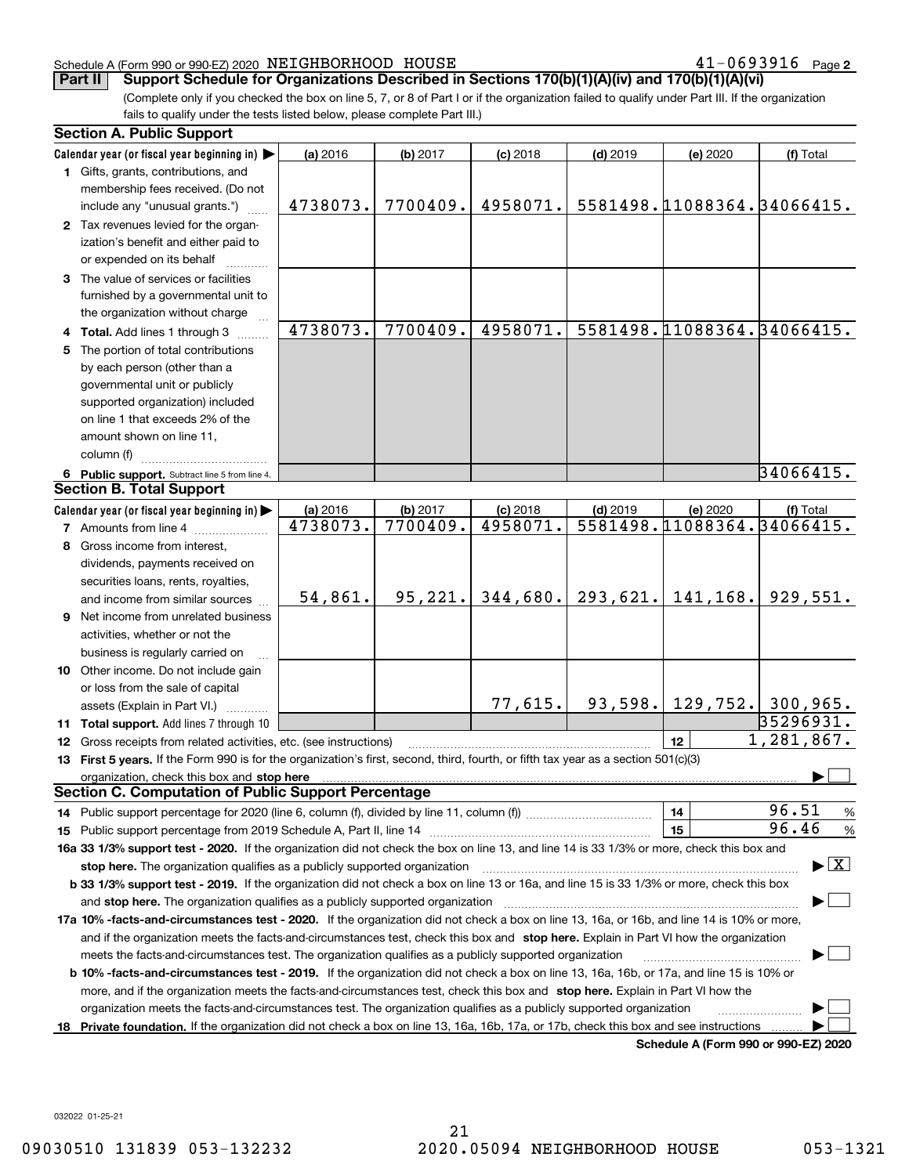## Schedule A (Form 990 or 990-EZ) 2020 Page NEIGHBORHOOD HOUSE 41-0693916

41-0693916 Page 2

**Part II Support Schedule for Organizations Described in Sections 170(b)(1)(A)(iv) and 170(b)(1)(A)(vi)**

(Complete only if you checked the box on line 5, 7, or 8 of Part I or if the organization failed to qualify under Part III. If the organization fails to qualify under the tests listed below, please complete Part III.)

|    | <b>Section A. Public Support</b>                                                                                                                                                                                                                                                    |          |          |            |            |                                      |                                          |  |
|----|-------------------------------------------------------------------------------------------------------------------------------------------------------------------------------------------------------------------------------------------------------------------------------------|----------|----------|------------|------------|--------------------------------------|------------------------------------------|--|
|    | Calendar year (or fiscal year beginning in)                                                                                                                                                                                                                                         | (a) 2016 | (b) 2017 | $(c)$ 2018 | $(d)$ 2019 | (e) 2020                             | (f) Total                                |  |
|    | 1 Gifts, grants, contributions, and                                                                                                                                                                                                                                                 |          |          |            |            |                                      |                                          |  |
|    | membership fees received. (Do not                                                                                                                                                                                                                                                   |          |          |            |            |                                      |                                          |  |
|    | include any "unusual grants.")                                                                                                                                                                                                                                                      | 4738073. | 7700409. | 4958071.   |            | 5581498.11088364.34066415.           |                                          |  |
|    | 2 Tax revenues levied for the organ-                                                                                                                                                                                                                                                |          |          |            |            |                                      |                                          |  |
|    | ization's benefit and either paid to                                                                                                                                                                                                                                                |          |          |            |            |                                      |                                          |  |
|    | or expended on its behalf                                                                                                                                                                                                                                                           |          |          |            |            |                                      |                                          |  |
|    | 3 The value of services or facilities                                                                                                                                                                                                                                               |          |          |            |            |                                      |                                          |  |
|    | furnished by a governmental unit to                                                                                                                                                                                                                                                 |          |          |            |            |                                      |                                          |  |
|    | the organization without charge                                                                                                                                                                                                                                                     |          |          |            |            |                                      |                                          |  |
|    | 4 Total. Add lines 1 through 3                                                                                                                                                                                                                                                      | 4738073. | 7700409. | 4958071.   |            | 5581498.11088364.34066415.           |                                          |  |
| 5. | The portion of total contributions                                                                                                                                                                                                                                                  |          |          |            |            |                                      |                                          |  |
|    | by each person (other than a                                                                                                                                                                                                                                                        |          |          |            |            |                                      |                                          |  |
|    | governmental unit or publicly                                                                                                                                                                                                                                                       |          |          |            |            |                                      |                                          |  |
|    | supported organization) included                                                                                                                                                                                                                                                    |          |          |            |            |                                      |                                          |  |
|    | on line 1 that exceeds 2% of the                                                                                                                                                                                                                                                    |          |          |            |            |                                      |                                          |  |
|    | amount shown on line 11,                                                                                                                                                                                                                                                            |          |          |            |            |                                      |                                          |  |
|    | column (f)                                                                                                                                                                                                                                                                          |          |          |            |            |                                      |                                          |  |
|    | 6 Public support. Subtract line 5 from line 4.                                                                                                                                                                                                                                      |          |          |            |            |                                      | 34066415.                                |  |
|    | <b>Section B. Total Support</b>                                                                                                                                                                                                                                                     |          |          |            |            |                                      |                                          |  |
|    | Calendar year (or fiscal year beginning in)                                                                                                                                                                                                                                         | (a) 2016 | (b) 2017 | $(c)$ 2018 | $(d)$ 2019 | (e) 2020                             | (f) Total                                |  |
|    | <b>7</b> Amounts from line 4                                                                                                                                                                                                                                                        | 4738073. | 7700409. | 4958071.   |            | 5581498.11088364.34066415.           |                                          |  |
|    | 8 Gross income from interest,                                                                                                                                                                                                                                                       |          |          |            |            |                                      |                                          |  |
|    | dividends, payments received on                                                                                                                                                                                                                                                     |          |          |            |            |                                      |                                          |  |
|    | securities loans, rents, royalties,                                                                                                                                                                                                                                                 |          |          |            |            |                                      |                                          |  |
|    | and income from similar sources                                                                                                                                                                                                                                                     | 54,861.  | 95, 221. | 344,680.   | 293,621.   | 141,168.                             | 929,551.                                 |  |
|    | <b>9</b> Net income from unrelated business                                                                                                                                                                                                                                         |          |          |            |            |                                      |                                          |  |
|    | activities, whether or not the                                                                                                                                                                                                                                                      |          |          |            |            |                                      |                                          |  |
|    | business is regularly carried on                                                                                                                                                                                                                                                    |          |          |            |            |                                      |                                          |  |
|    | 10 Other income. Do not include gain                                                                                                                                                                                                                                                |          |          |            |            |                                      |                                          |  |
|    | or loss from the sale of capital                                                                                                                                                                                                                                                    |          |          |            |            |                                      |                                          |  |
|    | assets (Explain in Part VI.)                                                                                                                                                                                                                                                        |          |          | 77,615.    |            | $93,598.$ 129, 752.                  | 300, 965.                                |  |
|    | 11 Total support. Add lines 7 through 10                                                                                                                                                                                                                                            |          |          |            |            |                                      | 35296931.                                |  |
|    | 12 Gross receipts from related activities, etc. (see instructions)                                                                                                                                                                                                                  |          |          |            |            | 12                                   | 1,281,867.                               |  |
|    | 13 First 5 years. If the Form 990 is for the organization's first, second, third, fourth, or fifth tax year as a section 501(c)(3)                                                                                                                                                  |          |          |            |            |                                      |                                          |  |
|    | organization, check this box and stop here <b>conservation and conservation</b> conservation of the state of the state of the state of the state of the state of the state of the state of the state of the state of the state of t                                                 |          |          |            |            |                                      |                                          |  |
|    | <b>Section C. Computation of Public Support Percentage</b>                                                                                                                                                                                                                          |          |          |            |            |                                      |                                          |  |
|    | 14 Public support percentage for 2020 (line 6, column (f), divided by line 11, column (f) <i>mummumumum</i>                                                                                                                                                                         |          |          |            |            | 14                                   | 96.51<br>%                               |  |
|    |                                                                                                                                                                                                                                                                                     |          |          |            |            | 15                                   | 96.46<br>%                               |  |
|    | 16a 33 1/3% support test - 2020. If the organization did not check the box on line 13, and line 14 is 33 1/3% or more, check this box and                                                                                                                                           |          |          |            |            |                                      |                                          |  |
|    | stop here. The organization qualifies as a publicly supported organization                                                                                                                                                                                                          |          |          |            |            |                                      | $\blacktriangleright$ $\boxed{\text{X}}$ |  |
|    | b 33 1/3% support test - 2019. If the organization did not check a box on line 13 or 16a, and line 15 is 33 1/3% or more, check this box                                                                                                                                            |          |          |            |            |                                      |                                          |  |
|    | and stop here. The organization qualifies as a publicly supported organization                                                                                                                                                                                                      |          |          |            |            |                                      |                                          |  |
|    |                                                                                                                                                                                                                                                                                     |          |          |            |            |                                      |                                          |  |
|    | 17a 10% -facts-and-circumstances test - 2020. If the organization did not check a box on line 13, 16a, or 16b, and line 14 is 10% or more,<br>and if the organization meets the facts-and-circumstances test, check this box and stop here. Explain in Part VI how the organization |          |          |            |            |                                      |                                          |  |
|    | meets the facts-and-circumstances test. The organization qualifies as a publicly supported organization                                                                                                                                                                             |          |          |            |            |                                      |                                          |  |
|    | <b>b 10% -facts-and-circumstances test - 2019.</b> If the organization did not check a box on line 13, 16a, 16b, or 17a, and line 15 is 10% or                                                                                                                                      |          |          |            |            |                                      |                                          |  |
|    | more, and if the organization meets the facts-and-circumstances test, check this box and stop here. Explain in Part VI how the                                                                                                                                                      |          |          |            |            |                                      |                                          |  |
|    | organization meets the facts-and-circumstances test. The organization qualifies as a publicly supported organization                                                                                                                                                                |          |          |            |            |                                      |                                          |  |
|    | 18 Private foundation. If the organization did not check a box on line 13, 16a, 16b, 17a, or 17b, check this box and see instructions                                                                                                                                               |          |          |            |            |                                      |                                          |  |
|    |                                                                                                                                                                                                                                                                                     |          |          |            |            | Schedule A (Form 990 or 990-F7) 2020 |                                          |  |

**Schedule A (Form 990 or 990-EZ) 2020**

032022 01-25-21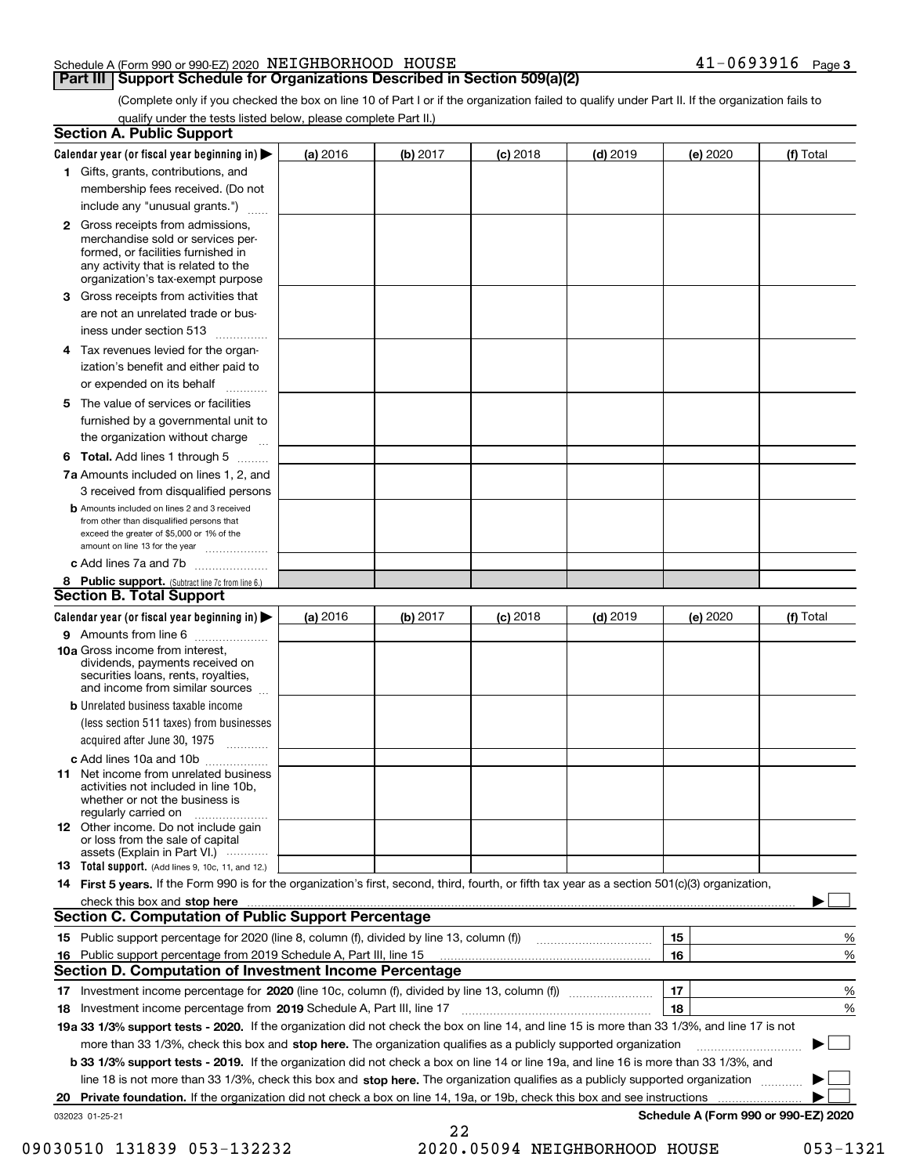# Schedule A (Form 990 or 990-EZ) 2020 Page NEIGHBORHOOD HOUSE 41-0693916

# **Part III** | Support Schedule for Organizations Described in Section 509(a)(2)

**3**

(Complete only if you checked the box on line 10 of Part I or if the organization failed to qualify under Part II. If the organization fails to qualify under the tests listed below, please complete Part II.)

|    | <b>Section A. Public Support</b>                                                                                                                                                                                               |          |          |                 |            |          |                                      |
|----|--------------------------------------------------------------------------------------------------------------------------------------------------------------------------------------------------------------------------------|----------|----------|-----------------|------------|----------|--------------------------------------|
|    | Calendar year (or fiscal year beginning in) $\blacktriangleright$                                                                                                                                                              | (a) 2016 | (b) 2017 | <b>(c)</b> 2018 | $(d)$ 2019 | (e) 2020 | (f) Total                            |
|    | 1 Gifts, grants, contributions, and                                                                                                                                                                                            |          |          |                 |            |          |                                      |
|    | membership fees received. (Do not                                                                                                                                                                                              |          |          |                 |            |          |                                      |
|    | include any "unusual grants.")                                                                                                                                                                                                 |          |          |                 |            |          |                                      |
|    | <b>2</b> Gross receipts from admissions,<br>merchandise sold or services per-<br>formed, or facilities furnished in<br>any activity that is related to the<br>organization's tax-exempt purpose                                |          |          |                 |            |          |                                      |
|    | 3 Gross receipts from activities that                                                                                                                                                                                          |          |          |                 |            |          |                                      |
|    | are not an unrelated trade or bus-                                                                                                                                                                                             |          |          |                 |            |          |                                      |
|    | iness under section 513                                                                                                                                                                                                        |          |          |                 |            |          |                                      |
|    | 4 Tax revenues levied for the organ-                                                                                                                                                                                           |          |          |                 |            |          |                                      |
|    | ization's benefit and either paid to<br>or expended on its behalf<br>.                                                                                                                                                         |          |          |                 |            |          |                                      |
|    | 5 The value of services or facilities                                                                                                                                                                                          |          |          |                 |            |          |                                      |
|    | furnished by a governmental unit to                                                                                                                                                                                            |          |          |                 |            |          |                                      |
|    | the organization without charge                                                                                                                                                                                                |          |          |                 |            |          |                                      |
|    | <b>6 Total.</b> Add lines 1 through 5 $\dots$                                                                                                                                                                                  |          |          |                 |            |          |                                      |
|    | 7a Amounts included on lines 1, 2, and<br>3 received from disqualified persons                                                                                                                                                 |          |          |                 |            |          |                                      |
|    | <b>b</b> Amounts included on lines 2 and 3 received<br>from other than disqualified persons that<br>exceed the greater of \$5,000 or 1% of the<br>amount on line 13 for the year                                               |          |          |                 |            |          |                                      |
|    | c Add lines 7a and 7b                                                                                                                                                                                                          |          |          |                 |            |          |                                      |
|    | 8 Public support. (Subtract line 7c from line 6.)<br><b>Section B. Total Support</b>                                                                                                                                           |          |          |                 |            |          |                                      |
|    | Calendar year (or fiscal year beginning in)                                                                                                                                                                                    | (a) 2016 | (b) 2017 | <b>(c)</b> 2018 | $(d)$ 2019 | (e) 2020 | (f) Total                            |
|    | 9 Amounts from line 6                                                                                                                                                                                                          |          |          |                 |            |          |                                      |
|    | 10a Gross income from interest,<br>dividends, payments received on<br>securities loans, rents, royalties,<br>and income from similar sources                                                                                   |          |          |                 |            |          |                                      |
|    | <b>b</b> Unrelated business taxable income                                                                                                                                                                                     |          |          |                 |            |          |                                      |
|    | (less section 511 taxes) from businesses<br>acquired after June 30, 1975 [10001]                                                                                                                                               |          |          |                 |            |          |                                      |
|    | c Add lines 10a and 10b                                                                                                                                                                                                        |          |          |                 |            |          |                                      |
|    | 11 Net income from unrelated business<br>activities not included in line 10b,<br>whether or not the business is<br>regularly carried on                                                                                        |          |          |                 |            |          |                                      |
|    | <b>12</b> Other income. Do not include gain<br>or loss from the sale of capital<br>assets (Explain in Part VI.)                                                                                                                |          |          |                 |            |          |                                      |
|    | 13 Total support. (Add lines 9, 10c, 11, and 12.)                                                                                                                                                                              |          |          |                 |            |          |                                      |
|    | 14 First 5 years. If the Form 990 is for the organization's first, second, third, fourth, or fifth tax year as a section 501(c)(3) organization,                                                                               |          |          |                 |            |          |                                      |
|    | check this box and stop here measurement content to the state of the state of the state of the state of the state of the state of the state of the state of the state of the state of the state of the state of the state of t |          |          |                 |            |          |                                      |
|    | <b>Section C. Computation of Public Support Percentage</b>                                                                                                                                                                     |          |          |                 |            |          |                                      |
|    |                                                                                                                                                                                                                                |          |          |                 |            | 15       | %                                    |
| 16 | Public support percentage from 2019 Schedule A, Part III, line 15                                                                                                                                                              |          |          |                 |            | 16       | %                                    |
|    | <b>Section D. Computation of Investment Income Percentage</b>                                                                                                                                                                  |          |          |                 |            |          |                                      |
|    | 17 Investment income percentage for 2020 (line 10c, column (f), divided by line 13, column (f))                                                                                                                                |          |          |                 |            | 17       | %                                    |
|    | 18 Investment income percentage from 2019 Schedule A, Part III, line 17                                                                                                                                                        |          |          |                 |            | 18       | %                                    |
|    | 19a 33 1/3% support tests - 2020. If the organization did not check the box on line 14, and line 15 is more than 33 1/3%, and line 17 is not                                                                                   |          |          |                 |            |          |                                      |
|    | more than 33 1/3%, check this box and stop here. The organization qualifies as a publicly supported organization                                                                                                               |          |          |                 |            |          | $\sim$ 1                             |
|    | b 33 1/3% support tests - 2019. If the organization did not check a box on line 14 or line 19a, and line 16 is more than 33 1/3%, and                                                                                          |          |          |                 |            |          |                                      |
|    | line 18 is not more than 33 1/3%, check this box and stop here. The organization qualifies as a publicly supported organization                                                                                                |          |          |                 |            |          |                                      |
| 20 | Private foundation. If the organization did not check a box on line 14, 19a, or 19b, check this box and see instructions                                                                                                       |          |          |                 |            |          |                                      |
|    | 032023 01-25-21                                                                                                                                                                                                                |          |          |                 |            |          | Schedule A (Form 990 or 990-EZ) 2020 |
|    |                                                                                                                                                                                                                                |          | 22       |                 |            |          |                                      |

09030510 131839 053-132232 2020.05094 NEIGHBORHOOD HOUSE 053-1321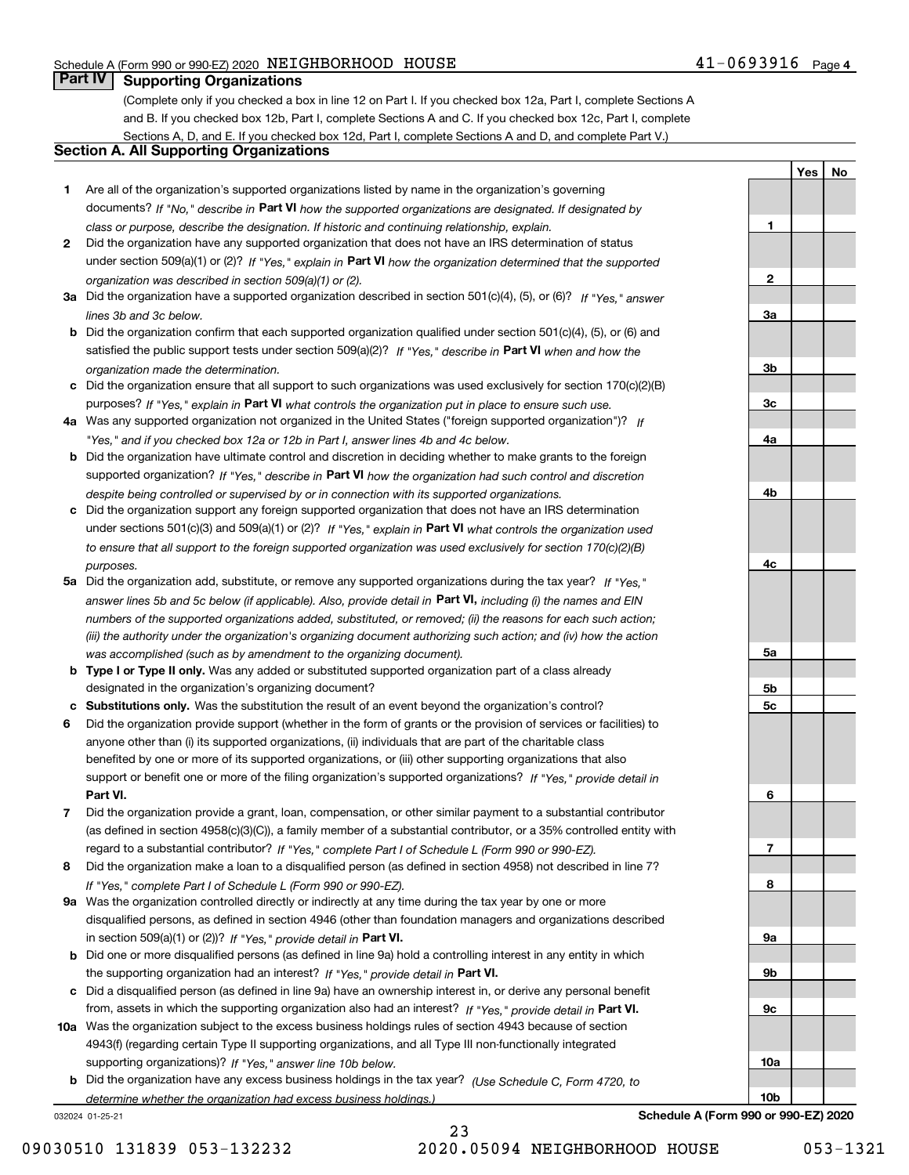**2**

**3a**

**3b**

**3c**

**4a**

**YesNo**

# **Part IV Supporting Organizations**

(Complete only if you checked a box in line 12 on Part I. If you checked box 12a, Part I, complete Sections A and B. If you checked box 12b, Part I, complete Sections A and C. If you checked box 12c, Part I, complete Sections A, D, and E. If you checked box 12d, Part I, complete Sections A and D, and complete Part V.)

# **Section A. All Supporting Organizations**

- **1** Are all of the organization's supported organizations listed by name in the organization's governing documents? If "No," describe in **Part VI** how the supported organizations are designated. If designated by *class or purpose, describe the designation. If historic and continuing relationship, explain.*
- **2** Did the organization have any supported organization that does not have an IRS determination of status under section 509(a)(1) or (2)? If "Yes," explain in Part VI how the organization determined that the supported *organization was described in section 509(a)(1) or (2).*
- **3a** Did the organization have a supported organization described in section 501(c)(4), (5), or (6)? If "Yes," answer *lines 3b and 3c below.*
- **b** Did the organization confirm that each supported organization qualified under section 501(c)(4), (5), or (6) and satisfied the public support tests under section 509(a)(2)? If "Yes," describe in **Part VI** when and how the *organization made the determination.*
- **c**Did the organization ensure that all support to such organizations was used exclusively for section 170(c)(2)(B) purposes? If "Yes," explain in **Part VI** what controls the organization put in place to ensure such use.
- **4a***If* Was any supported organization not organized in the United States ("foreign supported organization")? *"Yes," and if you checked box 12a or 12b in Part I, answer lines 4b and 4c below.*
- **b** Did the organization have ultimate control and discretion in deciding whether to make grants to the foreign supported organization? If "Yes," describe in **Part VI** how the organization had such control and discretion *despite being controlled or supervised by or in connection with its supported organizations.*
- **c** Did the organization support any foreign supported organization that does not have an IRS determination under sections 501(c)(3) and 509(a)(1) or (2)? If "Yes," explain in **Part VI** what controls the organization used *to ensure that all support to the foreign supported organization was used exclusively for section 170(c)(2)(B) purposes.*
- **5a** Did the organization add, substitute, or remove any supported organizations during the tax year? If "Yes," answer lines 5b and 5c below (if applicable). Also, provide detail in **Part VI,** including (i) the names and EIN *numbers of the supported organizations added, substituted, or removed; (ii) the reasons for each such action; (iii) the authority under the organization's organizing document authorizing such action; and (iv) how the action was accomplished (such as by amendment to the organizing document).*
- **b** Type I or Type II only. Was any added or substituted supported organization part of a class already designated in the organization's organizing document?
- **cSubstitutions only.**  Was the substitution the result of an event beyond the organization's control?
- **6** Did the organization provide support (whether in the form of grants or the provision of services or facilities) to **Part VI.** *If "Yes," provide detail in* support or benefit one or more of the filing organization's supported organizations? anyone other than (i) its supported organizations, (ii) individuals that are part of the charitable class benefited by one or more of its supported organizations, or (iii) other supporting organizations that also
- **7**Did the organization provide a grant, loan, compensation, or other similar payment to a substantial contributor *If "Yes," complete Part I of Schedule L (Form 990 or 990-EZ).* regard to a substantial contributor? (as defined in section 4958(c)(3)(C)), a family member of a substantial contributor, or a 35% controlled entity with
- **8** Did the organization make a loan to a disqualified person (as defined in section 4958) not described in line 7? *If "Yes," complete Part I of Schedule L (Form 990 or 990-EZ).*
- **9a** Was the organization controlled directly or indirectly at any time during the tax year by one or more in section 509(a)(1) or (2))? If "Yes," *provide detail in* <code>Part VI.</code> disqualified persons, as defined in section 4946 (other than foundation managers and organizations described
- **b** Did one or more disqualified persons (as defined in line 9a) hold a controlling interest in any entity in which the supporting organization had an interest? If "Yes," provide detail in P**art VI**.
- **c**Did a disqualified person (as defined in line 9a) have an ownership interest in, or derive any personal benefit from, assets in which the supporting organization also had an interest? If "Yes," provide detail in P**art VI.**
- **10a** Was the organization subject to the excess business holdings rules of section 4943 because of section supporting organizations)? If "Yes," answer line 10b below. 4943(f) (regarding certain Type II supporting organizations, and all Type III non-functionally integrated
- **b** Did the organization have any excess business holdings in the tax year? (Use Schedule C, Form 4720, to *determine whether the organization had excess business holdings.)*

032024 01-25-21

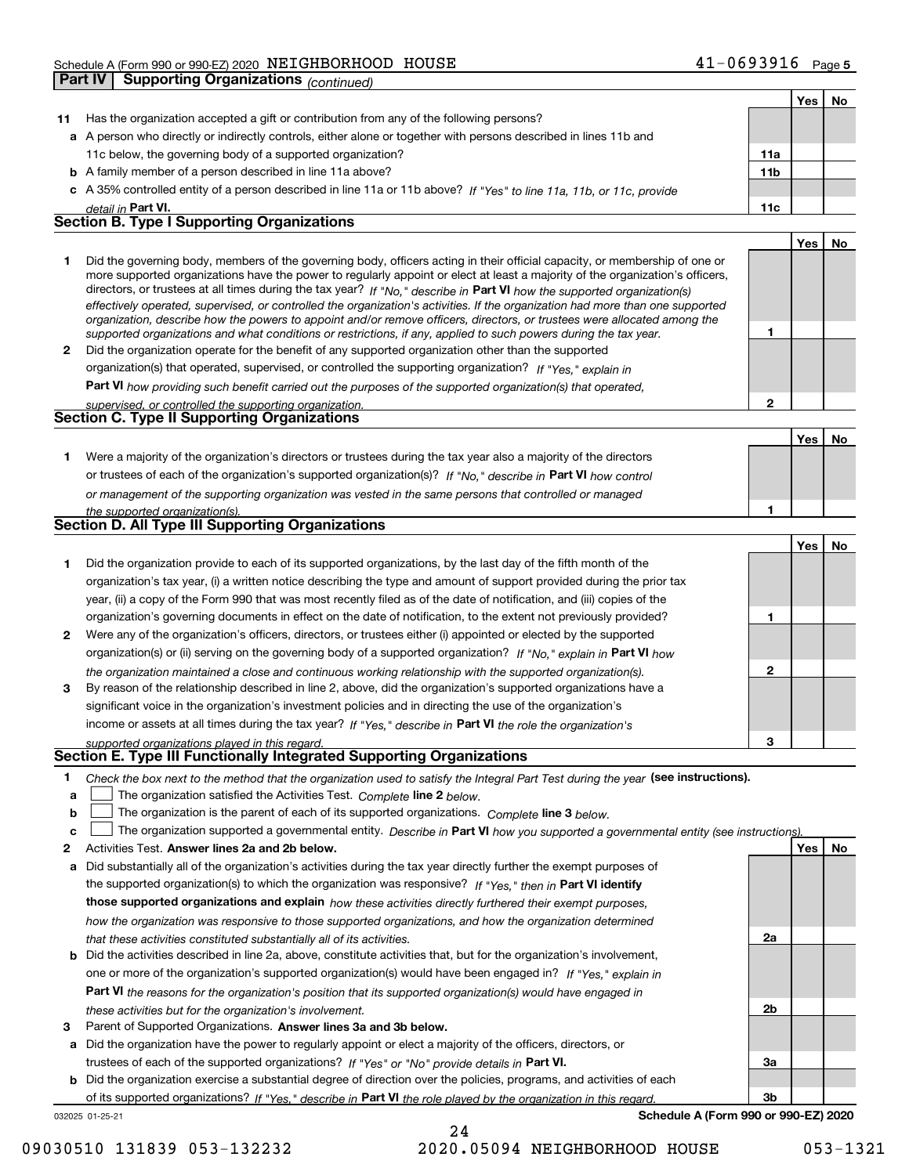|    | Part IV | Supporting Organizations (continued)                                                                                                                                                                                                                                                                                                                                                                                                                                                                                                                                                                                                                 |                 |     |    |
|----|---------|------------------------------------------------------------------------------------------------------------------------------------------------------------------------------------------------------------------------------------------------------------------------------------------------------------------------------------------------------------------------------------------------------------------------------------------------------------------------------------------------------------------------------------------------------------------------------------------------------------------------------------------------------|-----------------|-----|----|
|    |         |                                                                                                                                                                                                                                                                                                                                                                                                                                                                                                                                                                                                                                                      |                 | Yes | No |
| 11 |         | Has the organization accepted a gift or contribution from any of the following persons?                                                                                                                                                                                                                                                                                                                                                                                                                                                                                                                                                              |                 |     |    |
|    |         | a A person who directly or indirectly controls, either alone or together with persons described in lines 11b and                                                                                                                                                                                                                                                                                                                                                                                                                                                                                                                                     |                 |     |    |
|    |         | 11c below, the governing body of a supported organization?                                                                                                                                                                                                                                                                                                                                                                                                                                                                                                                                                                                           | 11a             |     |    |
|    |         | <b>b</b> A family member of a person described in line 11a above?                                                                                                                                                                                                                                                                                                                                                                                                                                                                                                                                                                                    | 11 <sub>b</sub> |     |    |
|    |         | c A 35% controlled entity of a person described in line 11a or 11b above? If "Yes" to line 11a, 11b, or 11c, provide                                                                                                                                                                                                                                                                                                                                                                                                                                                                                                                                 |                 |     |    |
|    |         | detail in Part VI.                                                                                                                                                                                                                                                                                                                                                                                                                                                                                                                                                                                                                                   | 11c             |     |    |
|    |         | <b>Section B. Type I Supporting Organizations</b>                                                                                                                                                                                                                                                                                                                                                                                                                                                                                                                                                                                                    |                 |     |    |
|    |         |                                                                                                                                                                                                                                                                                                                                                                                                                                                                                                                                                                                                                                                      |                 | Yes | No |
| 1  |         | Did the governing body, members of the governing body, officers acting in their official capacity, or membership of one or<br>more supported organizations have the power to regularly appoint or elect at least a majority of the organization's officers,<br>directors, or trustees at all times during the tax year? If "No," describe in Part VI how the supported organization(s)<br>effectively operated, supervised, or controlled the organization's activities. If the organization had more than one supported<br>organization, describe how the powers to appoint and/or remove officers, directors, or trustees were allocated among the |                 |     |    |
|    |         | supported organizations and what conditions or restrictions, if any, applied to such powers during the tax year.                                                                                                                                                                                                                                                                                                                                                                                                                                                                                                                                     | 1               |     |    |
| 2  |         | Did the organization operate for the benefit of any supported organization other than the supported                                                                                                                                                                                                                                                                                                                                                                                                                                                                                                                                                  |                 |     |    |
|    |         | organization(s) that operated, supervised, or controlled the supporting organization? If "Yes," explain in                                                                                                                                                                                                                                                                                                                                                                                                                                                                                                                                           |                 |     |    |
|    |         | Part VI how providing such benefit carried out the purposes of the supported organization(s) that operated,                                                                                                                                                                                                                                                                                                                                                                                                                                                                                                                                          |                 |     |    |
|    |         | supervised, or controlled the supporting organization.                                                                                                                                                                                                                                                                                                                                                                                                                                                                                                                                                                                               | $\overline{2}$  |     |    |
|    |         | Section C. Type II Supporting Organizations                                                                                                                                                                                                                                                                                                                                                                                                                                                                                                                                                                                                          |                 |     |    |
|    |         |                                                                                                                                                                                                                                                                                                                                                                                                                                                                                                                                                                                                                                                      |                 | Yes | No |
| 1. |         | Were a majority of the organization's directors or trustees during the tax year also a majority of the directors                                                                                                                                                                                                                                                                                                                                                                                                                                                                                                                                     |                 |     |    |
|    |         | or trustees of each of the organization's supported organization(s)? If "No," describe in Part VI how control                                                                                                                                                                                                                                                                                                                                                                                                                                                                                                                                        |                 |     |    |
|    |         | or management of the supporting organization was vested in the same persons that controlled or managed                                                                                                                                                                                                                                                                                                                                                                                                                                                                                                                                               |                 |     |    |
|    |         | the supported organization(s).                                                                                                                                                                                                                                                                                                                                                                                                                                                                                                                                                                                                                       | 1               |     |    |
|    |         | Section D. All Type III Supporting Organizations                                                                                                                                                                                                                                                                                                                                                                                                                                                                                                                                                                                                     |                 |     |    |
|    |         |                                                                                                                                                                                                                                                                                                                                                                                                                                                                                                                                                                                                                                                      |                 | Yes | No |
| 1  |         | Did the organization provide to each of its supported organizations, by the last day of the fifth month of the                                                                                                                                                                                                                                                                                                                                                                                                                                                                                                                                       |                 |     |    |
|    |         | organization's tax year, (i) a written notice describing the type and amount of support provided during the prior tax                                                                                                                                                                                                                                                                                                                                                                                                                                                                                                                                |                 |     |    |
|    |         | year, (ii) a copy of the Form 990 that was most recently filed as of the date of notification, and (iii) copies of the                                                                                                                                                                                                                                                                                                                                                                                                                                                                                                                               |                 |     |    |
|    |         | organization's governing documents in effect on the date of notification, to the extent not previously provided?                                                                                                                                                                                                                                                                                                                                                                                                                                                                                                                                     | 1               |     |    |
| 2  |         | Were any of the organization's officers, directors, or trustees either (i) appointed or elected by the supported                                                                                                                                                                                                                                                                                                                                                                                                                                                                                                                                     |                 |     |    |
|    |         | organization(s) or (ii) serving on the governing body of a supported organization? If "No," explain in Part VI how                                                                                                                                                                                                                                                                                                                                                                                                                                                                                                                                   |                 |     |    |
|    |         | the organization maintained a close and continuous working relationship with the supported organization(s).                                                                                                                                                                                                                                                                                                                                                                                                                                                                                                                                          | $\overline{2}$  |     |    |
| 3  |         | By reason of the relationship described in line 2, above, did the organization's supported organizations have a                                                                                                                                                                                                                                                                                                                                                                                                                                                                                                                                      |                 |     |    |
|    |         | significant voice in the organization's investment policies and in directing the use of the organization's                                                                                                                                                                                                                                                                                                                                                                                                                                                                                                                                           |                 |     |    |
|    |         | income or assets at all times during the tax year? If "Yes," describe in Part VI the role the organization's                                                                                                                                                                                                                                                                                                                                                                                                                                                                                                                                         |                 |     |    |
|    |         | supported organizations played in this regard.                                                                                                                                                                                                                                                                                                                                                                                                                                                                                                                                                                                                       | 3               |     |    |
|    |         | Section E. Type III Functionally Integrated Supporting Organizations                                                                                                                                                                                                                                                                                                                                                                                                                                                                                                                                                                                 |                 |     |    |
| 1. |         | Check the box next to the method that the organization used to satisfy the Integral Part Test during the year (see instructions).                                                                                                                                                                                                                                                                                                                                                                                                                                                                                                                    |                 |     |    |

- **a**The organization satisfied the Activities Test. *Complete* line 2 below.  $\mathcal{L}^{\text{max}}$
- **b**The organization is the parent of each of its supported organizations. *Complete* line 3 *below.*  $\mathcal{L}^{\text{max}}$

|  |  |  | $\mathsf{c}$ The organization supported a governmental entity. Describe in Part VI how you supported a governmental entity (see instructions) |  |
|--|--|--|-----------------------------------------------------------------------------------------------------------------------------------------------|--|
|--|--|--|-----------------------------------------------------------------------------------------------------------------------------------------------|--|

- **2Answer lines 2a and 2b below. Yes No** Activities Test.
- **a** Did substantially all of the organization's activities during the tax year directly further the exempt purposes of the supported organization(s) to which the organization was responsive? If "Yes," then in **Part VI identify those supported organizations and explain**  *how these activities directly furthered their exempt purposes, how the organization was responsive to those supported organizations, and how the organization determined that these activities constituted substantially all of its activities.*
- **b** Did the activities described in line 2a, above, constitute activities that, but for the organization's involvement, **Part VI**  *the reasons for the organization's position that its supported organization(s) would have engaged in* one or more of the organization's supported organization(s) would have been engaged in? If "Yes," e*xplain in these activities but for the organization's involvement.*
- **3** Parent of Supported Organizations. Answer lines 3a and 3b below.

**a** Did the organization have the power to regularly appoint or elect a majority of the officers, directors, or trustees of each of the supported organizations? If "Yes" or "No" provide details in **Part VI.** 

**b** Did the organization exercise a substantial degree of direction over the policies, programs, and activities of each of its supported organizations? If "Yes," describe in Part VI the role played by the organization in this regard.

032025 01-25-21

**Schedule A (Form 990 or 990-EZ) 2020**

**2a**

**2b**

**3a**

**3b**

09030510 131839 053-132232 2020.05094 NEIGHBORHOOD HOUSE 053-1321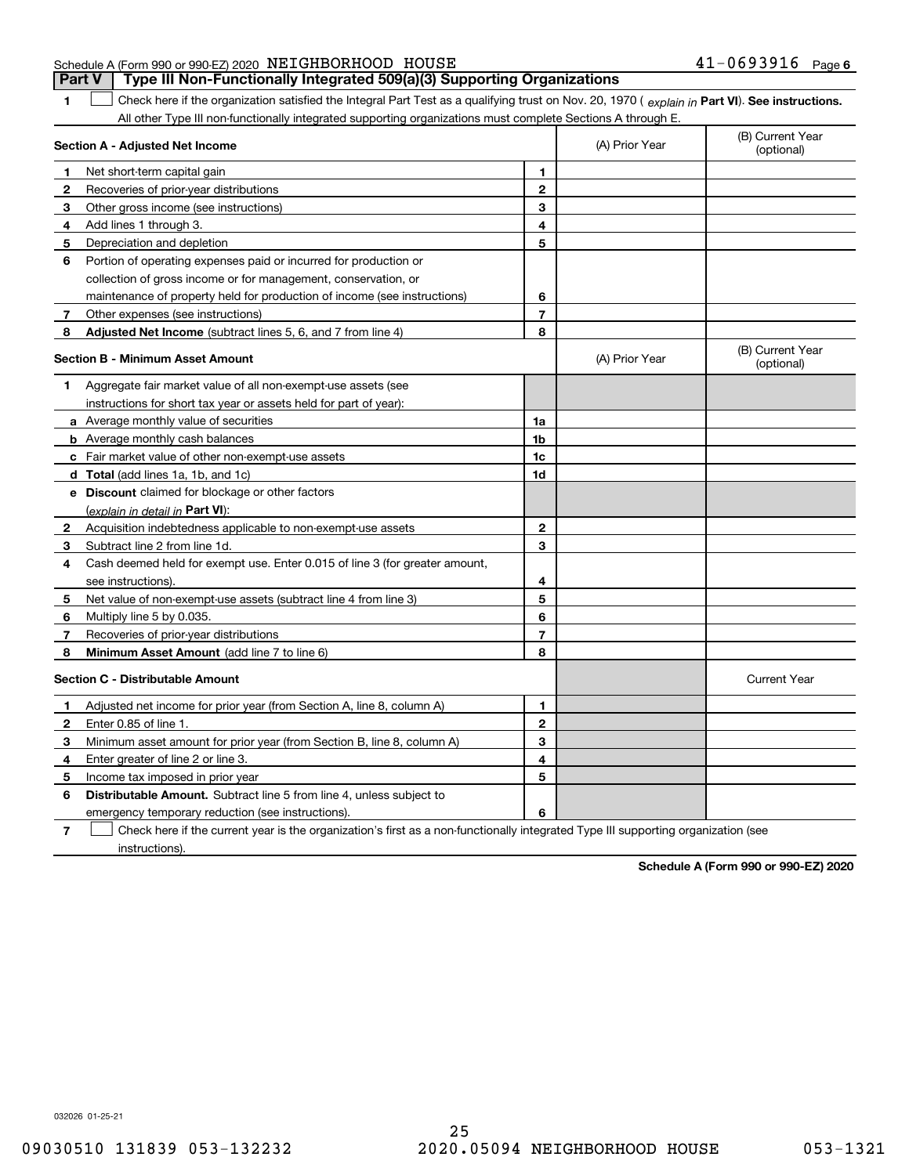| <b>Part V</b> Type III Non-Functionally Integrated 509(a)(3) Supporting Organizations |                   |  |
|---------------------------------------------------------------------------------------|-------------------|--|
| Schedule A (Form 990 or 990-EZ) 2020 NEIGHBORHOOD HOUSE                               | 41-0693916 Page 6 |  |

1 Check here if the organization satisfied the Integral Part Test as a qualifying trust on Nov. 20, 1970 (explain in Part VI). See instructions. All other Type III non-functionally integrated supporting organizations must complete Sections A through E.

|   | Section A - Adjusted Net Income                                                                                                   |                | (A) Prior Year | (B) Current Year<br>(optional) |
|---|-----------------------------------------------------------------------------------------------------------------------------------|----------------|----------------|--------------------------------|
| 1 | Net short-term capital gain                                                                                                       | 1              |                |                                |
| 2 | Recoveries of prior-year distributions                                                                                            | $\overline{2}$ |                |                                |
| 3 | Other gross income (see instructions)                                                                                             | 3              |                |                                |
| 4 | Add lines 1 through 3.                                                                                                            | 4              |                |                                |
| 5 | Depreciation and depletion                                                                                                        | 5              |                |                                |
| 6 | Portion of operating expenses paid or incurred for production or                                                                  |                |                |                                |
|   | collection of gross income or for management, conservation, or                                                                    |                |                |                                |
|   | maintenance of property held for production of income (see instructions)                                                          | 6              |                |                                |
| 7 | Other expenses (see instructions)                                                                                                 | $\overline{7}$ |                |                                |
| 8 | <b>Adjusted Net Income</b> (subtract lines 5, 6, and 7 from line 4)                                                               | 8              |                |                                |
|   | <b>Section B - Minimum Asset Amount</b>                                                                                           |                | (A) Prior Year | (B) Current Year<br>(optional) |
| 1 | Aggregate fair market value of all non-exempt-use assets (see                                                                     |                |                |                                |
|   | instructions for short tax year or assets held for part of year):                                                                 |                |                |                                |
|   | <b>a</b> Average monthly value of securities                                                                                      | 1a             |                |                                |
|   | <b>b</b> Average monthly cash balances                                                                                            | 1 <sub>b</sub> |                |                                |
|   | c Fair market value of other non-exempt-use assets                                                                                | 1c             |                |                                |
|   | d Total (add lines 1a, 1b, and 1c)                                                                                                | 1d             |                |                                |
|   | e Discount claimed for blockage or other factors                                                                                  |                |                |                                |
|   | (explain in detail in Part VI):                                                                                                   |                |                |                                |
| 2 | Acquisition indebtedness applicable to non-exempt-use assets                                                                      | $\mathbf 2$    |                |                                |
| 3 | Subtract line 2 from line 1d.                                                                                                     | 3              |                |                                |
| 4 | Cash deemed held for exempt use. Enter 0.015 of line 3 (for greater amount,                                                       |                |                |                                |
|   | see instructions)                                                                                                                 | 4              |                |                                |
| 5 | Net value of non-exempt-use assets (subtract line 4 from line 3)                                                                  | 5              |                |                                |
| 6 | Multiply line 5 by 0.035.                                                                                                         | 6              |                |                                |
| 7 | Recoveries of prior-year distributions                                                                                            | $\overline{7}$ |                |                                |
| 8 | Minimum Asset Amount (add line 7 to line 6)                                                                                       | 8              |                |                                |
|   | <b>Section C - Distributable Amount</b>                                                                                           |                |                | <b>Current Year</b>            |
| 1 | Adjusted net income for prior year (from Section A, line 8, column A)                                                             | 1              |                |                                |
| 2 | Enter 0.85 of line 1.                                                                                                             | $\overline{2}$ |                |                                |
| З | Minimum asset amount for prior year (from Section B, line 8, column A)                                                            | 3              |                |                                |
| 4 | Enter greater of line 2 or line 3.                                                                                                | 4              |                |                                |
| 5 | Income tax imposed in prior year                                                                                                  | 5              |                |                                |
| 6 | <b>Distributable Amount.</b> Subtract line 5 from line 4, unless subject to                                                       |                |                |                                |
|   | emergency temporary reduction (see instructions).                                                                                 | 6              |                |                                |
| 7 | Check here if the current year is the organization's first as a non-functionally integrated Type III supporting organization (see |                |                |                                |

instructions).

**Schedule A (Form 990 or 990-EZ) 2020**

032026 01-25-21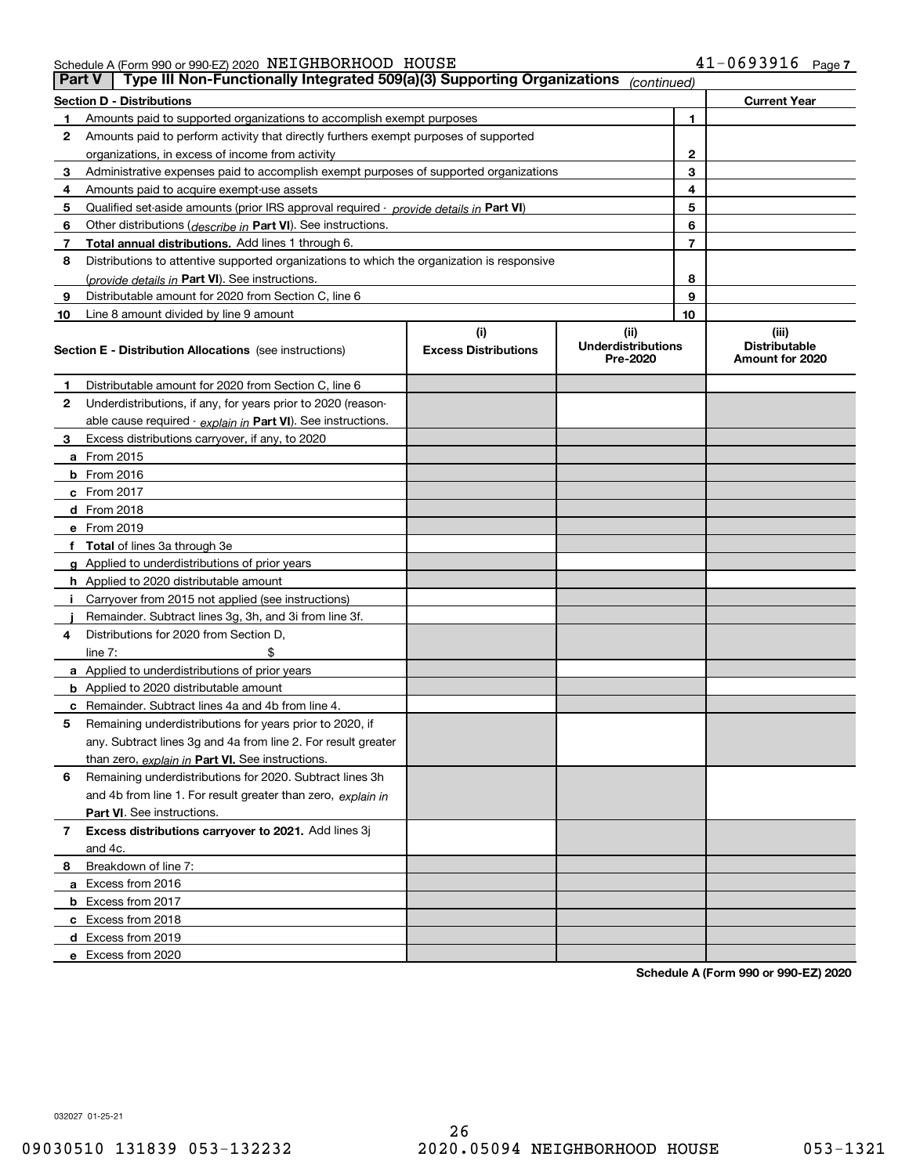### Schedule A (Form 990 or 990-EZ) 2020 Page NEIGHBORHOOD HOUSE 41-0693916

| <b>Part V</b> | Type III Non-Functionally Integrated 509(a)(3) Supporting Organizations                    |                                    | (continued)                                   |    |                                                  |
|---------------|--------------------------------------------------------------------------------------------|------------------------------------|-----------------------------------------------|----|--------------------------------------------------|
|               | <b>Section D - Distributions</b>                                                           |                                    |                                               |    | <b>Current Year</b>                              |
| 1             | Amounts paid to supported organizations to accomplish exempt purposes                      |                                    |                                               | 1  |                                                  |
| 2             | Amounts paid to perform activity that directly furthers exempt purposes of supported       |                                    |                                               |    |                                                  |
|               | organizations, in excess of income from activity                                           |                                    |                                               | 2  |                                                  |
| 3             | Administrative expenses paid to accomplish exempt purposes of supported organizations      |                                    |                                               | 3  |                                                  |
| 4             | Amounts paid to acquire exempt-use assets                                                  |                                    |                                               | 4  |                                                  |
| 5             | Qualified set-aside amounts (prior IRS approval required - provide details in Part VI)     |                                    |                                               | 5  |                                                  |
| 6             | Other distributions (describe in Part VI). See instructions.                               |                                    |                                               | 6  |                                                  |
| 7             | Total annual distributions. Add lines 1 through 6.                                         |                                    |                                               | 7  |                                                  |
| 8             | Distributions to attentive supported organizations to which the organization is responsive |                                    |                                               |    |                                                  |
|               | (provide details in Part VI). See instructions.                                            |                                    |                                               | 8  |                                                  |
| 9             | Distributable amount for 2020 from Section C, line 6                                       |                                    |                                               | 9  |                                                  |
| 10            | Line 8 amount divided by line 9 amount                                                     |                                    |                                               | 10 |                                                  |
|               | <b>Section E - Distribution Allocations</b> (see instructions)                             | (i)<br><b>Excess Distributions</b> | (ii)<br><b>Underdistributions</b><br>Pre-2020 |    | (iii)<br><b>Distributable</b><br>Amount for 2020 |
| 1             | Distributable amount for 2020 from Section C, line 6                                       |                                    |                                               |    |                                                  |
| 2             | Underdistributions, if any, for years prior to 2020 (reason-                               |                                    |                                               |    |                                                  |
|               | able cause required - explain in Part VI). See instructions.                               |                                    |                                               |    |                                                  |
| 3             | Excess distributions carryover, if any, to 2020                                            |                                    |                                               |    |                                                  |
|               | <b>a</b> From 2015                                                                         |                                    |                                               |    |                                                  |
|               | <b>b</b> From 2016                                                                         |                                    |                                               |    |                                                  |
|               | c From 2017                                                                                |                                    |                                               |    |                                                  |
|               | <b>d</b> From 2018                                                                         |                                    |                                               |    |                                                  |
|               | e From 2019                                                                                |                                    |                                               |    |                                                  |
|               | f Total of lines 3a through 3e                                                             |                                    |                                               |    |                                                  |
|               | g Applied to underdistributions of prior years                                             |                                    |                                               |    |                                                  |
|               | <b>h</b> Applied to 2020 distributable amount                                              |                                    |                                               |    |                                                  |
|               | Carryover from 2015 not applied (see instructions)                                         |                                    |                                               |    |                                                  |
|               | Remainder. Subtract lines 3g, 3h, and 3i from line 3f.                                     |                                    |                                               |    |                                                  |
| 4             | Distributions for 2020 from Section D,                                                     |                                    |                                               |    |                                                  |
|               | line $7:$                                                                                  |                                    |                                               |    |                                                  |
|               | a Applied to underdistributions of prior years                                             |                                    |                                               |    |                                                  |
|               | <b>b</b> Applied to 2020 distributable amount                                              |                                    |                                               |    |                                                  |
|               | c Remainder. Subtract lines 4a and 4b from line 4.                                         |                                    |                                               |    |                                                  |
| 5             | Remaining underdistributions for years prior to 2020, if                                   |                                    |                                               |    |                                                  |
|               | any. Subtract lines 3g and 4a from line 2. For result greater                              |                                    |                                               |    |                                                  |
|               | than zero, explain in Part VI. See instructions.                                           |                                    |                                               |    |                                                  |
| 6             | Remaining underdistributions for 2020. Subtract lines 3h                                   |                                    |                                               |    |                                                  |
|               | and 4b from line 1. For result greater than zero, explain in                               |                                    |                                               |    |                                                  |
|               | Part VI. See instructions.                                                                 |                                    |                                               |    |                                                  |
| 7             | Excess distributions carryover to 2021. Add lines 3j                                       |                                    |                                               |    |                                                  |
|               | and 4c.                                                                                    |                                    |                                               |    |                                                  |
| 8             | Breakdown of line 7:                                                                       |                                    |                                               |    |                                                  |
|               | a Excess from 2016                                                                         |                                    |                                               |    |                                                  |
|               | <b>b</b> Excess from 2017                                                                  |                                    |                                               |    |                                                  |
|               | c Excess from 2018                                                                         |                                    |                                               |    |                                                  |
|               | d Excess from 2019                                                                         |                                    |                                               |    |                                                  |
|               | e Excess from 2020                                                                         |                                    |                                               |    |                                                  |

**Schedule A (Form 990 or 990-EZ) 2020**

032027 01-25-21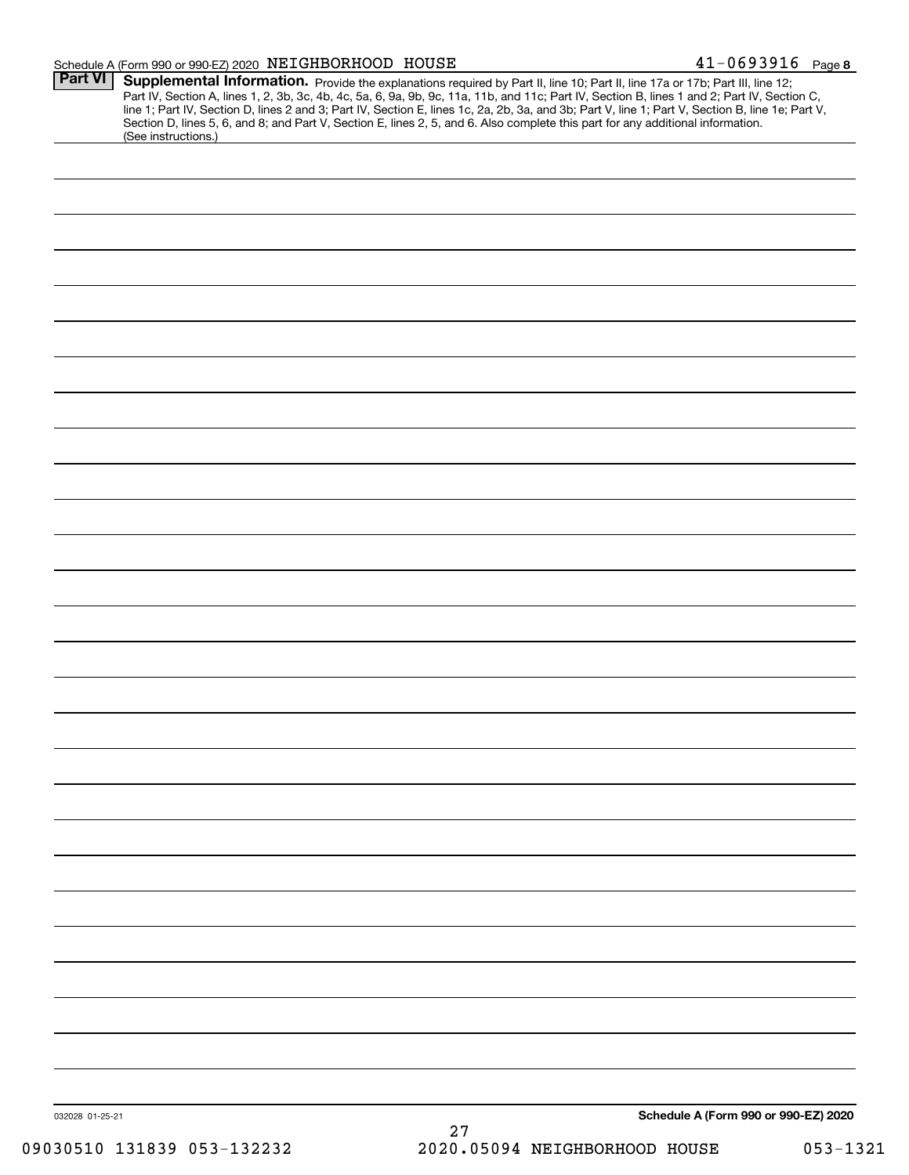#### Schedule A (Form 990 or 990-EZ) 2020 NEIGHBORHOOD HOUSE 4I-Ub939Ib Page NEIGHBORHOOD HOUSE 41-0693916

| (See instructions.) | Supplemental Information. Provide the explanations required by Part II, line 10; Part II, line 17a or 17b; Part III, line 12;<br>Part IV, Section A, lines 1, 2, 3b, 3c, 4b, 4c, 5a, 6, 9a, 9b, 9c, 11a, 11b, and 11c; Part IV, Section B, lines 1 and 2; Part IV, Section C,<br>line 1; Part IV, Section D, lines 2 and 3; Part IV, Section E, lines 1c, 2a, 2b, 3a, and 3b; Part V, line 1; Part V, Section B, line 1e; Part V,<br>Section D, lines 5, 6, and 8; and Part V, Section E, lines 2, 5, and 6. Also complete this part for any additional information. |
|---------------------|----------------------------------------------------------------------------------------------------------------------------------------------------------------------------------------------------------------------------------------------------------------------------------------------------------------------------------------------------------------------------------------------------------------------------------------------------------------------------------------------------------------------------------------------------------------------|
|                     |                                                                                                                                                                                                                                                                                                                                                                                                                                                                                                                                                                      |
|                     |                                                                                                                                                                                                                                                                                                                                                                                                                                                                                                                                                                      |
|                     |                                                                                                                                                                                                                                                                                                                                                                                                                                                                                                                                                                      |
|                     |                                                                                                                                                                                                                                                                                                                                                                                                                                                                                                                                                                      |
|                     |                                                                                                                                                                                                                                                                                                                                                                                                                                                                                                                                                                      |
|                     |                                                                                                                                                                                                                                                                                                                                                                                                                                                                                                                                                                      |
|                     |                                                                                                                                                                                                                                                                                                                                                                                                                                                                                                                                                                      |
|                     |                                                                                                                                                                                                                                                                                                                                                                                                                                                                                                                                                                      |
|                     |                                                                                                                                                                                                                                                                                                                                                                                                                                                                                                                                                                      |
|                     |                                                                                                                                                                                                                                                                                                                                                                                                                                                                                                                                                                      |
|                     |                                                                                                                                                                                                                                                                                                                                                                                                                                                                                                                                                                      |
|                     |                                                                                                                                                                                                                                                                                                                                                                                                                                                                                                                                                                      |
|                     |                                                                                                                                                                                                                                                                                                                                                                                                                                                                                                                                                                      |
|                     |                                                                                                                                                                                                                                                                                                                                                                                                                                                                                                                                                                      |
|                     |                                                                                                                                                                                                                                                                                                                                                                                                                                                                                                                                                                      |
|                     |                                                                                                                                                                                                                                                                                                                                                                                                                                                                                                                                                                      |
|                     |                                                                                                                                                                                                                                                                                                                                                                                                                                                                                                                                                                      |
|                     |                                                                                                                                                                                                                                                                                                                                                                                                                                                                                                                                                                      |
|                     |                                                                                                                                                                                                                                                                                                                                                                                                                                                                                                                                                                      |
|                     |                                                                                                                                                                                                                                                                                                                                                                                                                                                                                                                                                                      |
|                     |                                                                                                                                                                                                                                                                                                                                                                                                                                                                                                                                                                      |
|                     |                                                                                                                                                                                                                                                                                                                                                                                                                                                                                                                                                                      |
|                     |                                                                                                                                                                                                                                                                                                                                                                                                                                                                                                                                                                      |
|                     |                                                                                                                                                                                                                                                                                                                                                                                                                                                                                                                                                                      |
|                     |                                                                                                                                                                                                                                                                                                                                                                                                                                                                                                                                                                      |
|                     |                                                                                                                                                                                                                                                                                                                                                                                                                                                                                                                                                                      |
|                     |                                                                                                                                                                                                                                                                                                                                                                                                                                                                                                                                                                      |
|                     |                                                                                                                                                                                                                                                                                                                                                                                                                                                                                                                                                                      |
|                     |                                                                                                                                                                                                                                                                                                                                                                                                                                                                                                                                                                      |
|                     |                                                                                                                                                                                                                                                                                                                                                                                                                                                                                                                                                                      |
|                     |                                                                                                                                                                                                                                                                                                                                                                                                                                                                                                                                                                      |
|                     |                                                                                                                                                                                                                                                                                                                                                                                                                                                                                                                                                                      |
|                     |                                                                                                                                                                                                                                                                                                                                                                                                                                                                                                                                                                      |
|                     |                                                                                                                                                                                                                                                                                                                                                                                                                                                                                                                                                                      |
|                     |                                                                                                                                                                                                                                                                                                                                                                                                                                                                                                                                                                      |
|                     |                                                                                                                                                                                                                                                                                                                                                                                                                                                                                                                                                                      |
|                     |                                                                                                                                                                                                                                                                                                                                                                                                                                                                                                                                                                      |
|                     |                                                                                                                                                                                                                                                                                                                                                                                                                                                                                                                                                                      |
|                     |                                                                                                                                                                                                                                                                                                                                                                                                                                                                                                                                                                      |
|                     |                                                                                                                                                                                                                                                                                                                                                                                                                                                                                                                                                                      |
| 032028 01-25-21     | Schedule A (Form 990 or 990-EZ) 2020                                                                                                                                                                                                                                                                                                                                                                                                                                                                                                                                 |
|                     | 27<br>2020.05094 NEIGHBORHOOD HOUSE                                                                                                                                                                                                                                                                                                                                                                                                                                                                                                                                  |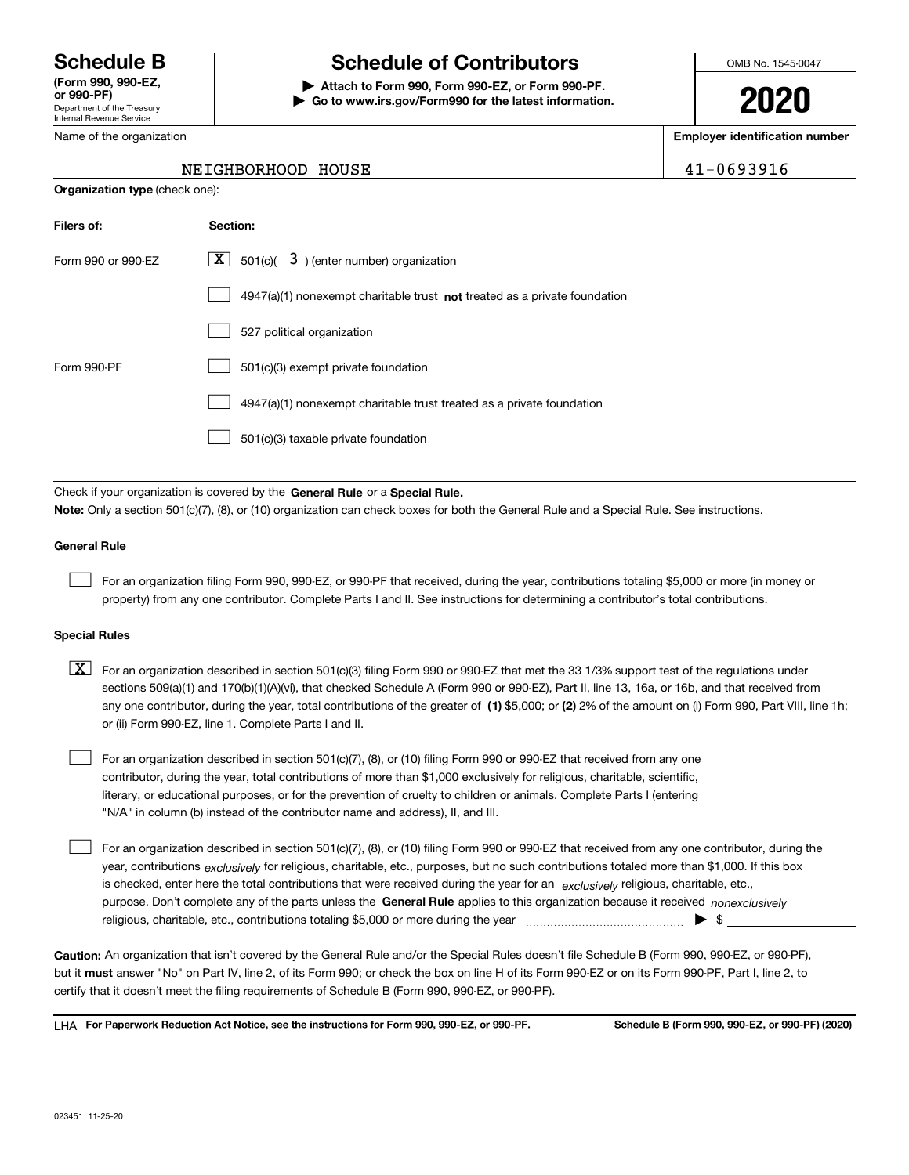Department of the Treasury Internal Revenue Service **(Form 990, 990-EZ, or 990-PF)**

Name of the organization

# **Schedule B Schedule of Contributors**

**| Attach to Form 990, Form 990-EZ, or Form 990-PF. | Go to www.irs.gov/Form990 for the latest information.** OMB No. 1545-0047

**2020**

**Employer identification number**

41-0693916

| NEIGHBORHOOD HOUSE |  |
|--------------------|--|
|--------------------|--|

| <b>Organization type (check one):</b> |                                                                                    |  |  |  |
|---------------------------------------|------------------------------------------------------------------------------------|--|--|--|
| Filers of:                            | Section:                                                                           |  |  |  |
| Form 990 or 990-EZ                    | $\lfloor x \rfloor$ 501(c)( 3) (enter number) organization                         |  |  |  |
|                                       | $4947(a)(1)$ nonexempt charitable trust <b>not</b> treated as a private foundation |  |  |  |
|                                       | 527 political organization                                                         |  |  |  |
| Form 990-PF                           | 501(c)(3) exempt private foundation                                                |  |  |  |
|                                       | 4947(a)(1) nonexempt charitable trust treated as a private foundation              |  |  |  |
|                                       | 501(c)(3) taxable private foundation                                               |  |  |  |

Check if your organization is covered by the **General Rule** or a **Special Rule. Note:**  Only a section 501(c)(7), (8), or (10) organization can check boxes for both the General Rule and a Special Rule. See instructions.

# **General Rule**

 $\mathcal{L}^{\text{max}}$ 

For an organization filing Form 990, 990-EZ, or 990-PF that received, during the year, contributions totaling \$5,000 or more (in money or property) from any one contributor. Complete Parts I and II. See instructions for determining a contributor's total contributions.

### **Special Rules**

any one contributor, during the year, total contributions of the greater of  $\,$  (1) \$5,000; or **(2)** 2% of the amount on (i) Form 990, Part VIII, line 1h;  $\boxed{\textbf{X}}$  For an organization described in section 501(c)(3) filing Form 990 or 990-EZ that met the 33 1/3% support test of the regulations under sections 509(a)(1) and 170(b)(1)(A)(vi), that checked Schedule A (Form 990 or 990-EZ), Part II, line 13, 16a, or 16b, and that received from or (ii) Form 990-EZ, line 1. Complete Parts I and II.

For an organization described in section 501(c)(7), (8), or (10) filing Form 990 or 990-EZ that received from any one contributor, during the year, total contributions of more than \$1,000 exclusively for religious, charitable, scientific, literary, or educational purposes, or for the prevention of cruelty to children or animals. Complete Parts I (entering "N/A" in column (b) instead of the contributor name and address), II, and III.  $\mathcal{L}^{\text{max}}$ 

purpose. Don't complete any of the parts unless the **General Rule** applies to this organization because it received *nonexclusively* year, contributions <sub>exclusively</sub> for religious, charitable, etc., purposes, but no such contributions totaled more than \$1,000. If this box is checked, enter here the total contributions that were received during the year for an  $\;$ exclusively religious, charitable, etc., For an organization described in section 501(c)(7), (8), or (10) filing Form 990 or 990-EZ that received from any one contributor, during the religious, charitable, etc., contributions totaling \$5,000 or more during the year  $\Box$ — $\Box$   $\Box$   $\Box$  $\mathcal{L}^{\text{max}}$ 

**Caution:**  An organization that isn't covered by the General Rule and/or the Special Rules doesn't file Schedule B (Form 990, 990-EZ, or 990-PF),  **must** but it answer "No" on Part IV, line 2, of its Form 990; or check the box on line H of its Form 990-EZ or on its Form 990-PF, Part I, line 2, to certify that it doesn't meet the filing requirements of Schedule B (Form 990, 990-EZ, or 990-PF).

**For Paperwork Reduction Act Notice, see the instructions for Form 990, 990-EZ, or 990-PF. Schedule B (Form 990, 990-EZ, or 990-PF) (2020)** LHA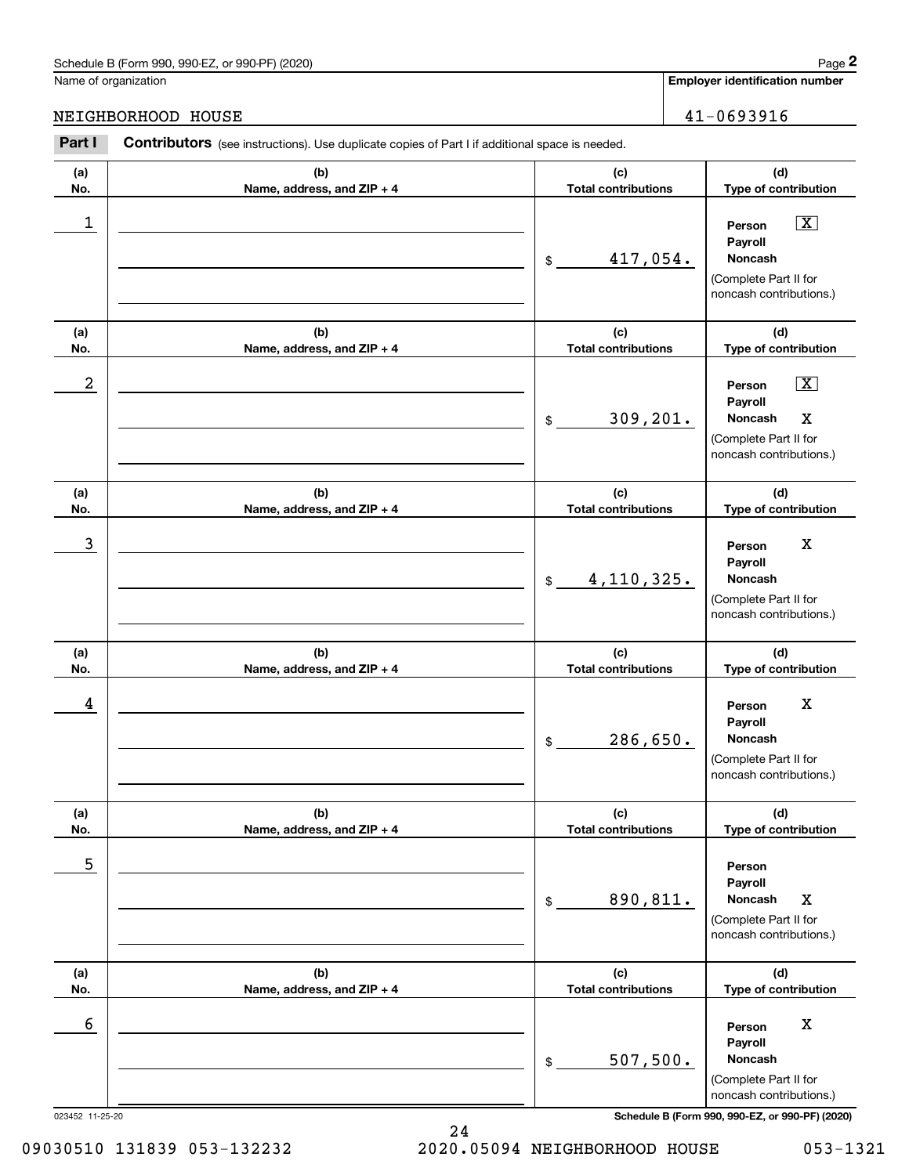# Schedule B (Form 990, 990-EZ, or 990-PF) (2020) **Page 2** Page 2 and the state of the state of the state of the state of the state of the state of the state of the state of the state of the state of the state of the state o **2** Chedule B (Form 990, 990-EZ, or 990-PF) (2020)<br> **2Part I**<br> **2Part I Contributors** (see instructions). Use duplicate copies of Part I if additional space is needed.<br> **Part I Contributors** (see instructions). Use dup

Name of organization

NEIGHBORHOOD HOUSE 41-0693916

#### **(a)No.(b)Name, address, and ZIP + 4 (c)Total contributions Type of contribution PersonPayrollNoncash(a)No.(b)Name, address, and ZIP + 4 (c)Total contributions Type of contribution PersonPayrollNoncash(a)No.(b)Name, address, and ZIP + 4 (c)Total contributions Type of contribution PersonPayrollNoncash(a) No.(b) Name, address, and ZIP + 4 (c) Total contributions Type of contribution PersonPayrollNoncash(a) No.(b) Name, address, and ZIP + 4 (c) Total contributions Type of contribution PersonPayrollNoncash(a) No.(b)Name, address, and ZIP + 4 (c) Total contributions Type of contribution PersonPayrollNoncash**\$(Complete Part II for noncash contributions.) \$(Complete Part II for noncash contributions.) \$(Complete Part II for noncash contributions.) \$(Complete Part II for noncash contributions.) \$(Complete Part II for noncash contributions.) \$(Complete Part II for noncash contributions.)  $\begin{array}{c|c|c|c|c|c} 1 & \hspace{1.5cm} & \hspace{1.5cm} & \hspace{1.5cm} & \hspace{1.5cm} & \hspace{1.5cm} & \hspace{1.5cm} & \hspace{1.5cm} & \hspace{1.5cm} & \hspace{1.5cm} & \hspace{1.5cm} & \hspace{1.5cm} & \hspace{1.5cm} & \hspace{1.5cm} & \hspace{1.5cm} & \hspace{1.5cm} & \hspace{1.5cm} & \hspace{1.5cm} & \hspace{1.5cm} & \hspace{1.5cm} & \hspace{1.5cm} &$ 417,054.  $2$  | Person  $\overline{\text{X}}$ 309,201. | Noncash X 3 X 4,110,325. 4 Person X 286,650. 5 890,811. | Noncash X 6 Berson X Adventure Contract of the Contract of the Contract of the Contract of the Contract of the Contract of the Contract of the Contract of the Contract of the Contract of the Contract of the Contract of the Contract 507,500.

**Contributors** (see instructions). Use duplicate copies of Part I if additional space is needed.

023452 11-25-20 **Schedule B (Form 990, 990-EZ, or 990-PF) (2020)**

**(d)**

 $\boxed{\mathbf{X}}$ 

 $\boxed{\text{X}}$ 

**(d)**

**(d)**

**(d)**

**(d)**

**(d)**

09030510 131839 053-132232 2020.05094 NEIGHBORHOOD HOUSE 053-1321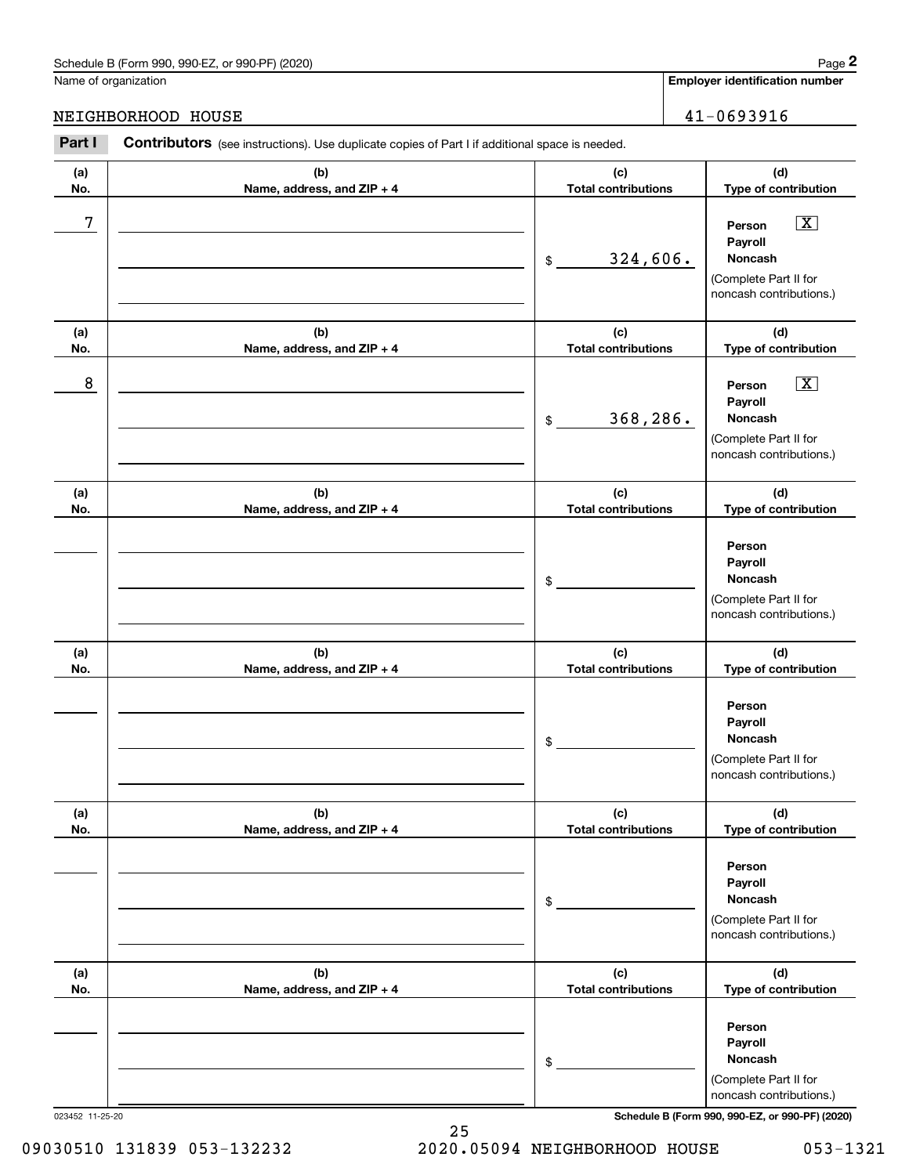# Schedule B (Form 990, 990-EZ, or 990-PF) (2020) Page 2

# NEIGHBORHOOD HOUSE 21-0693916

|                 | Schedule B (Form 990, 990-EZ, or 990-PF) (2020)                                                       |                                   | Page 2                                                                                                                              |
|-----------------|-------------------------------------------------------------------------------------------------------|-----------------------------------|-------------------------------------------------------------------------------------------------------------------------------------|
|                 | Name of organization                                                                                  |                                   | <b>Employer identification number</b>                                                                                               |
|                 | NEIGHBORHOOD HOUSE                                                                                    |                                   | 41-0693916                                                                                                                          |
| Part I          | <b>Contributors</b> (see instructions). Use duplicate copies of Part I if additional space is needed. |                                   |                                                                                                                                     |
| (a)<br>No.      | (b)<br>Name, address, and ZIP + 4                                                                     | (c)<br><b>Total contributions</b> | (d)<br>Type of contribution                                                                                                         |
| 7               |                                                                                                       | 324,606.<br>\$                    | $\boxed{\text{X}}$<br>Person<br>Payroll<br>Noncash<br>(Complete Part II for<br>noncash contributions.)                              |
| (a)<br>No.      | (b)<br>Name, address, and ZIP + 4                                                                     | (c)<br><b>Total contributions</b> | (d)<br>Type of contribution                                                                                                         |
| 8               |                                                                                                       | 368,286.<br>\$                    | $\boxed{\text{X}}$<br>Person<br>Payroll<br>Noncash<br>(Complete Part II for<br>noncash contributions.)                              |
| (a)<br>No.      | (b)<br>Name, address, and ZIP + 4                                                                     | (c)<br><b>Total contributions</b> | (d)<br>Type of contribution                                                                                                         |
|                 |                                                                                                       | \$                                | Person<br>Payroll<br>Noncash<br>(Complete Part II for<br>noncash contributions.)                                                    |
| (a)<br>No.      | (b)<br>Name, address, and ZIP + 4                                                                     | (c)<br><b>Total contributions</b> | (d)<br>Type of contribution                                                                                                         |
|                 |                                                                                                       | \$                                | Person<br>Payroll<br>Noncash<br>(Complete Part II for<br>noncash contributions.)                                                    |
| (a)<br>No.      | (b)<br>Name, address, and ZIP + 4                                                                     | (c)<br><b>Total contributions</b> | (d)<br>Type of contribution                                                                                                         |
|                 |                                                                                                       | \$                                | Person<br>Payroll<br>Noncash<br>(Complete Part II for<br>noncash contributions.)                                                    |
| (a)<br>No.      | (b)<br>Name, address, and ZIP + 4                                                                     | (c)<br><b>Total contributions</b> | (d)<br>Type of contribution                                                                                                         |
| 023452 11-25-20 |                                                                                                       | \$                                | Person<br>Payroll<br>Noncash<br>(Complete Part II for<br>noncash contributions.)<br>Schedule B (Form 990, 990-EZ, or 990-PF) (2020) |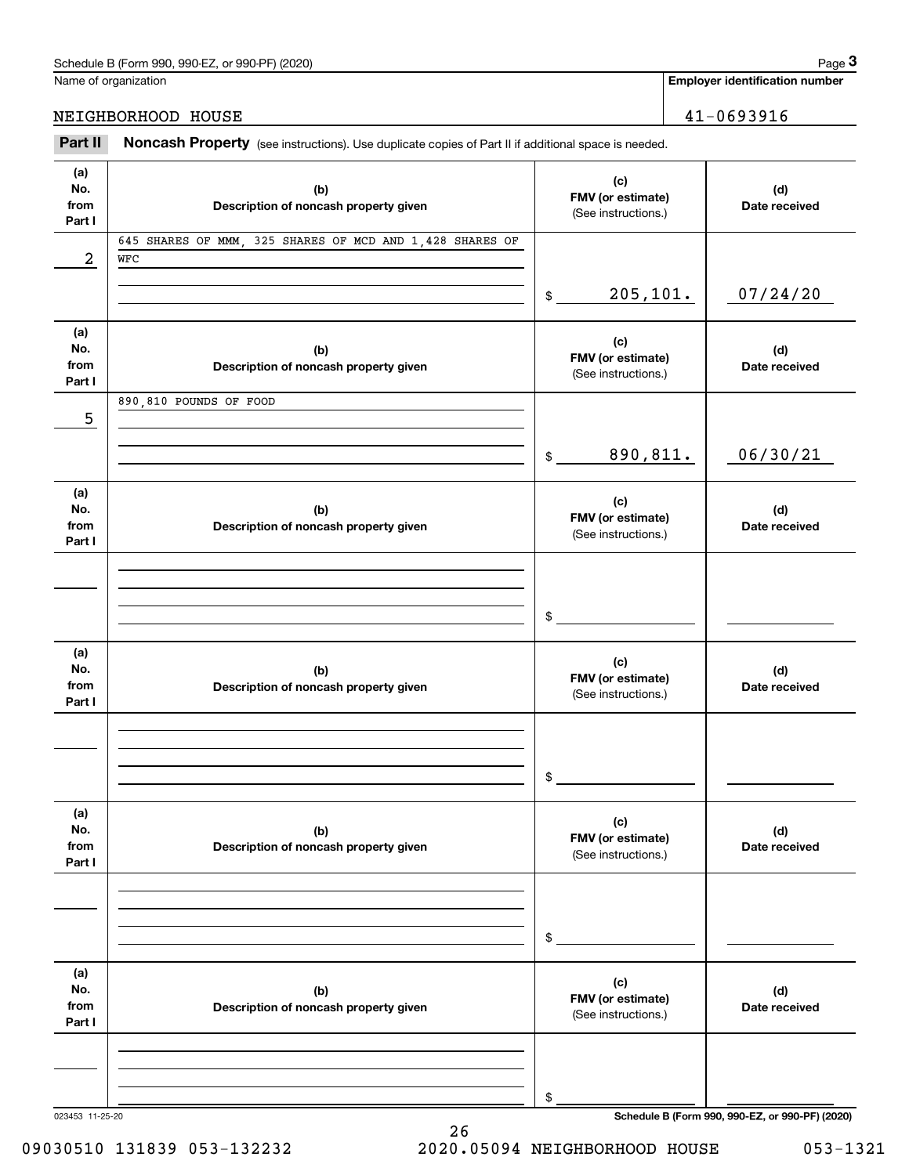Name of organization

**Employer identification number**

NEIGHBORHOOD HOUSE 41-0693916

**(a)No.fromPart I (c)FMV (or estimate) (b)Description of noncash property given (d) Date received (a)No.fromPart I (c) FMV (or estimate) (b) Description of noncash property given (d) Date received (a)No.fromPart I (c)FMV (or estimate) (b) Description of noncash property given (d) Date received (a) No.fromPart I (c) FMV (or estimate) (b)Description of noncash property given (d) Date received (a) No.fromPart I (c) FMV (or estimate) (b) Description of noncash property given (d)Date received (a) No.fromPart I (c)FMV (or estimate) (b)Description of noncash property given (d)Date received** Noncash Property (see instructions). Use duplicate copies of Part II if additional space is needed. (See instructions.)  $\mathfrak s$ (See instructions.)  $$$ (See instructions.) \$(See instructions.) \$(See instructions.) \$(See instructions.) \$**Employer identification**<br> **13Part II**<br> **13Part II**<br> **13Part II**<br> **13Part II**<br> **13Part II**<br> **14Part II**<br> **14Part II**<br> **14Part II**<br> **14Part II**<br> **14Part II**<br> **14Part II**<br> **14Part II**<br> **14Part II**<br> **14Part II**<br> **14Part II**<br> 2 07/24/20 5 06/30/21 205,101. 645 SHARES OF MMM, 325 SHARES OF MCD AND 1,428 SHARES OF WFC890,811. 890,810 POUNDS OF FOOD

023453 11-25-20 **Schedule B (Form 990, 990-EZ, or 990-PF) (2020)**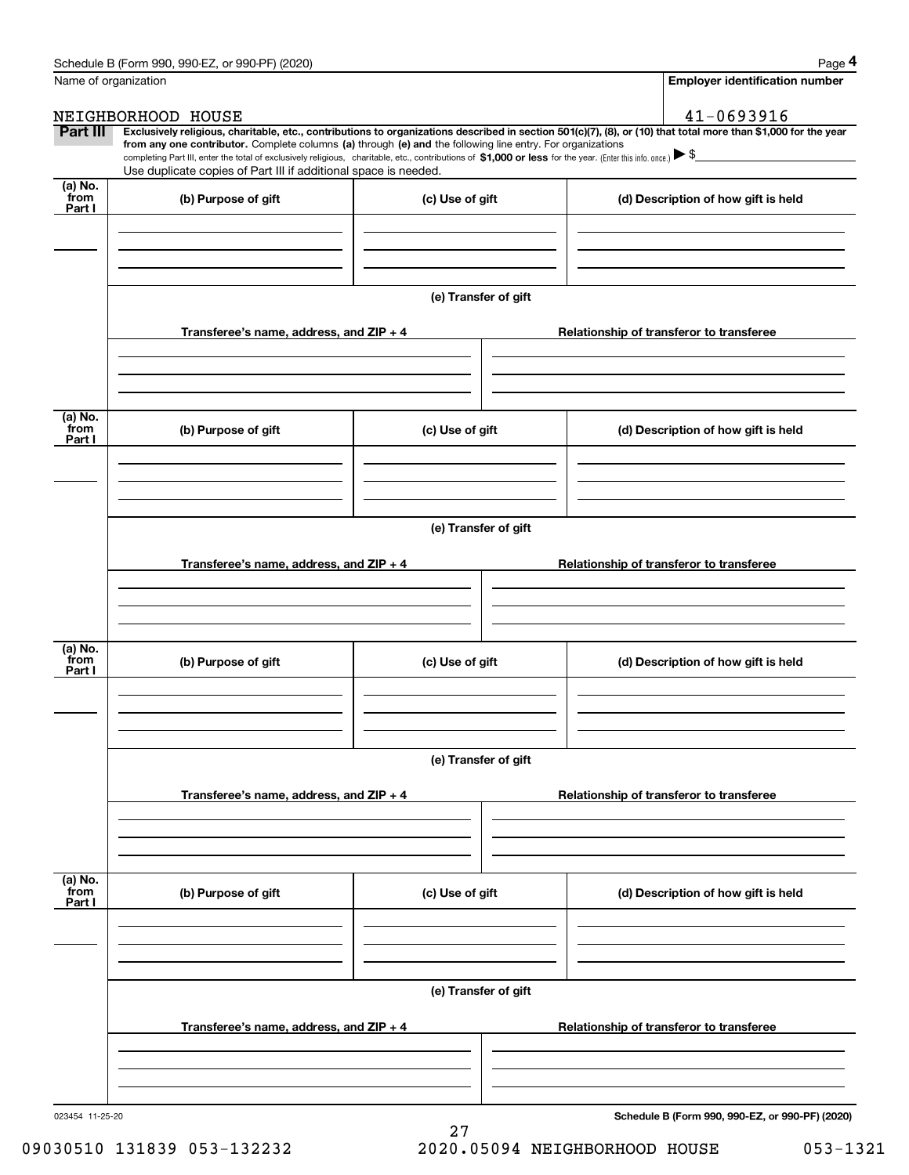|                           | Schedule B (Form 990, 990-EZ, or 990-PF) (2020)                                                                                                                                                                                                                                                 |                      | Page 4                                                                                                                                                         |
|---------------------------|-------------------------------------------------------------------------------------------------------------------------------------------------------------------------------------------------------------------------------------------------------------------------------------------------|----------------------|----------------------------------------------------------------------------------------------------------------------------------------------------------------|
|                           | Name of organization                                                                                                                                                                                                                                                                            |                      | <b>Employer identification number</b>                                                                                                                          |
|                           | NEIGHBORHOOD HOUSE                                                                                                                                                                                                                                                                              |                      | 41-0693916                                                                                                                                                     |
| <b>Part III</b>           |                                                                                                                                                                                                                                                                                                 |                      | Exclusively religious, charitable, etc., contributions to organizations described in section 501(c)(7), (8), or (10) that total more than \$1,000 for the year |
|                           | from any one contributor. Complete columns (a) through (e) and the following line entry. For organizations<br>completing Part III, enter the total of exclusively religious, charitable, etc., contributions of \$1,000 or less for the year. (Enter this info. once.) $\blacktriangleright$ \$ |                      |                                                                                                                                                                |
|                           | Use duplicate copies of Part III if additional space is needed.                                                                                                                                                                                                                                 |                      |                                                                                                                                                                |
| (a) No.<br>from<br>Part I | (b) Purpose of gift                                                                                                                                                                                                                                                                             | (c) Use of gift      | (d) Description of how gift is held                                                                                                                            |
|                           |                                                                                                                                                                                                                                                                                                 |                      |                                                                                                                                                                |
|                           |                                                                                                                                                                                                                                                                                                 |                      |                                                                                                                                                                |
|                           |                                                                                                                                                                                                                                                                                                 | (e) Transfer of gift |                                                                                                                                                                |
|                           | Transferee's name, address, and ZIP + 4                                                                                                                                                                                                                                                         |                      | Relationship of transferor to transferee                                                                                                                       |
|                           |                                                                                                                                                                                                                                                                                                 |                      |                                                                                                                                                                |
| (a) No.<br>from<br>Part I | (b) Purpose of gift                                                                                                                                                                                                                                                                             | (c) Use of gift      | (d) Description of how gift is held                                                                                                                            |
|                           |                                                                                                                                                                                                                                                                                                 |                      |                                                                                                                                                                |
|                           |                                                                                                                                                                                                                                                                                                 |                      |                                                                                                                                                                |
|                           | Transferee's name, address, and ZIP + 4                                                                                                                                                                                                                                                         | (e) Transfer of gift | Relationship of transferor to transferee                                                                                                                       |
|                           |                                                                                                                                                                                                                                                                                                 |                      |                                                                                                                                                                |
|                           |                                                                                                                                                                                                                                                                                                 |                      |                                                                                                                                                                |
| (a) No.<br>from<br>Part I | (b) Purpose of gift                                                                                                                                                                                                                                                                             | (c) Use of gift      | (d) Description of how gift is held                                                                                                                            |
|                           |                                                                                                                                                                                                                                                                                                 |                      |                                                                                                                                                                |
|                           |                                                                                                                                                                                                                                                                                                 | (e) Transfer of gift |                                                                                                                                                                |
|                           | Transferee's name, address, and ZIP + 4                                                                                                                                                                                                                                                         |                      | Relationship of transferor to transferee                                                                                                                       |
|                           |                                                                                                                                                                                                                                                                                                 |                      |                                                                                                                                                                |
|                           |                                                                                                                                                                                                                                                                                                 |                      |                                                                                                                                                                |
| (a) No.<br>from<br>Part I | (b) Purpose of gift                                                                                                                                                                                                                                                                             | (c) Use of gift      | (d) Description of how gift is held                                                                                                                            |
|                           |                                                                                                                                                                                                                                                                                                 |                      |                                                                                                                                                                |
|                           |                                                                                                                                                                                                                                                                                                 | (e) Transfer of gift |                                                                                                                                                                |
|                           |                                                                                                                                                                                                                                                                                                 |                      |                                                                                                                                                                |
|                           | Transferee's name, address, and ZIP + 4                                                                                                                                                                                                                                                         |                      | Relationship of transferor to transferee                                                                                                                       |
|                           |                                                                                                                                                                                                                                                                                                 |                      |                                                                                                                                                                |
| 023454 11-25-20           |                                                                                                                                                                                                                                                                                                 |                      | Schedule B (Form 990, 990-EZ, or 990-PF) (2020)                                                                                                                |

27 09030510 131839 053-132232 2020.05094 NEIGHBORHOOD HOUSE 053-1321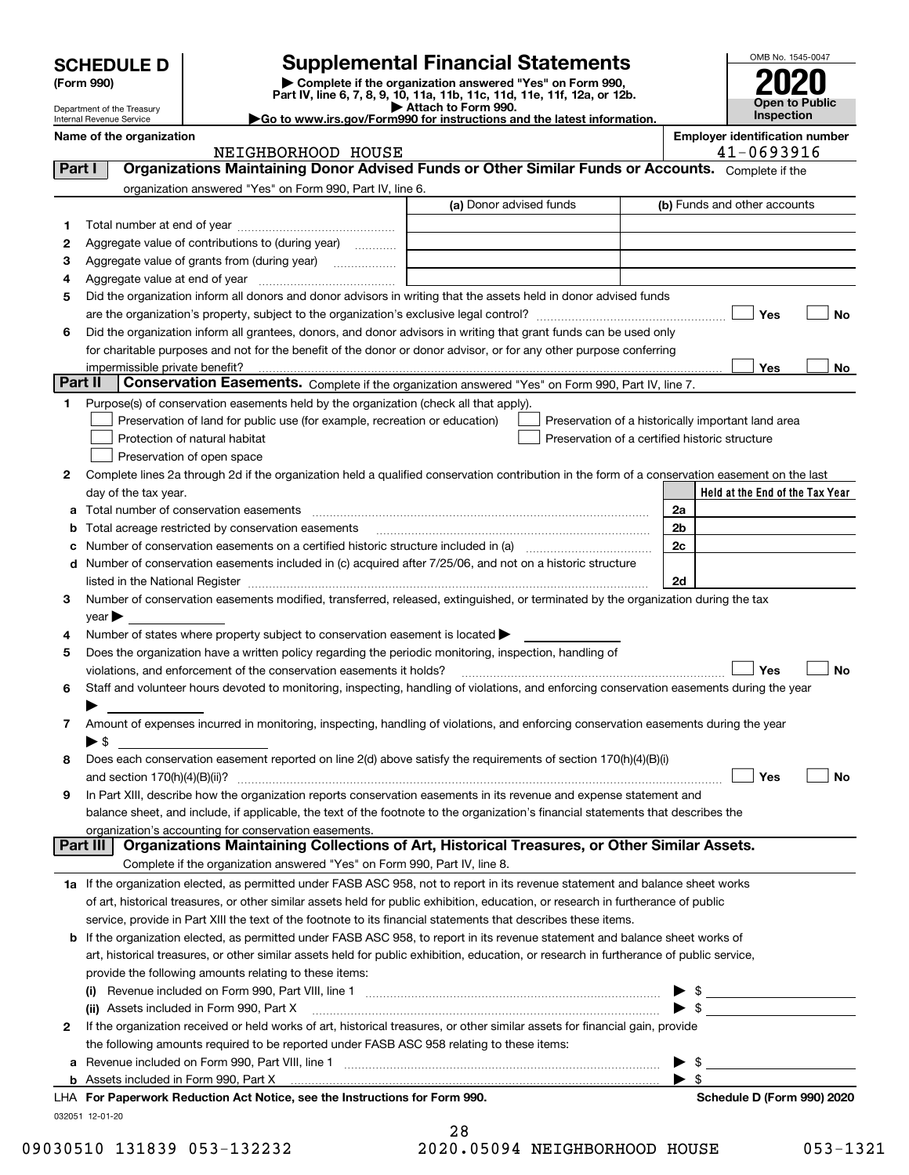| <b>SCHEDULE D</b> |
|-------------------|
|-------------------|

**Part II** 

# **Supplemental Financial Statements**

**(Form 990)** (**Form 990,**<br>Part IV, line 6, 7, 8, 9, 10, 11a, 11b, 11c, 11d, 11e, 11f, 12a, or 12b.<br>Department of the Treasury **and Exercise Connect Connect Connect Connect Connect Connect Connect Connect Connect** 

NEIGHBORHOOD HOUSE and the set of the set of the set of the set of the set of the set of the set of the set of the set of the set of the set of the set of the set of the set of the set of the set of the set of the set of t



Department of the Treasury Internal Revenue Service

| Name of the organization   |                                                                        | <b>Employer identification number</b> |
|----------------------------|------------------------------------------------------------------------|---------------------------------------|
| Department of the Treasury | ► Attach to Form 990.                                                  |                                       |
| Internal Revenue Service   | Go to www.irs.gov/Form990 for instructions and the latest information. | <b>Inspection</b>                     |

| Part I  | <b>Organizations Maintaining Donor Advised Funds or Other Similar Funds or Accounts.</b> Complete if the                                                                                                                      |                                                    |    |                                 |    |
|---------|-------------------------------------------------------------------------------------------------------------------------------------------------------------------------------------------------------------------------------|----------------------------------------------------|----|---------------------------------|----|
|         | organization answered "Yes" on Form 990, Part IV, line 6.                                                                                                                                                                     |                                                    |    |                                 |    |
|         |                                                                                                                                                                                                                               | (a) Donor advised funds                            |    | (b) Funds and other accounts    |    |
| 1       |                                                                                                                                                                                                                               |                                                    |    |                                 |    |
| 2       | Aggregate value of contributions to (during year)                                                                                                                                                                             |                                                    |    |                                 |    |
| 3       |                                                                                                                                                                                                                               |                                                    |    |                                 |    |
| 4       |                                                                                                                                                                                                                               |                                                    |    |                                 |    |
| 5       | Did the organization inform all donors and donor advisors in writing that the assets held in donor advised funds                                                                                                              |                                                    |    |                                 |    |
|         |                                                                                                                                                                                                                               |                                                    |    | Yes                             | No |
| 6       | Did the organization inform all grantees, donors, and donor advisors in writing that grant funds can be used only                                                                                                             |                                                    |    |                                 |    |
|         | for charitable purposes and not for the benefit of the donor or donor advisor, or for any other purpose conferring                                                                                                            |                                                    |    |                                 |    |
|         | impermissible private benefit?                                                                                                                                                                                                |                                                    |    | Yes                             | No |
| Part II | Conservation Easements. Complete if the organization answered "Yes" on Form 990, Part IV, line 7.                                                                                                                             |                                                    |    |                                 |    |
| 1       | Purpose(s) of conservation easements held by the organization (check all that apply).                                                                                                                                         |                                                    |    |                                 |    |
|         | Preservation of land for public use (for example, recreation or education)                                                                                                                                                    | Preservation of a historically important land area |    |                                 |    |
|         | Protection of natural habitat                                                                                                                                                                                                 | Preservation of a certified historic structure     |    |                                 |    |
|         | Preservation of open space                                                                                                                                                                                                    |                                                    |    |                                 |    |
| 2       | Complete lines 2a through 2d if the organization held a qualified conservation contribution in the form of a conservation easement on the last                                                                                |                                                    |    |                                 |    |
|         | day of the tax year.                                                                                                                                                                                                          |                                                    |    | Held at the End of the Tax Year |    |
|         | a Total number of conservation easements                                                                                                                                                                                      |                                                    | 2a |                                 |    |
|         | <b>b</b> Total acreage restricted by conservation easements                                                                                                                                                                   |                                                    | 2b |                                 |    |
|         |                                                                                                                                                                                                                               |                                                    | 2c |                                 |    |
|         | d Number of conservation easements included in (c) acquired after 7/25/06, and not on a historic structure                                                                                                                    |                                                    |    |                                 |    |
|         | listed in the National Register [111] Marshall Register [11] Marshall Register [11] Marshall Register [11] Marshall Register [11] Marshall Register [11] Marshall Register [11] Marshall Register [11] Marshall Register [11] |                                                    | 2d |                                 |    |
| З       | Number of conservation easements modified, transferred, released, extinguished, or terminated by the organization during the tax                                                                                              |                                                    |    |                                 |    |
|         | year                                                                                                                                                                                                                          |                                                    |    |                                 |    |
| 4       | Number of states where property subject to conservation easement is located >                                                                                                                                                 |                                                    |    |                                 |    |
| 5       | Does the organization have a written policy regarding the periodic monitoring, inspection, handling of                                                                                                                        |                                                    |    |                                 |    |
|         | violations, and enforcement of the conservation easements it holds?                                                                                                                                                           |                                                    |    | Yes                             | No |
| 6       | Staff and volunteer hours devoted to monitoring, inspecting, handling of violations, and enforcing conservation easements during the year                                                                                     |                                                    |    |                                 |    |
|         |                                                                                                                                                                                                                               |                                                    |    |                                 |    |
| 7       | Amount of expenses incurred in monitoring, inspecting, handling of violations, and enforcing conservation easements during the year                                                                                           |                                                    |    |                                 |    |
|         | $\blacktriangleright$ \$                                                                                                                                                                                                      |                                                    |    |                                 |    |
| 8       | Does each conservation easement reported on line 2(d) above satisfy the requirements of section 170(h)(4)(B)(i)                                                                                                               |                                                    |    |                                 |    |
|         |                                                                                                                                                                                                                               |                                                    |    | Yes                             | No |
| 9       | In Part XIII, describe how the organization reports conservation easements in its revenue and expense statement and                                                                                                           |                                                    |    |                                 |    |
|         | balance sheet, and include, if applicable, the text of the footnote to the organization's financial statements that describes the                                                                                             |                                                    |    |                                 |    |
|         | organization's accounting for conservation easements.                                                                                                                                                                         |                                                    |    |                                 |    |
|         | Organizations Maintaining Collections of Art, Historical Treasures, or Other Similar Assets.<br>Part III                                                                                                                      |                                                    |    |                                 |    |
|         | Complete if the organization answered "Yes" on Form 990, Part IV, line 8.                                                                                                                                                     |                                                    |    |                                 |    |
|         | 1a If the organization elected, as permitted under FASB ASC 958, not to report in its revenue statement and balance sheet works                                                                                               |                                                    |    |                                 |    |
|         | of art, historical treasures, or other similar assets held for public exhibition, education, or research in furtherance of public                                                                                             |                                                    |    |                                 |    |
|         | service, provide in Part XIII the text of the footnote to its financial statements that describes these items.                                                                                                                |                                                    |    |                                 |    |
|         | <b>b</b> If the organization elected, as permitted under FASB ASC 958, to report in its revenue statement and balance sheet works of                                                                                          |                                                    |    |                                 |    |
|         | art, historical treasures, or other similar assets held for public exhibition, education, or research in furtherance of public service,                                                                                       |                                                    |    |                                 |    |

**2(i)** Revenue included on Form 990, Part VIII, line 1 ~~~~~~~~~~~~~~~~~~~~~~~~~~~~**(ii)** Assets included in Form 990, Part X ~~~~~~~~~~~~~~~~~~~~~~~~~~~~~~~~~ | \$ **abFor Paperwork Reduction Act Notice, see the Instructions for Form 990. Schedule D (Form 990) 2020** LHA provide the following amounts relating to these items:  $\blacktriangleright$  \$ If the organization received or held works of art, historical treasures, or other similar assets for financial gain, provide the following amounts required to be reported under FASB ASC 958 relating to these items: Revenue included on Form 990, Part VIII, line 1 <sub>………………………………………………………………………………</sub> Assets included in Form 990, Part X  $\blacktriangleright$  \$  $\blacktriangleright$  \$

032051 12-01-20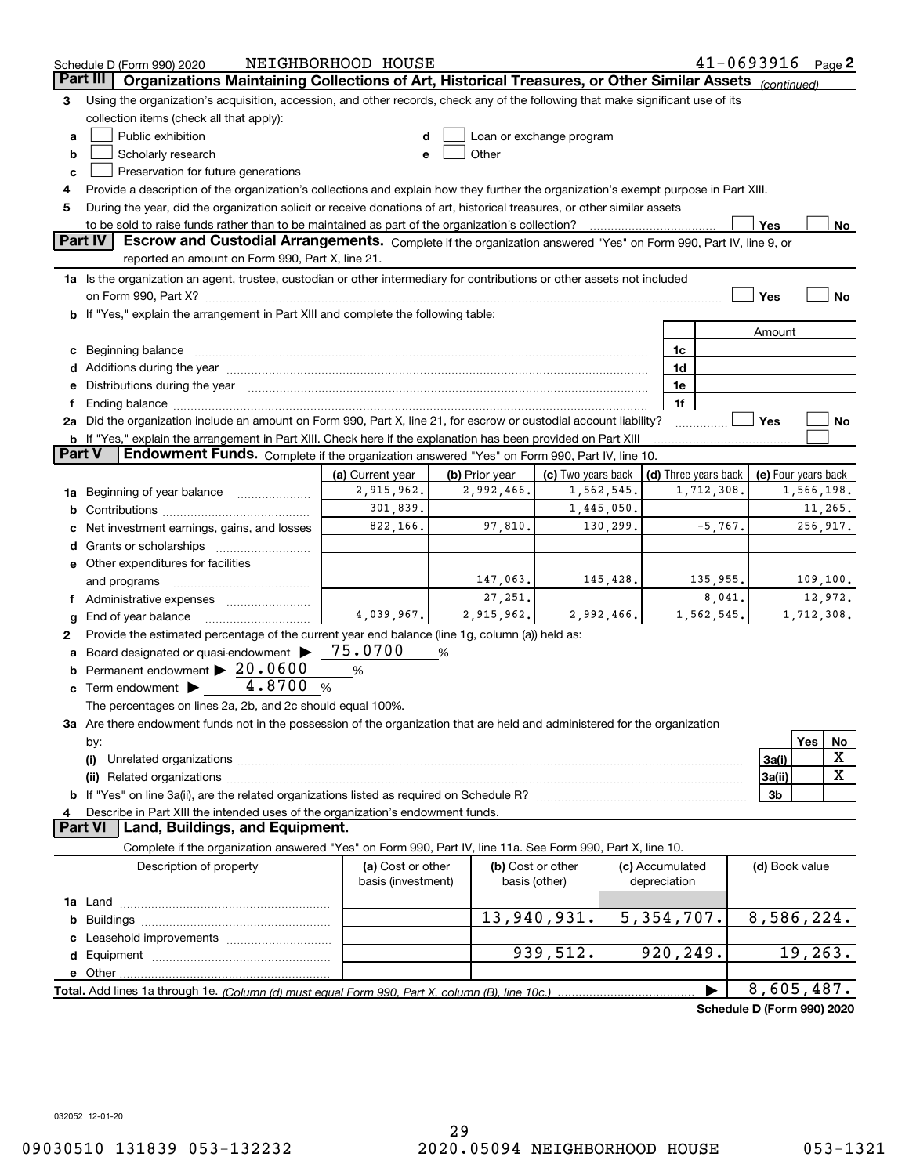|        | $41 - 0693916$ Page 2<br>NEIGHBORHOOD HOUSE<br>Schedule D (Form 990) 2020                                                                                                                                                      |                    |                |                                                                                                                                                                                                                                |          |                            |            |                            |     |             |
|--------|--------------------------------------------------------------------------------------------------------------------------------------------------------------------------------------------------------------------------------|--------------------|----------------|--------------------------------------------------------------------------------------------------------------------------------------------------------------------------------------------------------------------------------|----------|----------------------------|------------|----------------------------|-----|-------------|
|        | Organizations Maintaining Collections of Art, Historical Treasures, or Other Similar Assets (continued)<br>Part III                                                                                                            |                    |                |                                                                                                                                                                                                                                |          |                            |            |                            |     |             |
| З      | Using the organization's acquisition, accession, and other records, check any of the following that make significant use of its                                                                                                |                    |                |                                                                                                                                                                                                                                |          |                            |            |                            |     |             |
|        | collection items (check all that apply):                                                                                                                                                                                       |                    |                |                                                                                                                                                                                                                                |          |                            |            |                            |     |             |
| a      | Public exhibition                                                                                                                                                                                                              |                    |                | Loan or exchange program                                                                                                                                                                                                       |          |                            |            |                            |     |             |
| b      | Scholarly research                                                                                                                                                                                                             | е                  |                | Other the contract of the contract of the contract of the contract of the contract of the contract of the contract of the contract of the contract of the contract of the contract of the contract of the contract of the cont |          |                            |            |                            |     |             |
| c      | Preservation for future generations                                                                                                                                                                                            |                    |                |                                                                                                                                                                                                                                |          |                            |            |                            |     |             |
| 4      | Provide a description of the organization's collections and explain how they further the organization's exempt purpose in Part XIII.                                                                                           |                    |                |                                                                                                                                                                                                                                |          |                            |            |                            |     |             |
| 5      | During the year, did the organization solicit or receive donations of art, historical treasures, or other similar assets                                                                                                       |                    |                |                                                                                                                                                                                                                                |          |                            |            |                            |     |             |
|        | to be sold to raise funds rather than to be maintained as part of the organization's collection?                                                                                                                               |                    |                |                                                                                                                                                                                                                                |          |                            |            | Yes                        |     | No          |
|        | <b>Part IV</b><br>Escrow and Custodial Arrangements. Complete if the organization answered "Yes" on Form 990, Part IV, line 9, or                                                                                              |                    |                |                                                                                                                                                                                                                                |          |                            |            |                            |     |             |
|        | reported an amount on Form 990, Part X, line 21.                                                                                                                                                                               |                    |                |                                                                                                                                                                                                                                |          |                            |            |                            |     |             |
|        | 1a Is the organization an agent, trustee, custodian or other intermediary for contributions or other assets not included                                                                                                       |                    |                |                                                                                                                                                                                                                                |          |                            |            |                            |     |             |
|        |                                                                                                                                                                                                                                |                    |                |                                                                                                                                                                                                                                |          |                            |            | Yes                        |     | No          |
|        | <b>b</b> If "Yes," explain the arrangement in Part XIII and complete the following table:                                                                                                                                      |                    |                |                                                                                                                                                                                                                                |          |                            |            |                            |     |             |
|        |                                                                                                                                                                                                                                |                    |                |                                                                                                                                                                                                                                |          |                            |            | Amount                     |     |             |
| c      | Beginning balance                                                                                                                                                                                                              |                    |                |                                                                                                                                                                                                                                |          | 1c                         |            |                            |     |             |
|        | Additions during the year manufactured and an annual contract of the year manufactured and all the year manufactured and all the year manufactured and all the year manufactured and all the year manufactured and all the yea |                    |                |                                                                                                                                                                                                                                |          | 1d                         |            |                            |     |             |
|        | Distributions during the year manufactured and an account of the state of the state of the state of the state o                                                                                                                |                    |                |                                                                                                                                                                                                                                |          | 1e                         |            |                            |     |             |
|        | Ending balance manufactured and contract and contract the contract of the contract of the contract of the contract of the contract of the contract of the contract of the contract of the contract of the contract of the cont |                    |                |                                                                                                                                                                                                                                |          | 1f                         |            |                            |     |             |
|        | 2a Did the organization include an amount on Form 990, Part X, line 21, for escrow or custodial account liability?                                                                                                             |                    |                |                                                                                                                                                                                                                                |          |                            |            | Yes                        |     | No          |
|        | <b>b</b> If "Yes," explain the arrangement in Part XIII. Check here if the explanation has been provided on Part XIII                                                                                                          |                    |                |                                                                                                                                                                                                                                |          |                            |            |                            |     |             |
| Part V | Endowment Funds. Complete if the organization answered "Yes" on Form 990, Part IV, line 10.                                                                                                                                    |                    |                |                                                                                                                                                                                                                                |          |                            |            |                            |     |             |
|        |                                                                                                                                                                                                                                | (a) Current year   | (b) Prior year | (c) Two years back                                                                                                                                                                                                             |          | (d) Three years back       |            | (e) Four years back        |     |             |
| 1a     | Beginning of year balance                                                                                                                                                                                                      | 2,915,962.         | 2,992,466.     | 1,562,545.                                                                                                                                                                                                                     |          |                            | 1,712,308. |                            |     | 1,566,198.  |
| b      |                                                                                                                                                                                                                                | 301,839.           |                | 1,445,050.                                                                                                                                                                                                                     |          |                            |            |                            |     | 11,265.     |
|        | Net investment earnings, gains, and losses                                                                                                                                                                                     | 822,166.           | 97,810.        |                                                                                                                                                                                                                                | 130,299. |                            | $-5,767.$  |                            |     | 256,917.    |
|        | Grants or scholarships                                                                                                                                                                                                         |                    |                |                                                                                                                                                                                                                                |          |                            |            |                            |     |             |
|        | e Other expenditures for facilities                                                                                                                                                                                            |                    |                |                                                                                                                                                                                                                                |          |                            |            |                            |     |             |
|        | and programs                                                                                                                                                                                                                   |                    | 147,063.       |                                                                                                                                                                                                                                | 145,428. |                            | 135,955.   |                            |     | 109,100.    |
|        |                                                                                                                                                                                                                                |                    | 27,251.        |                                                                                                                                                                                                                                |          |                            | 8,041.     |                            |     | 12,972.     |
| g      | End of year balance                                                                                                                                                                                                            | 4,039,967.         | 2,915,962.     | 2,992,466.                                                                                                                                                                                                                     |          |                            | 1,562,545. |                            |     | 1,712,308.  |
| 2      | Provide the estimated percentage of the current year end balance (line 1g, column (a)) held as:                                                                                                                                |                    |                |                                                                                                                                                                                                                                |          |                            |            |                            |     |             |
|        | Board designated or quasi-endowment >                                                                                                                                                                                          | 75.0700            | %              |                                                                                                                                                                                                                                |          |                            |            |                            |     |             |
| b      | Permanent endowment > 20.0600                                                                                                                                                                                                  | %                  |                |                                                                                                                                                                                                                                |          |                            |            |                            |     |             |
| c      | Term endowment $\blacktriangleright$ 4.8700                                                                                                                                                                                    | %                  |                |                                                                                                                                                                                                                                |          |                            |            |                            |     |             |
|        | The percentages on lines 2a, 2b, and 2c should equal 100%.                                                                                                                                                                     |                    |                |                                                                                                                                                                                                                                |          |                            |            |                            |     |             |
|        | 3a Are there endowment funds not in the possession of the organization that are held and administered for the organization                                                                                                     |                    |                |                                                                                                                                                                                                                                |          |                            |            |                            |     |             |
|        | by:                                                                                                                                                                                                                            |                    |                |                                                                                                                                                                                                                                |          |                            |            |                            | Yes | No          |
|        | (i)                                                                                                                                                                                                                            |                    |                |                                                                                                                                                                                                                                |          |                            |            | 3a(i)                      |     | X           |
|        |                                                                                                                                                                                                                                |                    |                |                                                                                                                                                                                                                                |          |                            |            | 3a(ii)                     |     | $\mathbf X$ |
|        |                                                                                                                                                                                                                                |                    |                |                                                                                                                                                                                                                                |          |                            |            | 3b                         |     |             |
|        | Describe in Part XIII the intended uses of the organization's endowment funds.                                                                                                                                                 |                    |                |                                                                                                                                                                                                                                |          |                            |            |                            |     |             |
|        | Land, Buildings, and Equipment.<br><b>Part VI</b>                                                                                                                                                                              |                    |                |                                                                                                                                                                                                                                |          |                            |            |                            |     |             |
|        | Complete if the organization answered "Yes" on Form 990, Part IV, line 11a. See Form 990, Part X, line 10.                                                                                                                     |                    |                |                                                                                                                                                                                                                                |          |                            |            |                            |     |             |
|        | Description of property                                                                                                                                                                                                        | (a) Cost or other  |                | (b) Cost or other                                                                                                                                                                                                              |          | (c) Accumulated            |            | (d) Book value             |     |             |
|        |                                                                                                                                                                                                                                | basis (investment) |                | basis (other)                                                                                                                                                                                                                  |          | depreciation               |            |                            |     |             |
|        |                                                                                                                                                                                                                                |                    |                |                                                                                                                                                                                                                                |          |                            |            |                            |     |             |
| b      |                                                                                                                                                                                                                                |                    |                | 13,940,931.                                                                                                                                                                                                                    |          | $\overline{5}$ , 354, 707. |            | 8,586,224.                 |     |             |
|        |                                                                                                                                                                                                                                |                    |                |                                                                                                                                                                                                                                |          |                            |            |                            |     |             |
| d      |                                                                                                                                                                                                                                |                    |                | 939,512.                                                                                                                                                                                                                       |          | 920,249.                   |            |                            |     | 19,263.     |
|        | e Other.                                                                                                                                                                                                                       |                    |                |                                                                                                                                                                                                                                |          |                            |            |                            |     |             |
|        | Total. Add lines 1a through 1e. (Column (d) must equal Form 990. Part X. column (B). line 10c.)                                                                                                                                |                    |                |                                                                                                                                                                                                                                |          |                            |            | 8,605,487.                 |     |             |
|        |                                                                                                                                                                                                                                |                    |                |                                                                                                                                                                                                                                |          |                            |            | Schedule D (Form 990) 2020 |     |             |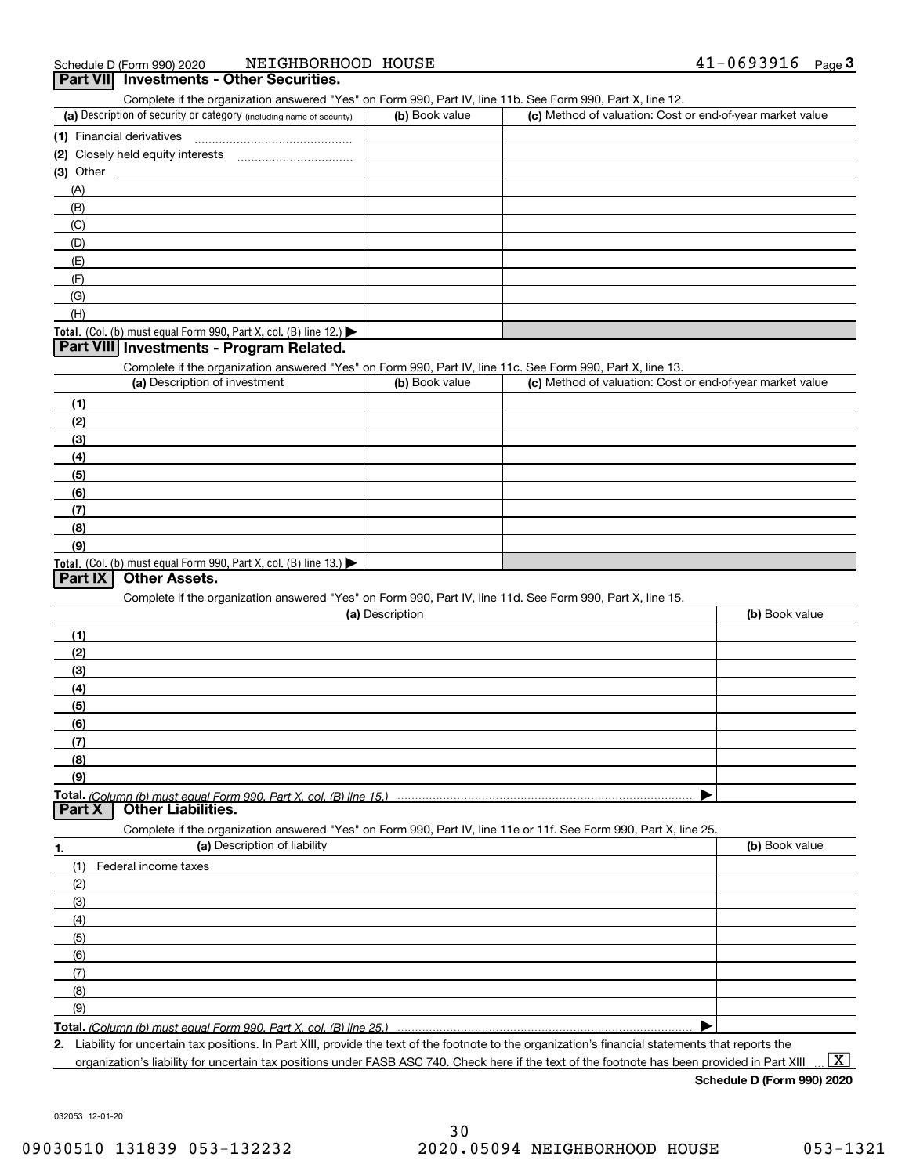# (a) Description of security or category (including name of security)  $\vert$  (b) Book value  $\vert$  (c) Total. (Col. (b) must equal Form 990, Part X, col. (B) line 12.) Total. (Col. (b) must equal Form 990, Part X, col. (B) line 13.) **(1)** Financial derivatives ~~~~~~~~~~~~~~~**(2)** Closely held equity interests **(3)** Other (a) Description of investment **b (b)** Book value **(1)(2) (3)(4) (5)(6)(7)(8)(9)(a) (b)**  Description**(1)(2) (3)(4)(5) (6)(7) (8)(9)Total.**  *(Column (b) must equal Form 990, Part X, col. (B) line 15.)* **1.(a)** Description of liability **Book value** Book value Book value Book value Book value Schedule D (Form 990) 2020 Page NEIGHBORHOOD HOUSE 41-0693916 Complete if the organization answered "Yes" on Form 990, Part IV, line 11b. See Form 990, Part X, line 12.  $(b)$  Book value  $\vert$  (c) Method of valuation: Cost or end-of-year market value (A)(B)(C)(D)(E)(F)(G)(H)Complete if the organization answered "Yes" on Form 990, Part IV, line 11c. See Form 990, Part X, line 13. (c) Method of valuation: Cost or end-of-year market value Complete if the organization answered "Yes" on Form 990, Part IV, line 11d. See Form 990, Part X, line 15. (b) Book value  $\blacktriangleright$ Complete if the organization answered "Yes" on Form 990, Part IV, line 11e or 11f. See Form 990, Part X, line 25. (1)(2)(3)(4)Federal income taxes Schedule D (Form 990) 2020 MEIGHBORHOOD HOUSE **1998 100 MBC 100 MBC 100 MBC 100 MBC 100 MBC 100 MBC 100 MBC 100**<br>**Part VII Investments - Other Securities. Part VIII Investments - Program Related. Part IX Other Assets. Part X Other Liabilities.**

**Total.**  *(Column (b) must equal Form 990, Part X, col. (B) line 25.)* 

**2.**Liability for uncertain tax positions. In Part XIII, provide the text of the footnote to the organization's financial statements that reports the organization's liability for uncertain tax positions under FASB ASC 740. Check here if the text of the footnote has been provided in Part XIII  $\boxed{\text{X}}$ 

**Schedule D (Form 990) 2020**

 $\blacktriangleright$ 

032053 12-01-20

(5)(6)(7)(8)(9)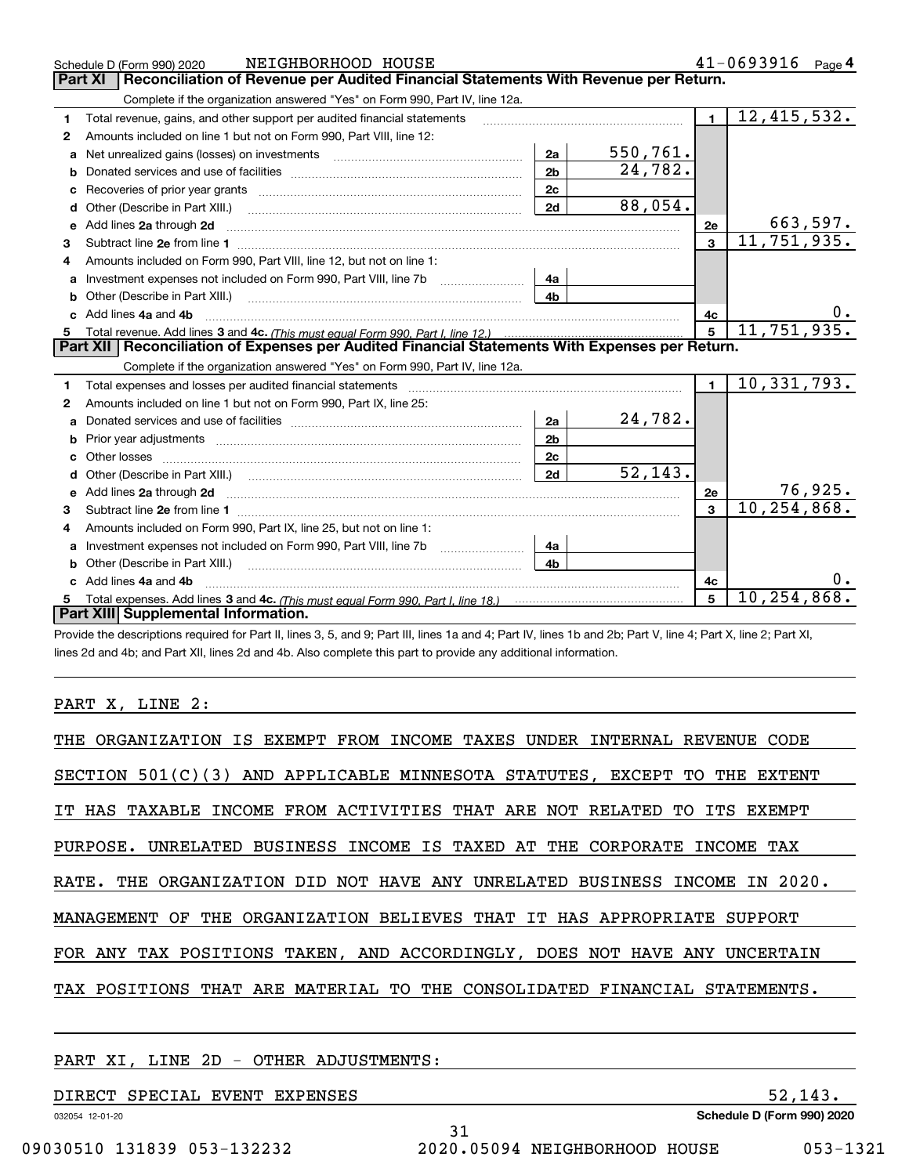|              | NEIGHBORHOOD HOUSE<br>Schedule D (Form 990) 2020                                                                                                                                                                                    |                |          |                | 41-0693916<br>Page 4       |
|--------------|-------------------------------------------------------------------------------------------------------------------------------------------------------------------------------------------------------------------------------------|----------------|----------|----------------|----------------------------|
|              | Reconciliation of Revenue per Audited Financial Statements With Revenue per Return.<br><b>Part XI</b>                                                                                                                               |                |          |                |                            |
|              | Complete if the organization answered "Yes" on Form 990, Part IV, line 12a.                                                                                                                                                         |                |          |                |                            |
| 1            | Total revenue, gains, and other support per audited financial statements                                                                                                                                                            |                |          | $\blacksquare$ | $\overline{12, 415, 532.}$ |
| $\mathbf{2}$ | Amounts included on line 1 but not on Form 990, Part VIII, line 12:                                                                                                                                                                 |                |          |                |                            |
| a            | Net unrealized gains (losses) on investments [11] matter contracts and the unrealized gains (losses) on investments                                                                                                                 | 2a             | 550,761. |                |                            |
| b            |                                                                                                                                                                                                                                     | 2 <sub>b</sub> | 24,782.  |                |                            |
|              |                                                                                                                                                                                                                                     | 2c             |          |                |                            |
| d            |                                                                                                                                                                                                                                     | 2d             | 88,054.  |                |                            |
| е            | Add lines 2a through 2d                                                                                                                                                                                                             |                |          | 2e             | <u>663,597.</u>            |
| 3            |                                                                                                                                                                                                                                     |                |          | $\mathbf{3}$   | 11,751,935.                |
| 4            | Amounts included on Form 990, Part VIII, line 12, but not on line 1:                                                                                                                                                                |                |          |                |                            |
|              |                                                                                                                                                                                                                                     | 4a             |          |                |                            |
|              |                                                                                                                                                                                                                                     | 4 <sub>h</sub> |          |                |                            |
| c.           | Add lines 4a and 4b                                                                                                                                                                                                                 |                |          | 4с             |                            |
|              |                                                                                                                                                                                                                                     |                |          | 5              | 11,751,935.                |
|              |                                                                                                                                                                                                                                     |                |          |                |                            |
|              | Part XII   Reconciliation of Expenses per Audited Financial Statements With Expenses per Return.                                                                                                                                    |                |          |                |                            |
|              | Complete if the organization answered "Yes" on Form 990, Part IV, line 12a.                                                                                                                                                         |                |          |                |                            |
| 1            | Total expenses and losses per audited financial statements [11] [12] contraction control in the statements [15] [15] and the statements [15] [15] and the statements [15] and the statements [15] and the statements [15] and       |                |          | $\blacksquare$ | 10,331,793.                |
| 2            | Amounts included on line 1 but not on Form 990, Part IX, line 25:                                                                                                                                                                   |                |          |                |                            |
| a            |                                                                                                                                                                                                                                     | 2a             | 24,782.  |                |                            |
|              |                                                                                                                                                                                                                                     | 2 <sub>b</sub> |          |                |                            |
|              |                                                                                                                                                                                                                                     | 2c             |          |                |                            |
|              |                                                                                                                                                                                                                                     | 2d             | 52, 143. |                |                            |
|              | Add lines 2a through 2d <b>contained a contained a contained a contained a</b> contained a contact the state of the state of the state of the state of the state of the state of the state of the state of the state of the state o |                |          | 2e             | <u>76,925.</u>             |
|              |                                                                                                                                                                                                                                     |                |          | 3              | 10, 254, 868.              |
| 4            | Amounts included on Form 990, Part IX, line 25, but not on line 1:                                                                                                                                                                  |                |          |                |                            |
| a            |                                                                                                                                                                                                                                     | 4a             |          |                |                            |
|              | <b>b</b> Other (Describe in Part XIII.)                                                                                                                                                                                             | 4 <sub>b</sub> |          |                |                            |
| c            | Add lines 4a and 4b                                                                                                                                                                                                                 |                |          | 4c             | 0.                         |
|              | Part XIII Supplemental Information.                                                                                                                                                                                                 |                |          | 5              | 10, 254, 868.              |

Provide the descriptions required for Part II, lines 3, 5, and 9; Part III, lines 1a and 4; Part IV, lines 1b and 2b; Part V, line 4; Part X, line 2; Part XI, lines 2d and 4b; and Part XII, lines 2d and 4b. Also complete this part to provide any additional information.

# PART X, LINE 2:

| THE ORGANIZATION IS EXEMPT FROM INCOME TAXES UNDER INTERNAL REVENUE CODE    |
|-----------------------------------------------------------------------------|
| SECTION $501(C)(3)$ and applicable minnesota statutes, except to the extent |
| IT HAS TAXABLE INCOME FROM ACTIVITIES THAT ARE NOT RELATED TO ITS EXEMPT    |
| PURPOSE. UNRELATED BUSINESS INCOME IS TAXED AT THE CORPORATE INCOME TAX     |
| RATE. THE ORGANIZATION DID NOT HAVE ANY UNRELATED BUSINESS INCOME IN 2020.  |
| MANAGEMENT OF THE ORGANIZATION BELIEVES THAT IT HAS APPROPRIATE SUPPORT     |
| FOR ANY TAX POSITIONS TAKEN, AND ACCORDINGLY, DOES NOT HAVE ANY UNCERTAIN   |
| TAX POSITIONS THAT ARE MATERIAL TO THE CONSOLIDATED FINANCIAL STATEMENTS.   |
|                                                                             |

31

# PART XI, LINE 2D - OTHER ADJUSTMENTS:

DIRECT SPECIAL EVENT EXPENSES 52,143.

032054 12-01-20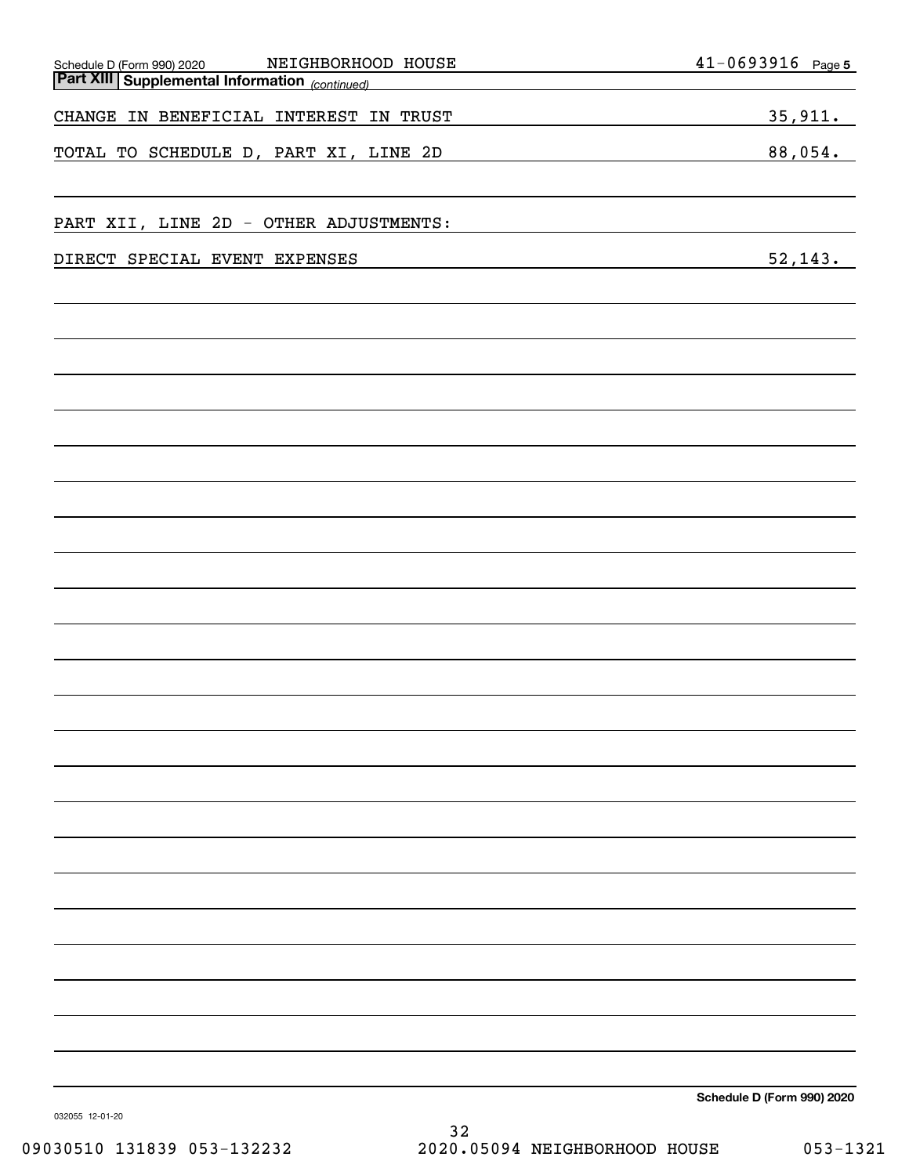| NEIGHBORHOOD HOUSE<br>Schedule D (Form 990) 2020      | 41-0693916 Page 5                                                    |
|-------------------------------------------------------|----------------------------------------------------------------------|
| <b>Part XIII Supplemental Information</b> (continued) |                                                                      |
| CHANGE IN BENEFICIAL INTEREST IN TRUST                | 35,911.                                                              |
| TOTAL TO SCHEDULE D, PART XI, LINE 2D                 | 88,054.<br><u> 1989 - Johann Barbara, martin amerikan personal (</u> |
| PART XII, LINE 2D - OTHER ADJUSTMENTS:                |                                                                      |
| DIRECT SPECIAL EVENT EXPENSES                         | 52, 143.                                                             |
|                                                       |                                                                      |
|                                                       |                                                                      |
|                                                       |                                                                      |
|                                                       |                                                                      |
|                                                       |                                                                      |
|                                                       |                                                                      |
|                                                       |                                                                      |
|                                                       |                                                                      |
|                                                       |                                                                      |
|                                                       |                                                                      |
|                                                       |                                                                      |
|                                                       |                                                                      |
|                                                       |                                                                      |
|                                                       |                                                                      |
|                                                       |                                                                      |
|                                                       |                                                                      |
|                                                       |                                                                      |
|                                                       |                                                                      |
|                                                       | Schedule D (Form 990) 2020                                           |

032055 12-01-20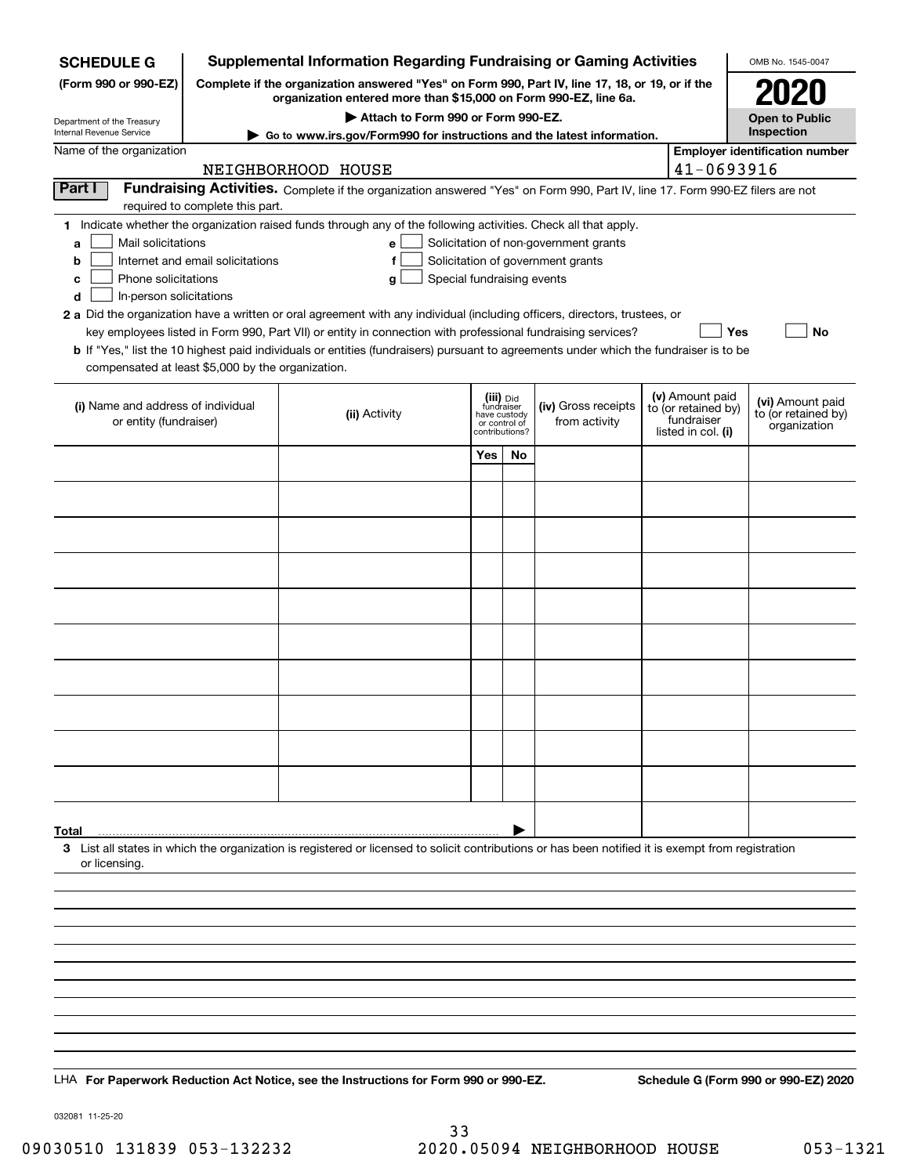| <b>Supplemental Information Regarding Fundraising or Gaming Activities</b><br><b>SCHEDULE G</b>                                                                                             |                                  |                                                                                                                                                                                                                                                                                                                                                                                                                                                                                                                                                    |                                                                            |    |                                                                            | OMB No. 1545-0047 |                                                                            |                                                         |
|---------------------------------------------------------------------------------------------------------------------------------------------------------------------------------------------|----------------------------------|----------------------------------------------------------------------------------------------------------------------------------------------------------------------------------------------------------------------------------------------------------------------------------------------------------------------------------------------------------------------------------------------------------------------------------------------------------------------------------------------------------------------------------------------------|----------------------------------------------------------------------------|----|----------------------------------------------------------------------------|-------------------|----------------------------------------------------------------------------|---------------------------------------------------------|
| Complete if the organization answered "Yes" on Form 990, Part IV, line 17, 18, or 19, or if the<br>(Form 990 or 990-EZ)<br>organization entered more than \$15,000 on Form 990-EZ, line 6a. |                                  |                                                                                                                                                                                                                                                                                                                                                                                                                                                                                                                                                    |                                                                            |    |                                                                            |                   |                                                                            |                                                         |
| Department of the Treasury<br>Internal Revenue Service                                                                                                                                      |                                  | Attach to Form 990 or Form 990-EZ.                                                                                                                                                                                                                                                                                                                                                                                                                                                                                                                 |                                                                            |    |                                                                            |                   |                                                                            | <b>Open to Public</b><br>Inspection                     |
| Name of the organization                                                                                                                                                                    |                                  | ► Go to www.irs.gov/Form990 for instructions and the latest information.                                                                                                                                                                                                                                                                                                                                                                                                                                                                           |                                                                            |    |                                                                            |                   |                                                                            | <b>Employer identification number</b>                   |
|                                                                                                                                                                                             |                                  | NEIGHBORHOOD HOUSE                                                                                                                                                                                                                                                                                                                                                                                                                                                                                                                                 |                                                                            |    |                                                                            |                   | 41-0693916                                                                 |                                                         |
| Part I                                                                                                                                                                                      | required to complete this part.  | Fundraising Activities. Complete if the organization answered "Yes" on Form 990, Part IV, line 17. Form 990-EZ filers are not                                                                                                                                                                                                                                                                                                                                                                                                                      |                                                                            |    |                                                                            |                   |                                                                            |                                                         |
| Mail solicitations<br>a<br>b<br>Phone solicitations<br>с<br>In-person solicitations<br>d<br>compensated at least \$5,000 by the organization.                                               | Internet and email solicitations | 1 Indicate whether the organization raised funds through any of the following activities. Check all that apply.<br>e<br>f<br>Special fundraising events<br>g<br>2 a Did the organization have a written or oral agreement with any individual (including officers, directors, trustees, or<br>key employees listed in Form 990, Part VII) or entity in connection with professional fundraising services?<br>b If "Yes," list the 10 highest paid individuals or entities (fundraisers) pursuant to agreements under which the fundraiser is to be |                                                                            |    | Solicitation of non-government grants<br>Solicitation of government grants |                   | Yes                                                                        | <b>No</b>                                               |
| (i) Name and address of individual<br>or entity (fundraiser)                                                                                                                                |                                  | (ii) Activity                                                                                                                                                                                                                                                                                                                                                                                                                                                                                                                                      | (iii) Did<br>fundraiser<br>have custody<br>or control of<br>contributions? |    | (iv) Gross receipts<br>from activity                                       |                   | (v) Amount paid<br>to (or retained by)<br>fundraiser<br>listed in col. (i) | (vi) Amount paid<br>to (or retained by)<br>organization |
|                                                                                                                                                                                             |                                  |                                                                                                                                                                                                                                                                                                                                                                                                                                                                                                                                                    | Yes                                                                        | No |                                                                            |                   |                                                                            |                                                         |
|                                                                                                                                                                                             |                                  |                                                                                                                                                                                                                                                                                                                                                                                                                                                                                                                                                    |                                                                            |    |                                                                            |                   |                                                                            |                                                         |
|                                                                                                                                                                                             |                                  |                                                                                                                                                                                                                                                                                                                                                                                                                                                                                                                                                    |                                                                            |    |                                                                            |                   |                                                                            |                                                         |
|                                                                                                                                                                                             |                                  |                                                                                                                                                                                                                                                                                                                                                                                                                                                                                                                                                    |                                                                            |    |                                                                            |                   |                                                                            |                                                         |
|                                                                                                                                                                                             |                                  |                                                                                                                                                                                                                                                                                                                                                                                                                                                                                                                                                    |                                                                            |    |                                                                            |                   |                                                                            |                                                         |
|                                                                                                                                                                                             |                                  |                                                                                                                                                                                                                                                                                                                                                                                                                                                                                                                                                    |                                                                            |    |                                                                            |                   |                                                                            |                                                         |
|                                                                                                                                                                                             |                                  |                                                                                                                                                                                                                                                                                                                                                                                                                                                                                                                                                    |                                                                            |    |                                                                            |                   |                                                                            |                                                         |
|                                                                                                                                                                                             |                                  |                                                                                                                                                                                                                                                                                                                                                                                                                                                                                                                                                    |                                                                            |    |                                                                            |                   |                                                                            |                                                         |
|                                                                                                                                                                                             |                                  |                                                                                                                                                                                                                                                                                                                                                                                                                                                                                                                                                    |                                                                            |    |                                                                            |                   |                                                                            |                                                         |
|                                                                                                                                                                                             |                                  |                                                                                                                                                                                                                                                                                                                                                                                                                                                                                                                                                    |                                                                            |    |                                                                            |                   |                                                                            |                                                         |
|                                                                                                                                                                                             |                                  |                                                                                                                                                                                                                                                                                                                                                                                                                                                                                                                                                    |                                                                            |    |                                                                            |                   |                                                                            |                                                         |
|                                                                                                                                                                                             |                                  |                                                                                                                                                                                                                                                                                                                                                                                                                                                                                                                                                    |                                                                            |    |                                                                            |                   |                                                                            |                                                         |
| Total<br>or licensing.                                                                                                                                                                      |                                  | 3 List all states in which the organization is registered or licensed to solicit contributions or has been notified it is exempt from registration                                                                                                                                                                                                                                                                                                                                                                                                 |                                                                            |    |                                                                            |                   |                                                                            |                                                         |
|                                                                                                                                                                                             |                                  |                                                                                                                                                                                                                                                                                                                                                                                                                                                                                                                                                    |                                                                            |    |                                                                            |                   |                                                                            |                                                         |
|                                                                                                                                                                                             |                                  |                                                                                                                                                                                                                                                                                                                                                                                                                                                                                                                                                    |                                                                            |    |                                                                            |                   |                                                                            |                                                         |
|                                                                                                                                                                                             |                                  |                                                                                                                                                                                                                                                                                                                                                                                                                                                                                                                                                    |                                                                            |    |                                                                            |                   |                                                                            |                                                         |
|                                                                                                                                                                                             |                                  |                                                                                                                                                                                                                                                                                                                                                                                                                                                                                                                                                    |                                                                            |    |                                                                            |                   |                                                                            |                                                         |
|                                                                                                                                                                                             |                                  |                                                                                                                                                                                                                                                                                                                                                                                                                                                                                                                                                    |                                                                            |    |                                                                            |                   |                                                                            |                                                         |
|                                                                                                                                                                                             |                                  |                                                                                                                                                                                                                                                                                                                                                                                                                                                                                                                                                    |                                                                            |    |                                                                            |                   |                                                                            |                                                         |
|                                                                                                                                                                                             |                                  | LHA For Paperwork Reduction Act Notice, see the Instructions for Form 990 or 990-EZ.                                                                                                                                                                                                                                                                                                                                                                                                                                                               |                                                                            |    |                                                                            |                   |                                                                            | Schedule G (Form 990 or 990-EZ) 2020                    |

032081 11-25-20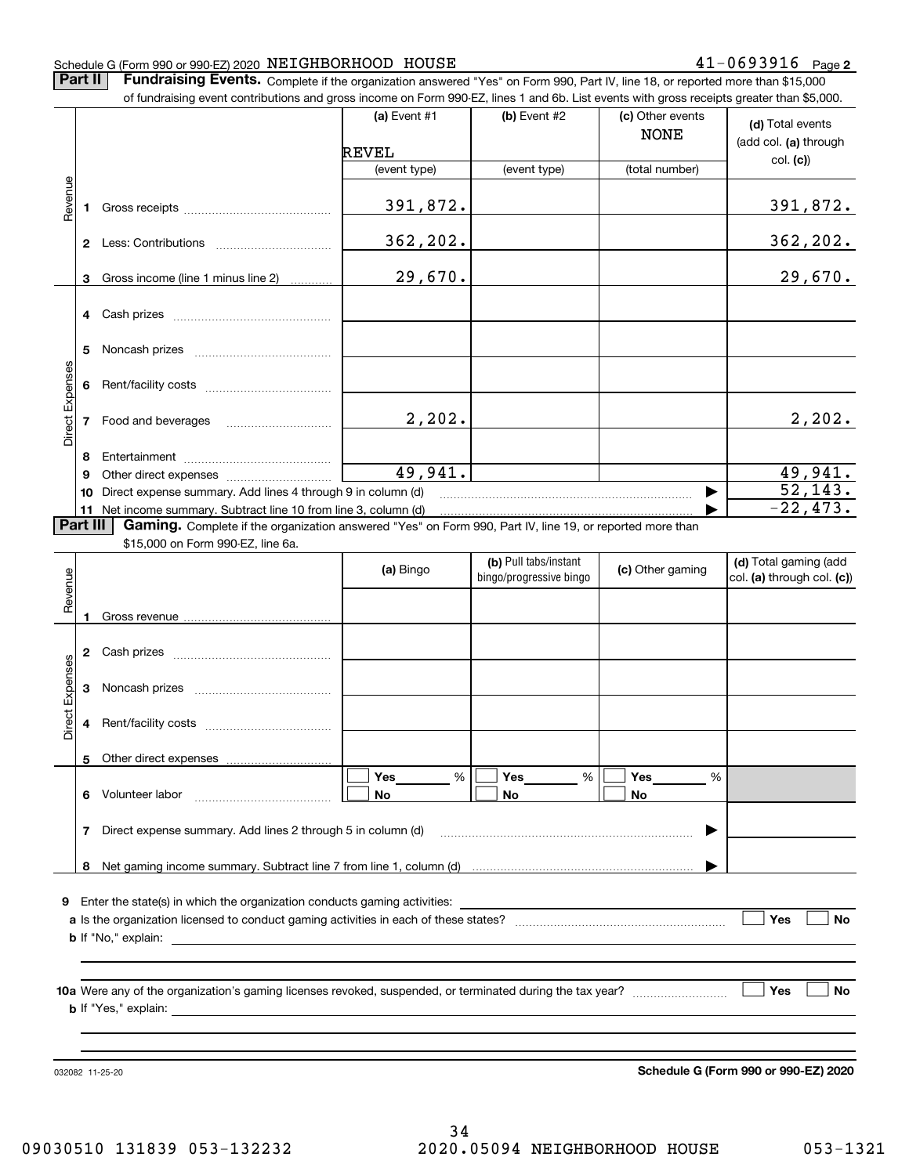#### Schedule G (Form 990 or 990-EZ) 2020 Page NEIGHBORHOOD HOUSE 41-0693916

**2**

**Part II** | Fundraising Events. Complete if the organization answered "Yes" on Form 990, Part IV, line 18, or reported more than \$15,000

|                 |          | of fundraising event contributions and gross income on Form 990-EZ, lines 1 and 6b. List events with gross receipts greater than \$5,000. |                |                                                  |                                 |                                                     |
|-----------------|----------|-------------------------------------------------------------------------------------------------------------------------------------------|----------------|--------------------------------------------------|---------------------------------|-----------------------------------------------------|
|                 |          |                                                                                                                                           | (a) Event $#1$ | (b) Event #2                                     | (c) Other events<br><b>NONE</b> | (d) Total events<br>(add col. (a) through           |
|                 |          |                                                                                                                                           | REVEL          |                                                  |                                 | col. (c)                                            |
|                 |          |                                                                                                                                           | (event type)   | (event type)                                     | (total number)                  |                                                     |
| Revenue         |          |                                                                                                                                           | 391,872.       |                                                  |                                 | <u>391,872.</u>                                     |
|                 |          |                                                                                                                                           | 362, 202.      |                                                  |                                 | 362,202.                                            |
|                 | 3        | Gross income (line 1 minus line 2)                                                                                                        | 29,670.        |                                                  |                                 | 29,670.                                             |
|                 |          |                                                                                                                                           |                |                                                  |                                 |                                                     |
|                 | 5        |                                                                                                                                           |                |                                                  |                                 |                                                     |
|                 | 6        |                                                                                                                                           |                |                                                  |                                 |                                                     |
| Direct Expenses |          | 7 Food and beverages                                                                                                                      | 2, 202.        |                                                  |                                 | 2,202.                                              |
|                 | 8        |                                                                                                                                           |                |                                                  |                                 |                                                     |
|                 | 9        |                                                                                                                                           | 49,941.        |                                                  |                                 | 49,941.                                             |
|                 | 10       | Direct expense summary. Add lines 4 through 9 in column (d)                                                                               |                |                                                  |                                 | 52, 143.                                            |
|                 |          | 11 Net income summary. Subtract line 10 from line 3, column (d)                                                                           |                |                                                  |                                 | $-22, 473.$                                         |
|                 | Part III | Gaming. Complete if the organization answered "Yes" on Form 990, Part IV, line 19, or reported more than                                  |                |                                                  |                                 |                                                     |
|                 |          | \$15,000 on Form 990-EZ, line 6a.                                                                                                         |                |                                                  |                                 |                                                     |
|                 |          |                                                                                                                                           | (a) Bingo      | (b) Pull tabs/instant<br>bingo/progressive bingo | (c) Other gaming                | (d) Total gaming (add<br>col. (a) through col. (c)) |
| Revenue         |          |                                                                                                                                           |                |                                                  |                                 |                                                     |
|                 |          |                                                                                                                                           |                |                                                  |                                 |                                                     |
|                 |          |                                                                                                                                           |                |                                                  |                                 |                                                     |
|                 |          |                                                                                                                                           |                |                                                  |                                 |                                                     |
| Expenses        | 3        |                                                                                                                                           |                |                                                  |                                 |                                                     |
| Direct          |          |                                                                                                                                           |                |                                                  |                                 |                                                     |
|                 |          | 5 Other direct expenses                                                                                                                   |                |                                                  |                                 |                                                     |
|                 |          | 6 Volunteer labor                                                                                                                         | %<br>Yes<br>No | %<br>Yes<br>No                                   | Yes<br>%<br>No                  |                                                     |
|                 | 7        | Direct expense summary. Add lines 2 through 5 in column (d)                                                                               |                |                                                  |                                 |                                                     |
|                 |          |                                                                                                                                           |                |                                                  |                                 |                                                     |
|                 |          |                                                                                                                                           |                |                                                  |                                 |                                                     |
| 9               |          | Enter the state(s) in which the organization conducts gaming activities: Letter the state of                                              |                |                                                  |                                 |                                                     |
|                 |          |                                                                                                                                           |                |                                                  |                                 | Yes<br>No                                           |
|                 |          |                                                                                                                                           |                |                                                  |                                 |                                                     |
|                 |          |                                                                                                                                           |                |                                                  |                                 |                                                     |
|                 |          |                                                                                                                                           |                |                                                  |                                 | Yes<br>No                                           |
|                 |          |                                                                                                                                           |                |                                                  |                                 |                                                     |
|                 |          |                                                                                                                                           |                |                                                  |                                 |                                                     |
|                 |          |                                                                                                                                           |                |                                                  |                                 |                                                     |
|                 |          |                                                                                                                                           |                |                                                  |                                 |                                                     |

032082 11-25-20

**Schedule G (Form 990 or 990-EZ) 2020**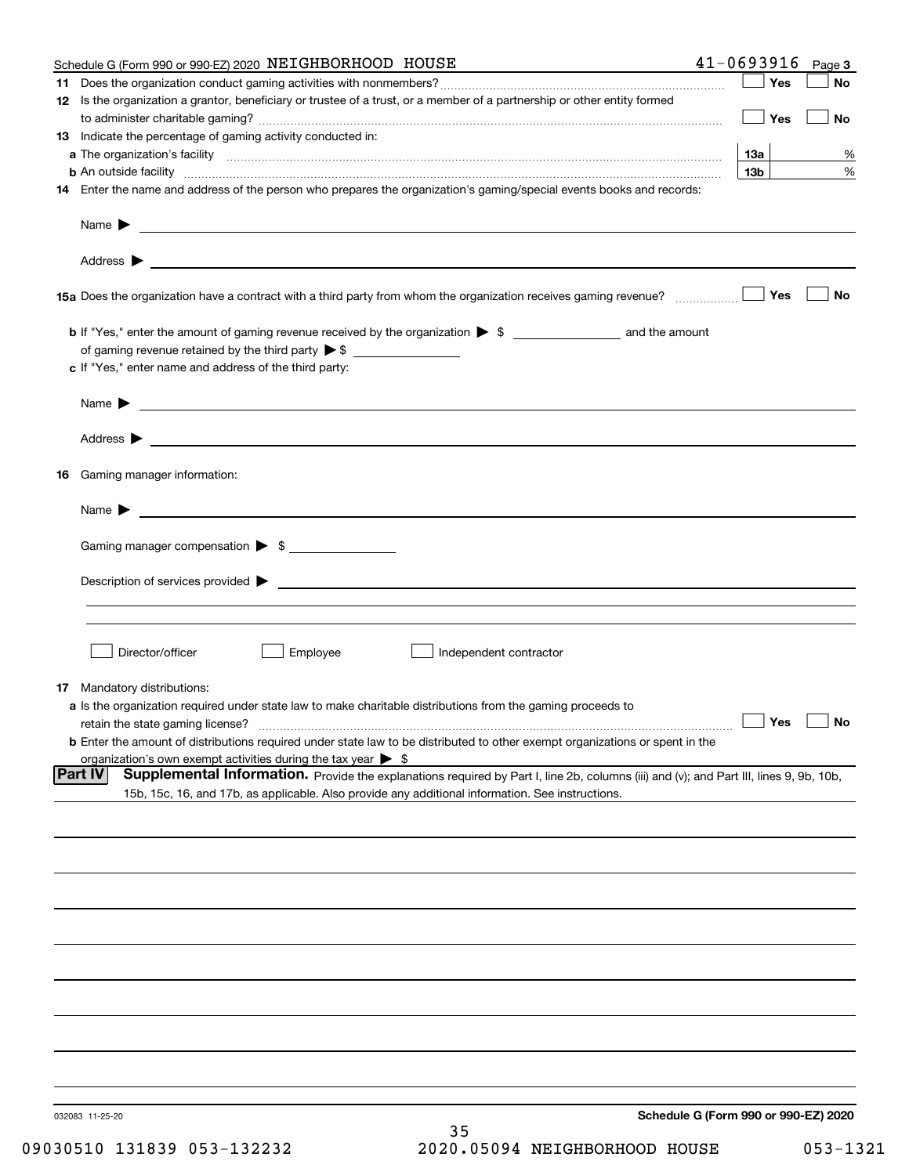| Schedule G (Form 990 or 990-EZ) 2020 NEIGHBORHOOD HOUSE                                                                                                                                                                                  | $41 - 0693916$<br>Page 3             |
|------------------------------------------------------------------------------------------------------------------------------------------------------------------------------------------------------------------------------------------|--------------------------------------|
|                                                                                                                                                                                                                                          | Yes<br>No                            |
| 12 Is the organization a grantor, beneficiary or trustee of a trust, or a member of a partnership or other entity formed                                                                                                                 |                                      |
|                                                                                                                                                                                                                                          | Yes<br><b>No</b>                     |
| 13 Indicate the percentage of gaming activity conducted in:                                                                                                                                                                              |                                      |
|                                                                                                                                                                                                                                          | <u>13a</u><br>%                      |
| <b>b</b> An outside facility <i>www.communicality www.communicality.communicality www.communicality www.communicality.communicality www.communicality.com</i>                                                                            | 13 <sub>b</sub><br>%                 |
| 14 Enter the name and address of the person who prepares the organization's gaming/special events books and records:                                                                                                                     |                                      |
|                                                                                                                                                                                                                                          |                                      |
|                                                                                                                                                                                                                                          |                                      |
| 15a Does the organization have a contract with a third party from whom the organization receives gaming revenue?                                                                                                                         | No<br>Yes                            |
|                                                                                                                                                                                                                                          |                                      |
| <b>b</b> If "Yes," enter the amount of gaming revenue received by the organization $\triangleright$ \$ ____________________ and the amount                                                                                               |                                      |
|                                                                                                                                                                                                                                          |                                      |
| c If "Yes," enter name and address of the third party:                                                                                                                                                                                   |                                      |
| Name $\blacktriangleright$ $\_\_$                                                                                                                                                                                                        |                                      |
|                                                                                                                                                                                                                                          |                                      |
|                                                                                                                                                                                                                                          |                                      |
| 16 Gaming manager information:                                                                                                                                                                                                           |                                      |
| Name $\triangleright$ $\square$                                                                                                                                                                                                          |                                      |
|                                                                                                                                                                                                                                          |                                      |
| Gaming manager compensation > \$                                                                                                                                                                                                         |                                      |
|                                                                                                                                                                                                                                          |                                      |
|                                                                                                                                                                                                                                          |                                      |
|                                                                                                                                                                                                                                          |                                      |
| Director/officer<br>Employee<br>Independent contractor                                                                                                                                                                                   |                                      |
|                                                                                                                                                                                                                                          |                                      |
| 17 Mandatory distributions:                                                                                                                                                                                                              |                                      |
| a Is the organization required under state law to make charitable distributions from the gaming proceeds to                                                                                                                              |                                      |
| retain the state gaming license?                                                                                                                                                                                                         | $\Box$ Yes $\Box$ No                 |
| <b>b</b> Enter the amount of distributions required under state law to be distributed to other exempt organizations or spent in the                                                                                                      |                                      |
| organization's own exempt activities during the tax year $\triangleright$ \$<br><b>Part IV</b><br>Supplemental Information. Provide the explanations required by Part I, line 2b, columns (iii) and (v); and Part III, lines 9, 9b, 10b, |                                      |
| 15b, 15c, 16, and 17b, as applicable. Also provide any additional information. See instructions.                                                                                                                                         |                                      |
|                                                                                                                                                                                                                                          |                                      |
|                                                                                                                                                                                                                                          |                                      |
|                                                                                                                                                                                                                                          |                                      |
|                                                                                                                                                                                                                                          |                                      |
|                                                                                                                                                                                                                                          |                                      |
|                                                                                                                                                                                                                                          |                                      |
|                                                                                                                                                                                                                                          |                                      |
|                                                                                                                                                                                                                                          |                                      |
|                                                                                                                                                                                                                                          |                                      |
|                                                                                                                                                                                                                                          |                                      |
|                                                                                                                                                                                                                                          |                                      |
| 032083 11-25-20<br>35                                                                                                                                                                                                                    | Schedule G (Form 990 or 990-EZ) 2020 |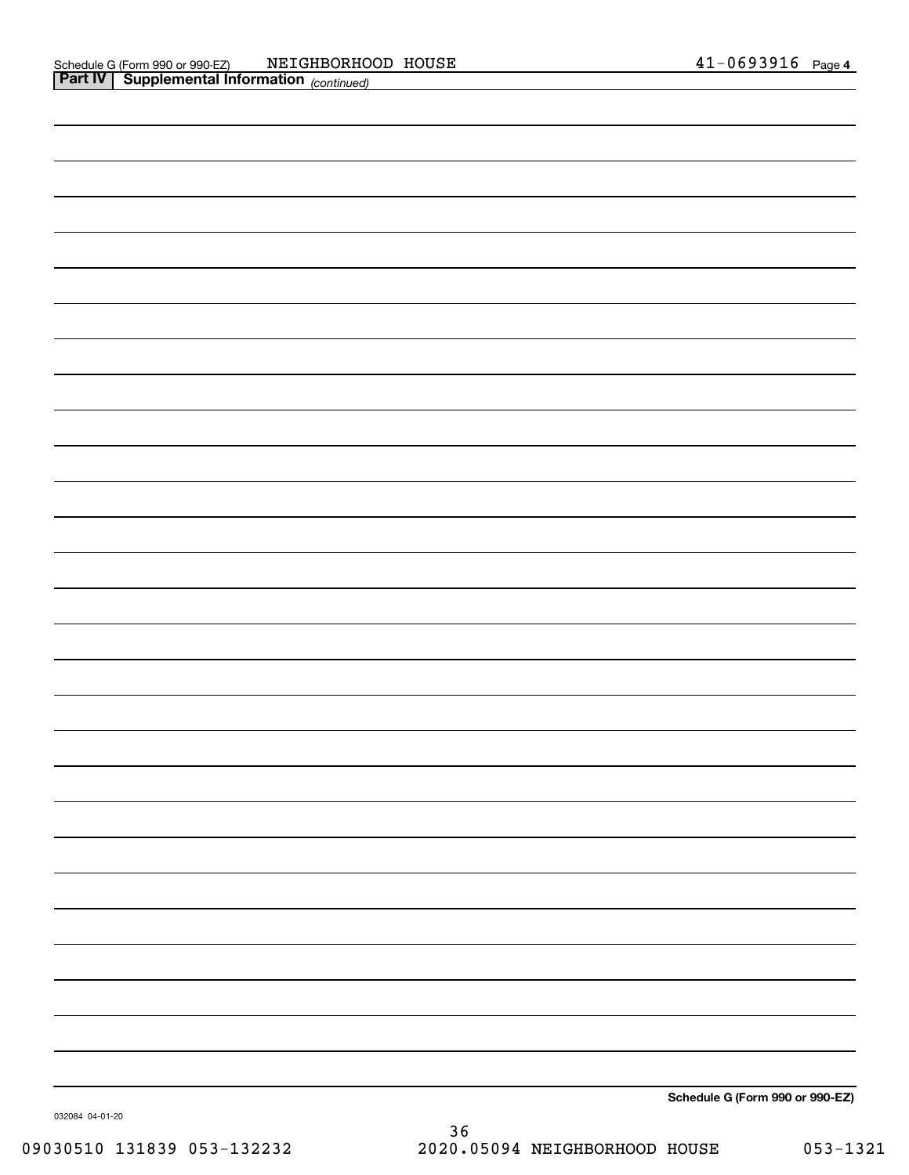| Schedule G (Form 990 or 990-EZ) |
|---------------------------------|

032084 04-01-20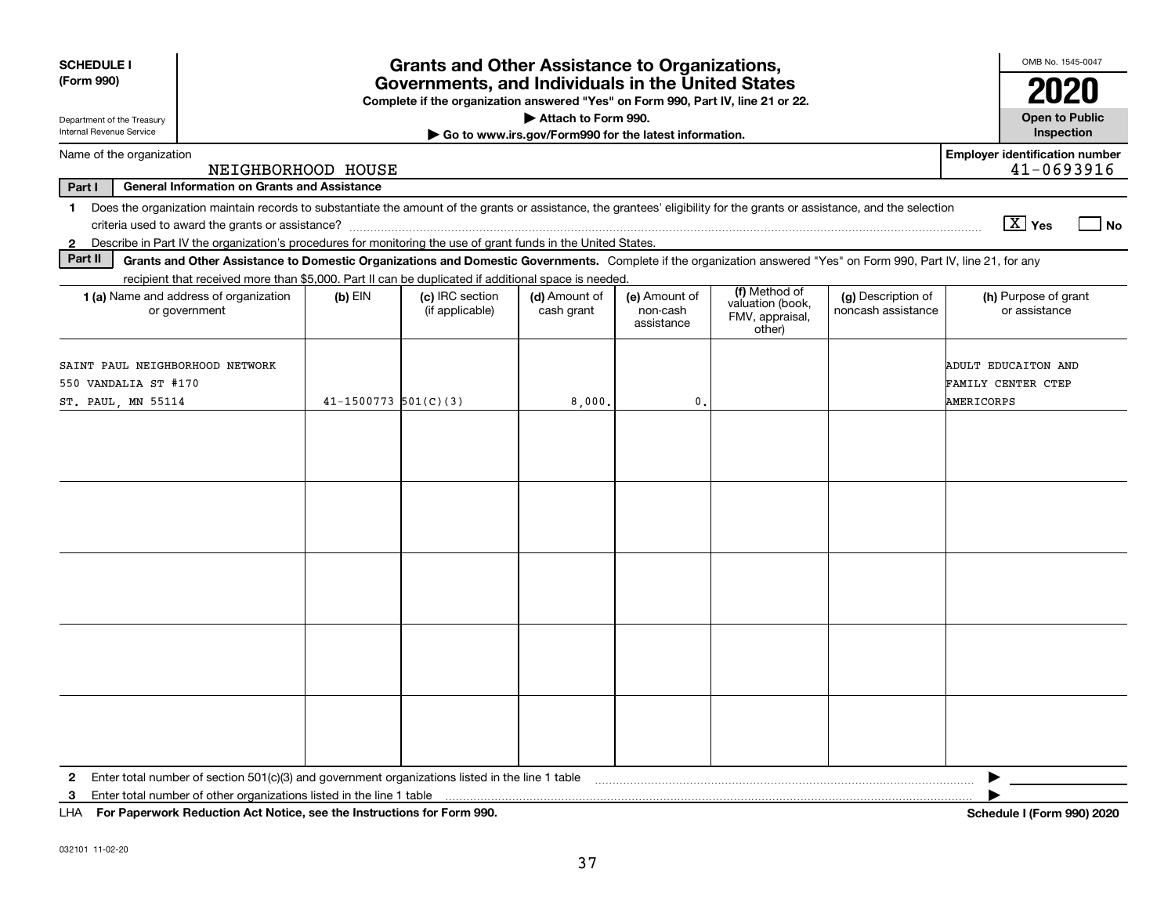| <b>SCHEDULE I</b>                                                                                                             |                                                                                                                                       |                          | <b>Grants and Other Assistance to Organizations,</b>                                                |                                                       |                                         |                                               |                                                                                                                                                                          | OMB No. 1545-0047                                   |
|-------------------------------------------------------------------------------------------------------------------------------|---------------------------------------------------------------------------------------------------------------------------------------|--------------------------|-----------------------------------------------------------------------------------------------------|-------------------------------------------------------|-----------------------------------------|-----------------------------------------------|--------------------------------------------------------------------------------------------------------------------------------------------------------------------------|-----------------------------------------------------|
| (Form 990)                                                                                                                    | Governments, and Individuals in the United States<br>Complete if the organization answered "Yes" on Form 990, Part IV, line 21 or 22. |                          |                                                                                                     |                                                       |                                         |                                               |                                                                                                                                                                          | 2020                                                |
| Attach to Form 990.<br>Department of the Treasury                                                                             |                                                                                                                                       |                          |                                                                                                     |                                                       |                                         |                                               | <b>Open to Public</b>                                                                                                                                                    |                                                     |
| Internal Revenue Service                                                                                                      |                                                                                                                                       |                          |                                                                                                     | Go to www.irs.gov/Form990 for the latest information. |                                         |                                               |                                                                                                                                                                          | Inspection                                          |
| Name of the organization                                                                                                      | NEIGHBORHOOD HOUSE                                                                                                                    |                          |                                                                                                     |                                                       |                                         |                                               |                                                                                                                                                                          | <b>Employer identification number</b><br>41-0693916 |
| Part I                                                                                                                        | <b>General Information on Grants and Assistance</b>                                                                                   |                          |                                                                                                     |                                                       |                                         |                                               |                                                                                                                                                                          |                                                     |
| $\mathbf{1}$                                                                                                                  |                                                                                                                                       |                          |                                                                                                     |                                                       |                                         |                                               | Does the organization maintain records to substantiate the amount of the grants or assistance, the grantees' eligibility for the grants or assistance, and the selection | $\boxed{\text{X}}$ Yes<br>$ $ No                    |
| Describe in Part IV the organization's procedures for monitoring the use of grant funds in the United States.<br>$\mathbf{2}$ |                                                                                                                                       |                          |                                                                                                     |                                                       |                                         |                                               |                                                                                                                                                                          |                                                     |
| Part II                                                                                                                       |                                                                                                                                       |                          |                                                                                                     |                                                       |                                         |                                               | Grants and Other Assistance to Domestic Organizations and Domestic Governments. Complete if the organization answered "Yes" on Form 990, Part IV, line 21, for any       |                                                     |
|                                                                                                                               |                                                                                                                                       |                          | recipient that received more than \$5,000. Part II can be duplicated if additional space is needed. |                                                       |                                         | (f) Method of                                 |                                                                                                                                                                          |                                                     |
| 1 (a) Name and address of organization<br>or government                                                                       |                                                                                                                                       | $(b)$ EIN                | (c) IRC section<br>(if applicable)                                                                  | (d) Amount of<br>cash grant                           | (e) Amount of<br>non-cash<br>assistance | valuation (book,<br>FMV, appraisal,<br>other) | (g) Description of<br>noncash assistance                                                                                                                                 | (h) Purpose of grant<br>or assistance               |
| SAINT PAUL NEIGHBORHOOD NETWORK<br>550 VANDALIA ST #170                                                                       |                                                                                                                                       |                          |                                                                                                     |                                                       |                                         |                                               |                                                                                                                                                                          | <b>ADULT EDUCAITON AND</b><br>FAMILY CENTER CTEP    |
| ST. PAUL, MN 55114                                                                                                            |                                                                                                                                       | $41 - 1500773$ 501(C)(3) |                                                                                                     | 8,000                                                 | $\mathbf{0}$                            |                                               |                                                                                                                                                                          | AMERICORPS                                          |
|                                                                                                                               |                                                                                                                                       |                          |                                                                                                     |                                                       |                                         |                                               |                                                                                                                                                                          |                                                     |
|                                                                                                                               |                                                                                                                                       |                          |                                                                                                     |                                                       |                                         |                                               |                                                                                                                                                                          |                                                     |
|                                                                                                                               |                                                                                                                                       |                          |                                                                                                     |                                                       |                                         |                                               |                                                                                                                                                                          |                                                     |
|                                                                                                                               |                                                                                                                                       |                          |                                                                                                     |                                                       |                                         |                                               |                                                                                                                                                                          |                                                     |
|                                                                                                                               |                                                                                                                                       |                          |                                                                                                     |                                                       |                                         |                                               |                                                                                                                                                                          |                                                     |
| $\mathbf{2}$                                                                                                                  |                                                                                                                                       |                          | Enter total number of section $501(c)(3)$ and government organizations listed in the line 1 table   |                                                       |                                         |                                               |                                                                                                                                                                          |                                                     |
| Enter total number of other organizations listed in the line 1 table<br>3                                                     |                                                                                                                                       |                          |                                                                                                     |                                                       |                                         |                                               |                                                                                                                                                                          |                                                     |
| LHA For Paperwork Reduction Act Notice, see the Instructions for Form 990.                                                    |                                                                                                                                       |                          |                                                                                                     |                                                       |                                         |                                               |                                                                                                                                                                          | <b>Schedule I (Form 990) 2020</b>                   |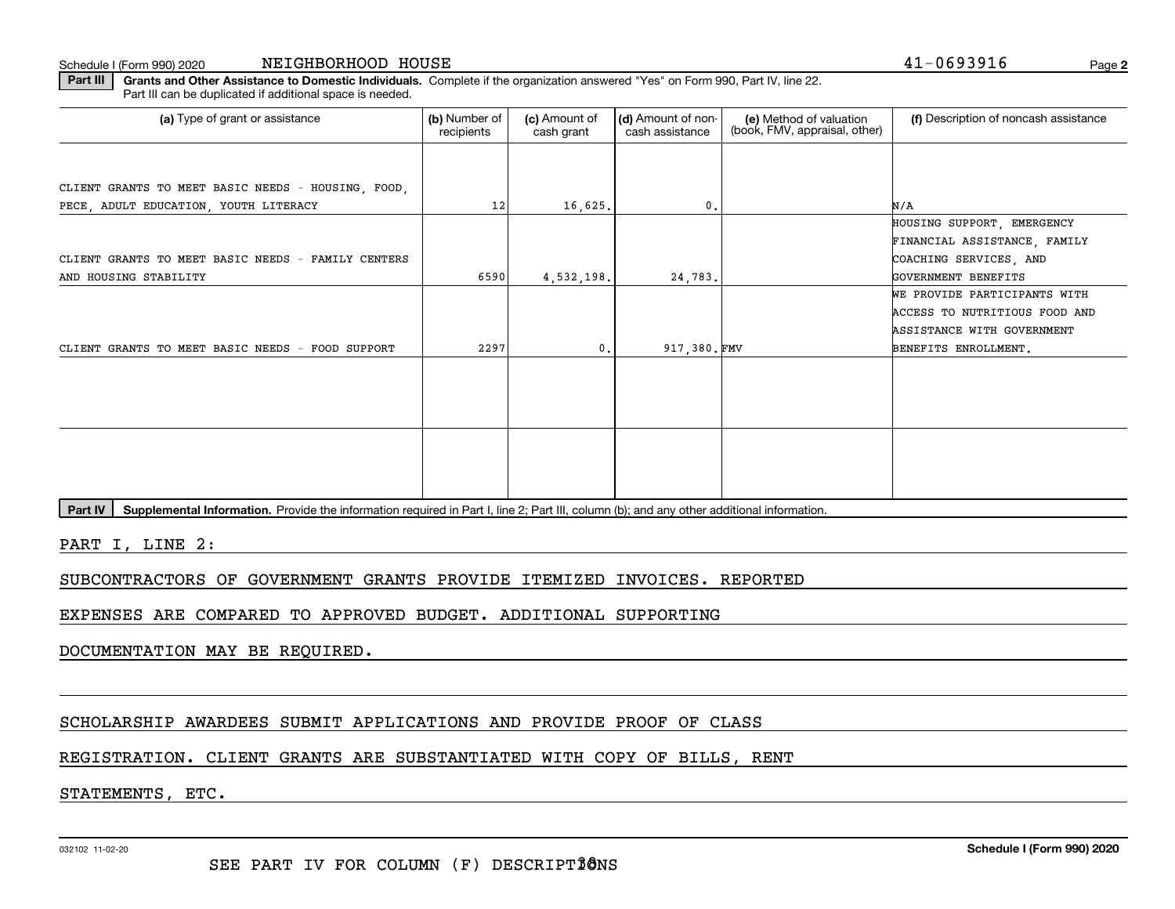**Part III | Grants and Other Assistance to Domestic Individuals. Complete if the organization answered "Yes" on Form 990, Part IV, line 22.** Part III can be duplicated if additional space is needed.

| (a) Type of grant or assistance                    | (b) Number of<br>recipients | (c) Amount of<br>cash grant | (d) Amount of non-<br>cash assistance | (e) Method of valuation<br>(book, FMV, appraisal, other) | (f) Description of noncash assistance |
|----------------------------------------------------|-----------------------------|-----------------------------|---------------------------------------|----------------------------------------------------------|---------------------------------------|
|                                                    |                             |                             |                                       |                                                          |                                       |
| CLIENT GRANTS TO MEET BASIC NEEDS - HOUSING, FOOD, |                             |                             |                                       |                                                          |                                       |
| PECE, ADULT EDUCATION, YOUTH LITERACY              | 12                          | 16,625.                     | $\mathbf{0}$ .                        |                                                          | N/A                                   |
|                                                    |                             |                             |                                       |                                                          | HOUSING SUPPORT, EMERGENCY            |
|                                                    |                             |                             |                                       |                                                          | FINANCIAL ASSISTANCE, FAMILY          |
| CLIENT GRANTS TO MEET BASIC NEEDS - FAMILY CENTERS |                             |                             |                                       |                                                          | COACHING SERVICES, AND                |
| AND HOUSING STABILITY                              | 6590                        | 4,532,198.                  | 24,783.                               |                                                          | GOVERNMENT BENEFITS                   |
|                                                    |                             |                             |                                       |                                                          | WE PROVIDE PARTICIPANTS WITH          |
|                                                    |                             |                             |                                       |                                                          | ACCESS TO NUTRITIOUS FOOD AND         |
|                                                    |                             |                             |                                       |                                                          | ASSISTANCE WITH GOVERNMENT            |
| CLIENT GRANTS TO MEET BASIC NEEDS - FOOD SUPPORT   | 2297                        | 0.                          | 917,380.FMV                           |                                                          | BENEFITS ENROLLMENT.                  |
|                                                    |                             |                             |                                       |                                                          |                                       |
|                                                    |                             |                             |                                       |                                                          |                                       |
|                                                    |                             |                             |                                       |                                                          |                                       |
|                                                    |                             |                             |                                       |                                                          |                                       |
|                                                    |                             |                             |                                       |                                                          |                                       |
|                                                    |                             |                             |                                       |                                                          |                                       |
|                                                    |                             |                             |                                       |                                                          |                                       |
|                                                    |                             |                             |                                       |                                                          |                                       |

Part IV | Supplemental Information. Provide the information required in Part I, line 2; Part III, column (b); and any other additional information.

PART I, LINE 2:

SUBCONTRACTORS OF GOVERNMENT GRANTS PROVIDE ITEMIZED INVOICES. REPORTED

EXPENSES ARE COMPARED TO APPROVED BUDGET. ADDITIONAL SUPPORTING

DOCUMENTATION MAY BE REQUIRED.

# SCHOLARSHIP AWARDEES SUBMIT APPLICATIONS AND PROVIDE PROOF OF CLASS

REGISTRATION. CLIENT GRANTS ARE SUBSTANTIATED WITH COPY OF BILLS, RENT

STATEMENTS, ETC.

032102 11-02-20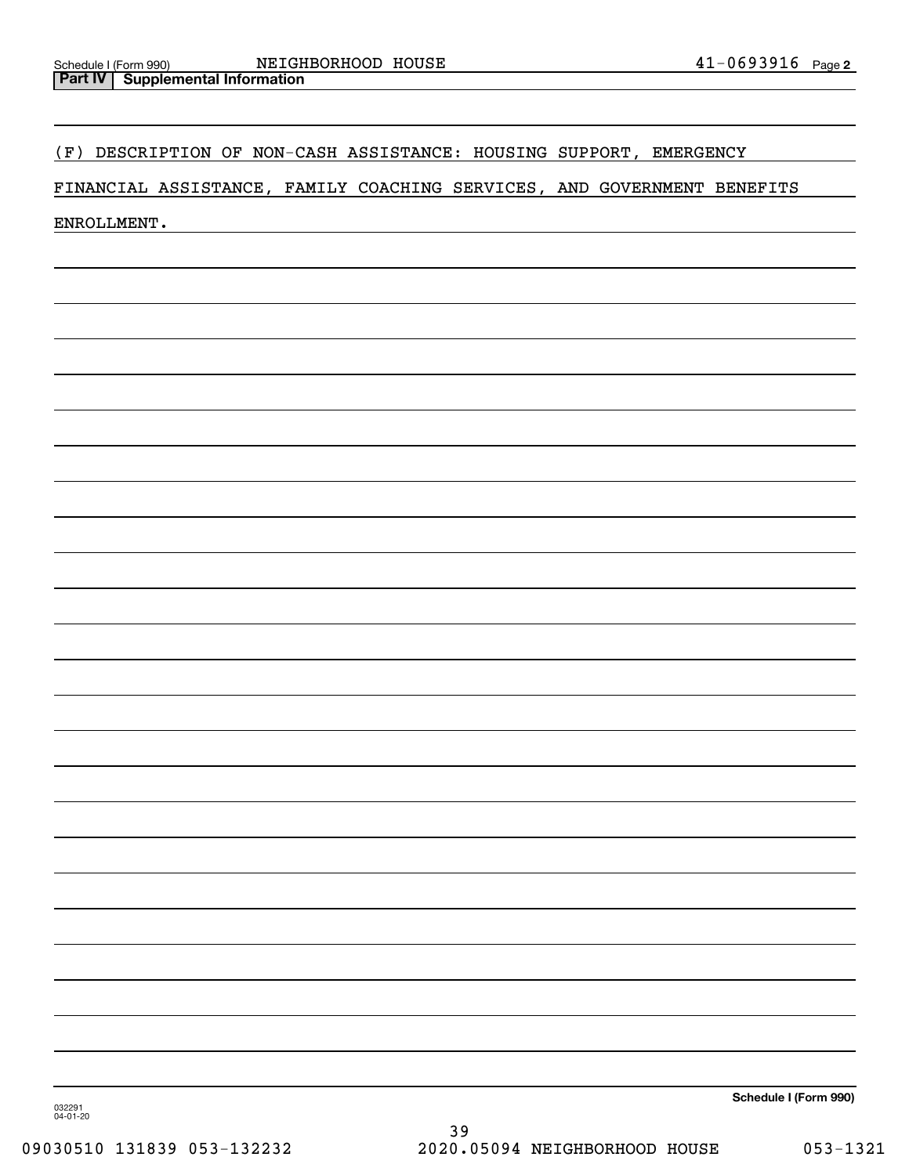# (F) DESCRIPTION OF NON-CASH ASSISTANCE: HOUSING SUPPORT, EMERGENCY

# FINANCIAL ASSISTANCE, FAMILY COACHING SERVICES, AND GOVERNMENT BENEFITS

ENROLLMENT.

**Schedule I (Form 990)**

032291 04-01-20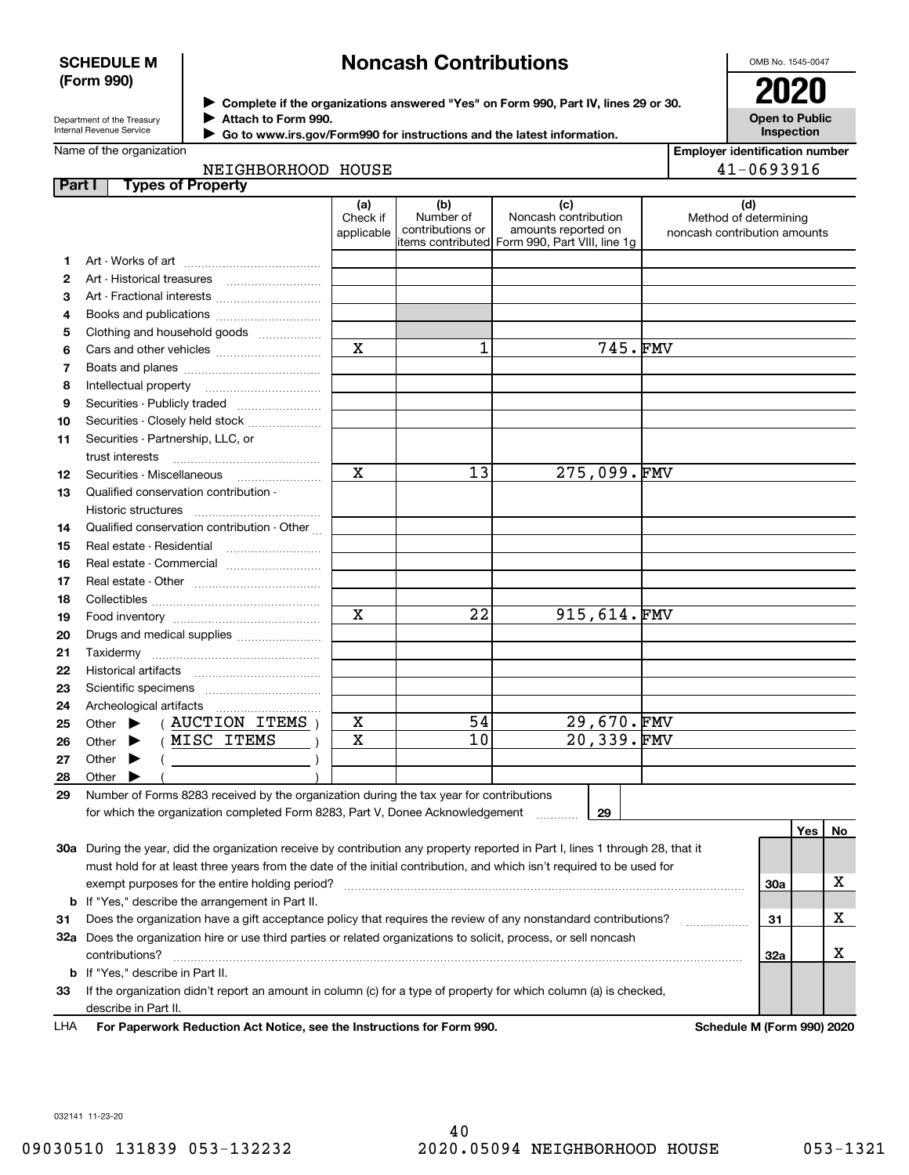# **SCHEDULE M (Form 990)**

# **Noncash Contributions**

OMB No. 1545-0047

| Department of the Treasury |
|----------------------------|
| Internal Revenue Service   |

**Complete if the organizations answered "Yes" on Form 990, Part IV, lines 29 or 30.** <sup>J</sup>**2020 Attach to Form 990.** J

 $\blacktriangleright$ 

 **Go to www.irs.gov/Form990 for instructions and the latest information.**

**Open to Public Inspection**

| Name of the organization |
|--------------------------|
|--------------------------|

|  | Go to www.irs.gov/Form990 for instructions and the latest inform |  |
|--|------------------------------------------------------------------|--|
|  |                                                                  |  |

| <b>Employer identification number</b> |
|---------------------------------------|
| 41-0693916                            |

| Part I                                                                                                                          | <b>Types of Property</b>                                                                                                       |                        |                               |                                                |                                                       |     |     |    |
|---------------------------------------------------------------------------------------------------------------------------------|--------------------------------------------------------------------------------------------------------------------------------|------------------------|-------------------------------|------------------------------------------------|-------------------------------------------------------|-----|-----|----|
|                                                                                                                                 |                                                                                                                                | (a)                    | (b)                           | (c)                                            | (d)                                                   |     |     |    |
|                                                                                                                                 |                                                                                                                                | Check if<br>applicable | Number of<br>contributions or | Noncash contribution<br>amounts reported on    | Method of determining<br>noncash contribution amounts |     |     |    |
|                                                                                                                                 |                                                                                                                                |                        |                               | items contributed Form 990, Part VIII, line 1g |                                                       |     |     |    |
| 1.                                                                                                                              |                                                                                                                                |                        |                               |                                                |                                                       |     |     |    |
| 2                                                                                                                               | Art - Historical treasures                                                                                                     |                        |                               |                                                |                                                       |     |     |    |
| 3                                                                                                                               | Art - Fractional interests                                                                                                     |                        |                               |                                                |                                                       |     |     |    |
| 4                                                                                                                               | Books and publications                                                                                                         |                        |                               |                                                |                                                       |     |     |    |
| 5                                                                                                                               | Clothing and household goods                                                                                                   |                        |                               |                                                |                                                       |     |     |    |
| 6                                                                                                                               |                                                                                                                                | $\mathbf X$            | 1                             | 745.FMV                                        |                                                       |     |     |    |
| 7                                                                                                                               |                                                                                                                                |                        |                               |                                                |                                                       |     |     |    |
| 8                                                                                                                               | Intellectual property                                                                                                          |                        |                               |                                                |                                                       |     |     |    |
| 9                                                                                                                               | Securities - Publicly traded                                                                                                   |                        |                               |                                                |                                                       |     |     |    |
| 10                                                                                                                              | Securities - Closely held stock                                                                                                |                        |                               |                                                |                                                       |     |     |    |
| 11                                                                                                                              | Securities - Partnership, LLC, or                                                                                              |                        |                               |                                                |                                                       |     |     |    |
|                                                                                                                                 | trust interests                                                                                                                |                        |                               |                                                |                                                       |     |     |    |
| 12                                                                                                                              | Securities - Miscellaneous                                                                                                     | X                      | 13                            | 275,099.FMV                                    |                                                       |     |     |    |
| 13                                                                                                                              | Qualified conservation contribution -                                                                                          |                        |                               |                                                |                                                       |     |     |    |
|                                                                                                                                 | Historic structures                                                                                                            |                        |                               |                                                |                                                       |     |     |    |
| 14                                                                                                                              | Qualified conservation contribution - Other                                                                                    |                        |                               |                                                |                                                       |     |     |    |
| 15                                                                                                                              | Real estate - Residential                                                                                                      |                        |                               |                                                |                                                       |     |     |    |
| 16                                                                                                                              |                                                                                                                                |                        |                               |                                                |                                                       |     |     |    |
| 17                                                                                                                              |                                                                                                                                |                        |                               |                                                |                                                       |     |     |    |
| 18                                                                                                                              |                                                                                                                                |                        |                               |                                                |                                                       |     |     |    |
| 19                                                                                                                              |                                                                                                                                | $\mathbf X$            | 22                            | 915,614.FMV                                    |                                                       |     |     |    |
| 20                                                                                                                              | Drugs and medical supplies                                                                                                     |                        |                               |                                                |                                                       |     |     |    |
| 21                                                                                                                              |                                                                                                                                |                        |                               |                                                |                                                       |     |     |    |
| 22                                                                                                                              |                                                                                                                                |                        |                               |                                                |                                                       |     |     |    |
| 23                                                                                                                              |                                                                                                                                |                        |                               |                                                |                                                       |     |     |    |
| 24                                                                                                                              | Archeological artifacts                                                                                                        |                        |                               |                                                |                                                       |     |     |    |
| 25                                                                                                                              | (AUCTION ITEMS)<br>Other $\blacktriangleright$                                                                                 | х                      | 54                            | 29,670.FMV                                     |                                                       |     |     |    |
| 26                                                                                                                              | (MISC ITEMS<br>▶<br>Other                                                                                                      | X                      | 10                            | 20,339.FMV                                     |                                                       |     |     |    |
| 27                                                                                                                              | Other<br>▶                                                                                                                     |                        |                               |                                                |                                                       |     |     |    |
| 28                                                                                                                              | Other<br>▶                                                                                                                     |                        |                               |                                                |                                                       |     |     |    |
| 29                                                                                                                              | Number of Forms 8283 received by the organization during the tax year for contributions                                        |                        |                               |                                                |                                                       |     |     |    |
|                                                                                                                                 | for which the organization completed Form 8283, Part V, Donee Acknowledgement                                                  |                        |                               | 29                                             |                                                       |     |     |    |
|                                                                                                                                 |                                                                                                                                |                        |                               |                                                |                                                       |     | Yes | No |
|                                                                                                                                 | 30a During the year, did the organization receive by contribution any property reported in Part I, lines 1 through 28, that it |                        |                               |                                                |                                                       |     |     |    |
|                                                                                                                                 | must hold for at least three years from the date of the initial contribution, and which isn't required to be used for          |                        |                               |                                                |                                                       |     |     |    |
|                                                                                                                                 | exempt purposes for the entire holding period?                                                                                 |                        |                               |                                                |                                                       | 30a |     | х  |
| <b>b</b> If "Yes," describe the arrangement in Part II.                                                                         |                                                                                                                                |                        |                               |                                                |                                                       |     |     |    |
| Does the organization have a gift acceptance policy that requires the review of any nonstandard contributions?<br>31<br>31<br>. |                                                                                                                                |                        |                               |                                                |                                                       |     |     | X  |
|                                                                                                                                 | 32a Does the organization hire or use third parties or related organizations to solicit, process, or sell noncash              |                        |                               |                                                |                                                       |     |     |    |
|                                                                                                                                 | contributions?                                                                                                                 |                        |                               |                                                |                                                       | 32a |     | х  |
|                                                                                                                                 | <b>b</b> If "Yes," describe in Part II.                                                                                        |                        |                               |                                                |                                                       |     |     |    |
| 33                                                                                                                              | If the organization didn't report an amount in column (c) for a type of property for which column (a) is checked,              |                        |                               |                                                |                                                       |     |     |    |
|                                                                                                                                 | describe in Part II.                                                                                                           |                        |                               |                                                |                                                       |     |     |    |

For Paperwork Reduction Act Notice, see the Instructions for Form 990. **Schedule M (Form 990) 2020** LHA

032141 11-23-20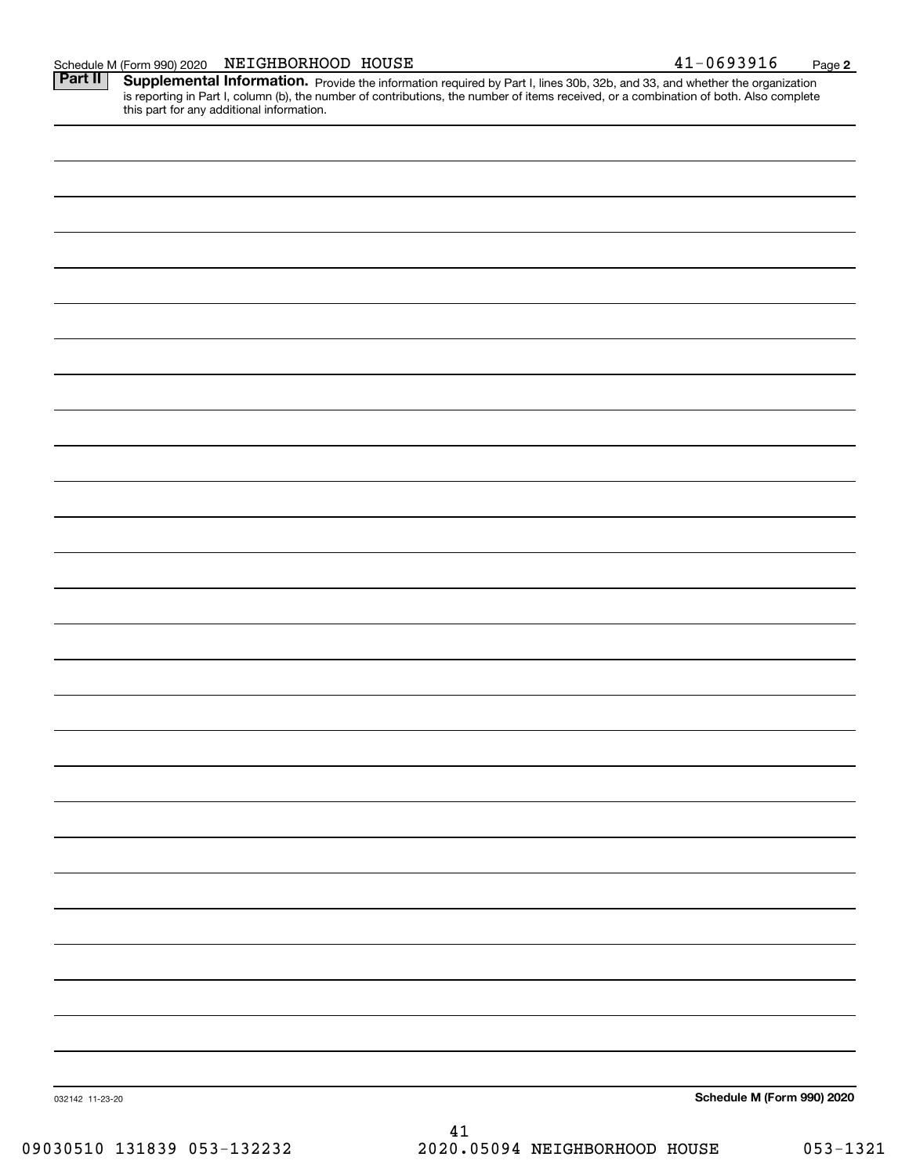**2** Part II | Supplemental Information. Provide the information required by Part I, lines 30b, 32b, and 33, and whether the organization is reporting in Part I, column (b), the number of contributions, the number of items received, or a combination of both. Also complete

| this part for any additional information. |  |                            |  |
|-------------------------------------------|--|----------------------------|--|
|                                           |  |                            |  |
|                                           |  |                            |  |
|                                           |  |                            |  |
|                                           |  |                            |  |
|                                           |  |                            |  |
|                                           |  |                            |  |
|                                           |  |                            |  |
|                                           |  |                            |  |
|                                           |  |                            |  |
|                                           |  |                            |  |
|                                           |  |                            |  |
|                                           |  |                            |  |
|                                           |  |                            |  |
|                                           |  |                            |  |
|                                           |  |                            |  |
|                                           |  |                            |  |
|                                           |  |                            |  |
|                                           |  |                            |  |
|                                           |  |                            |  |
|                                           |  |                            |  |
|                                           |  |                            |  |
|                                           |  |                            |  |
|                                           |  |                            |  |
|                                           |  |                            |  |
|                                           |  |                            |  |
|                                           |  |                            |  |
|                                           |  |                            |  |
|                                           |  |                            |  |
|                                           |  |                            |  |
|                                           |  |                            |  |
|                                           |  |                            |  |
|                                           |  |                            |  |
| 032142 11-23-20                           |  | Schedule M (Form 990) 2020 |  |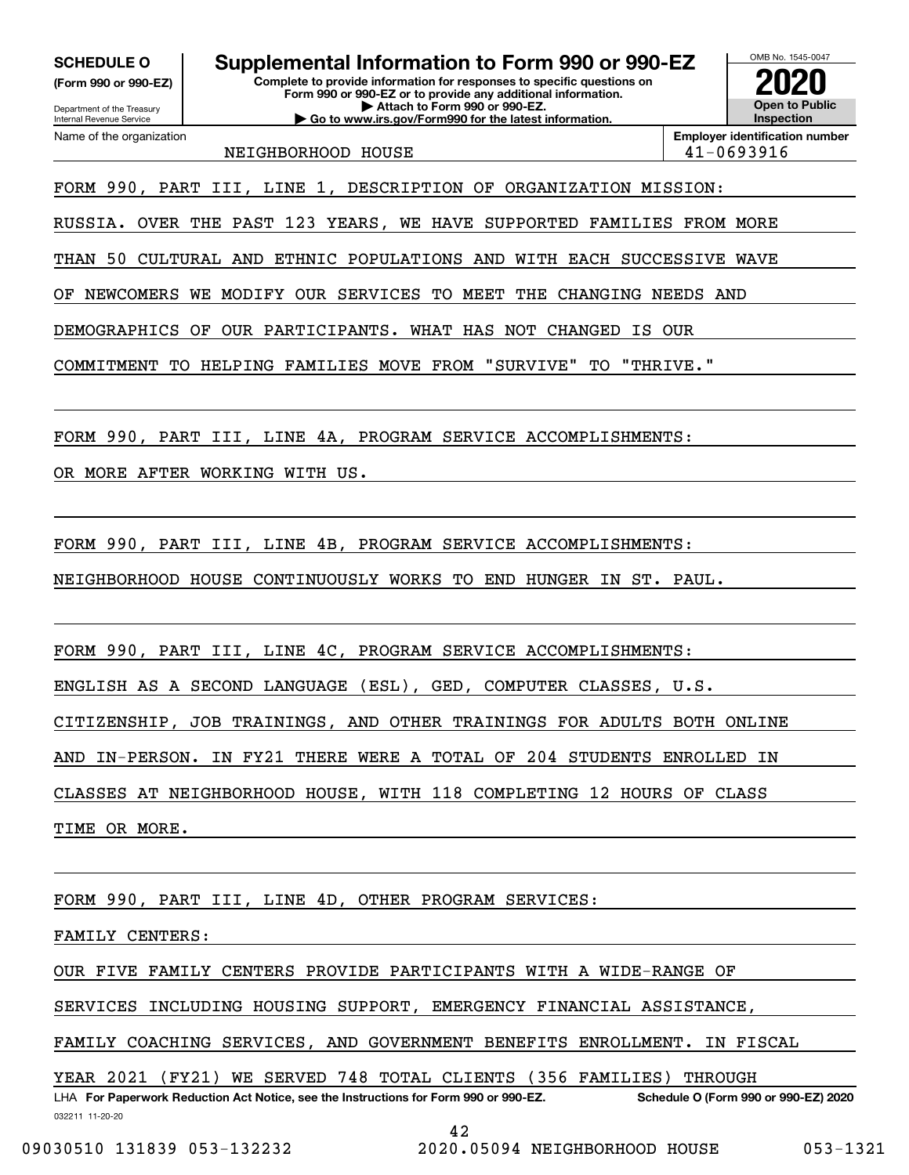**(Form 990 or 990-EZ)**

Department of the Treasury Internal Revenue Service Name of the organization

**Complete to provide information for responses to specific questions on Form 990 or 990-EZ or to provide any additional information. SCHEDULE O Supplemental Information to Form 990 or 990-EZ**

**| Attach to Form 990 or 990-EZ. | Go to www.irs.gov/Form990 for the latest information.**



NEIGHBORHOOD HOUSE  $\vert$  41-0693916

FORM 990, PART III, LINE 1, DESCRIPTION OF ORGANIZATION MISSION:

RUSSIA. OVER THE PAST 123 YEARS, WE HAVE SUPPORTED FAMILIES FROM MORE

THAN 50 CULTURAL AND ETHNIC POPULATIONS AND WITH EACH SUCCESSIVE WAVE

OF NEWCOMERS WE MODIFY OUR SERVICES TO MEET THE CHANGING NEEDS AND

DEMOGRAPHICS OF OUR PARTICIPANTS. WHAT HAS NOT CHANGED IS OUR

COMMITMENT TO HELPING FAMILIES MOVE FROM "SURVIVE" TO "THRIVE."

FORM 990, PART III, LINE 4A, PROGRAM SERVICE ACCOMPLISHMENTS:

OR MORE AFTER WORKING WITH US.

FORM 990, PART III, LINE 4B, PROGRAM SERVICE ACCOMPLISHMENTS:

NEIGHBORHOOD HOUSE CONTINUOUSLY WORKS TO END HUNGER IN ST. PAUL.

FORM 990, PART III, LINE 4C, PROGRAM SERVICE ACCOMPLISHMENTS:

ENGLISH AS A SECOND LANGUAGE (ESL), GED, COMPUTER CLASSES, U.S.

CITIZENSHIP, JOB TRAININGS, AND OTHER TRAININGS FOR ADULTS BOTH ONLINE

AND IN-PERSON. IN FY21 THERE WERE A TOTAL OF 204 STUDENTS ENROLLED IN

CLASSES AT NEIGHBORHOOD HOUSE, WITH 118 COMPLETING 12 HOURS OF CLASS

TIME OR MORE.

FORM 990, PART III, LINE 4D, OTHER PROGRAM SERVICES:

FAMILY CENTERS:

OUR FIVE FAMILY CENTERS PROVIDE PARTICIPANTS WITH A WIDE-RANGE OF

SERVICES INCLUDING HOUSING SUPPORT, EMERGENCY FINANCIAL ASSISTANCE,

FAMILY COACHING SERVICES, AND GOVERNMENT BENEFITS ENROLLMENT. IN FISCAL

YEAR 2021 (FY21) WE SERVED 748 TOTAL CLIENTS (356 FAMILIES) THROUGH

032211 11-20-20 LHA For Paperwork Reduction Act Notice, see the Instructions for Form 990 or 990-EZ. Schedule O (Form 990 or 990-EZ) 2020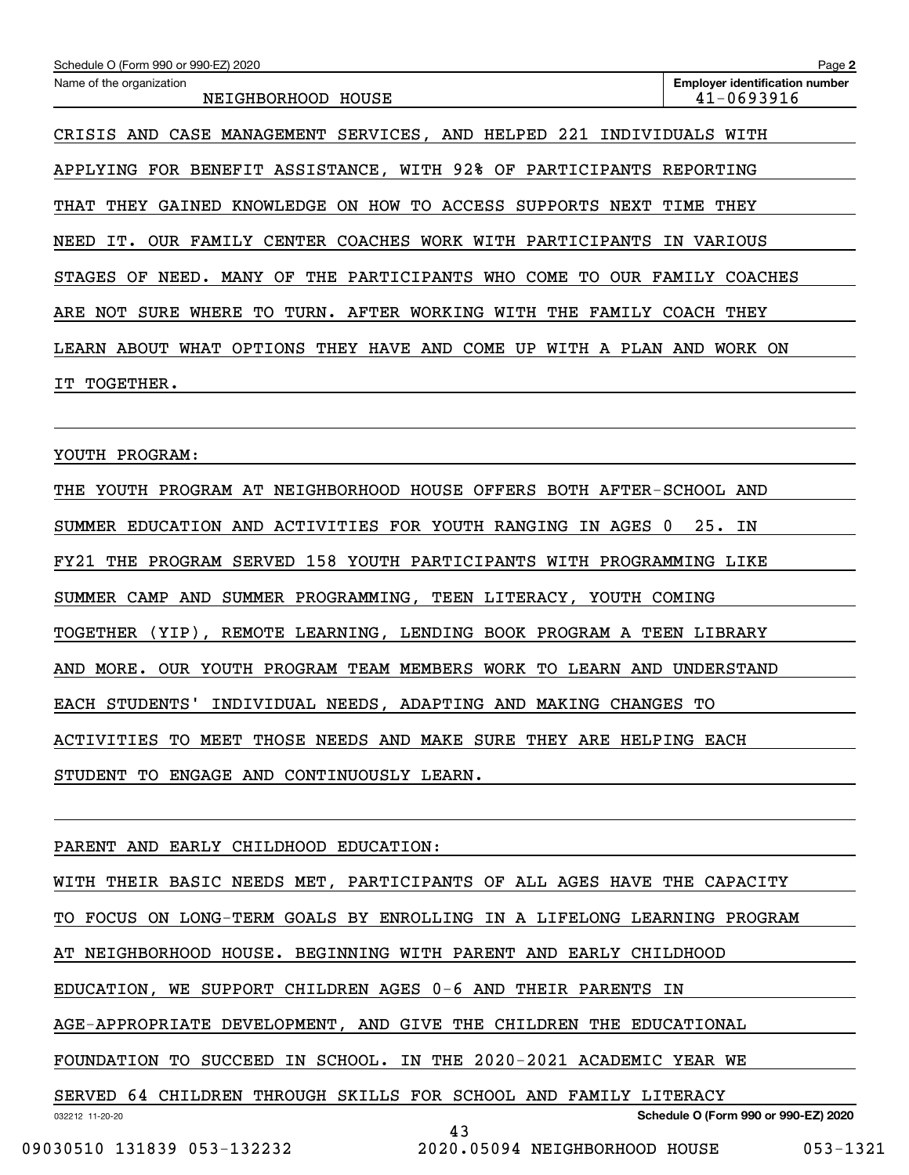| Schedule O (Form 990 or 990-EZ) 2020<br>Page 2                                                        |
|-------------------------------------------------------------------------------------------------------|
| <b>Emplover identification number</b><br>Name of the organization<br>41-0693916<br>NEIGHBORHOOD HOUSE |
| CRISIS AND CASE MANAGEMENT SERVICES, AND HELPED 221<br>INDIVIDUALS WITH                               |
| APPLYING FOR BENEFIT ASSISTANCE, WITH 92% OF PARTICIPANTS REPORTING                                   |
| TO ACCESS SUPPORTS NEXT<br>THAT<br>THEY GAINED KNOWLEDGE ON HOW<br>TIME<br>THEY                       |
| IT. OUR FAMILY CENTER COACHES WORK WITH PARTICIPANTS<br><b>NEED</b><br>IN VARIOUS                     |
| THE PARTICIPANTS WHO COME<br>NEED. MANY OF<br>TО<br>OUR FAMILY COACHES<br>STAGES OF                   |
| TURN. AFTER WORKING WITH THE FAMILY COACH THEY<br>ARE NOT SURE WHERE TO                               |
| WITH A PLAN AND WORK ON<br>LEARN ABOUT WHAT OPTIONS THEY HAVE AND COME UP                             |
| TOGETHER.<br>IТ                                                                                       |
|                                                                                                       |
| YOUTH PROGRAM:                                                                                        |
| YOUTH PROGRAM AT NEIGHBORHOOD HOUSE OFFERS BOTH AFTER-SCHOOL AND<br>THE                               |
| ACTIVITIES FOR YOUTH RANGING IN AGES 0<br>SUMMER EDUCATION AND<br>25.<br>ΙN                           |
| FY21<br>THE PROGRAM SERVED 158 YOUTH PARTICIPANTS WITH PROGRAMMING LIKE                               |
| SUMMER CAMP AND<br>SUMMER PROGRAMMING, TEEN LITERACY, YOUTH COMING                                    |
| TOGETHER<br>$(YIP)$ ,<br>REMOTE LEARNING, LENDING BOOK PROGRAM A TEEN LIBRARY                         |
| AND MORE.<br>OUR YOUTH PROGRAM TEAM MEMBERS WORK TO LEARN AND<br>UNDERSTAND                           |
| EACH STUDENTS' INDIVIDUAL NEEDS, ADAPTING AND MAKING CHANGES TO                                       |
| ACTIVITIES TO MEET THOSE NEEDS AND MAKE SURE THEY ARE HELPING EACH                                    |
| STUDENT TO ENGAGE AND CONTINUOUSLY LEARN.                                                             |
|                                                                                                       |
| PARENT AND EARLY CHILDHOOD EDUCATION:                                                                 |
| WITH THEIR BASIC NEEDS MET, PARTICIPANTS OF ALL AGES HAVE THE CAPACITY                                |
| TO FOCUS ON LONG-TERM GOALS BY ENROLLING IN A LIFELONG LEARNING PROGRAM                               |
| AT NEIGHBORHOOD HOUSE. BEGINNING WITH PARENT AND EARLY CHILDHOOD                                      |

EDUCATION, WE SUPPORT CHILDREN AGES 0-6 AND THEIR PARENTS IN

AGE-APPROPRIATE DEVELOPMENT, AND GIVE THE CHILDREN THE EDUCATIONAL

FOUNDATION TO SUCCEED IN SCHOOL. IN THE 2020-2021 ACADEMIC YEAR WE

SERVED 64 CHILDREN THROUGH SKILLS FOR SCHOOL AND FAMILY LITERACY

43

032212 11-20-20

**Schedule O (Form 990 or 990-EZ) 2020**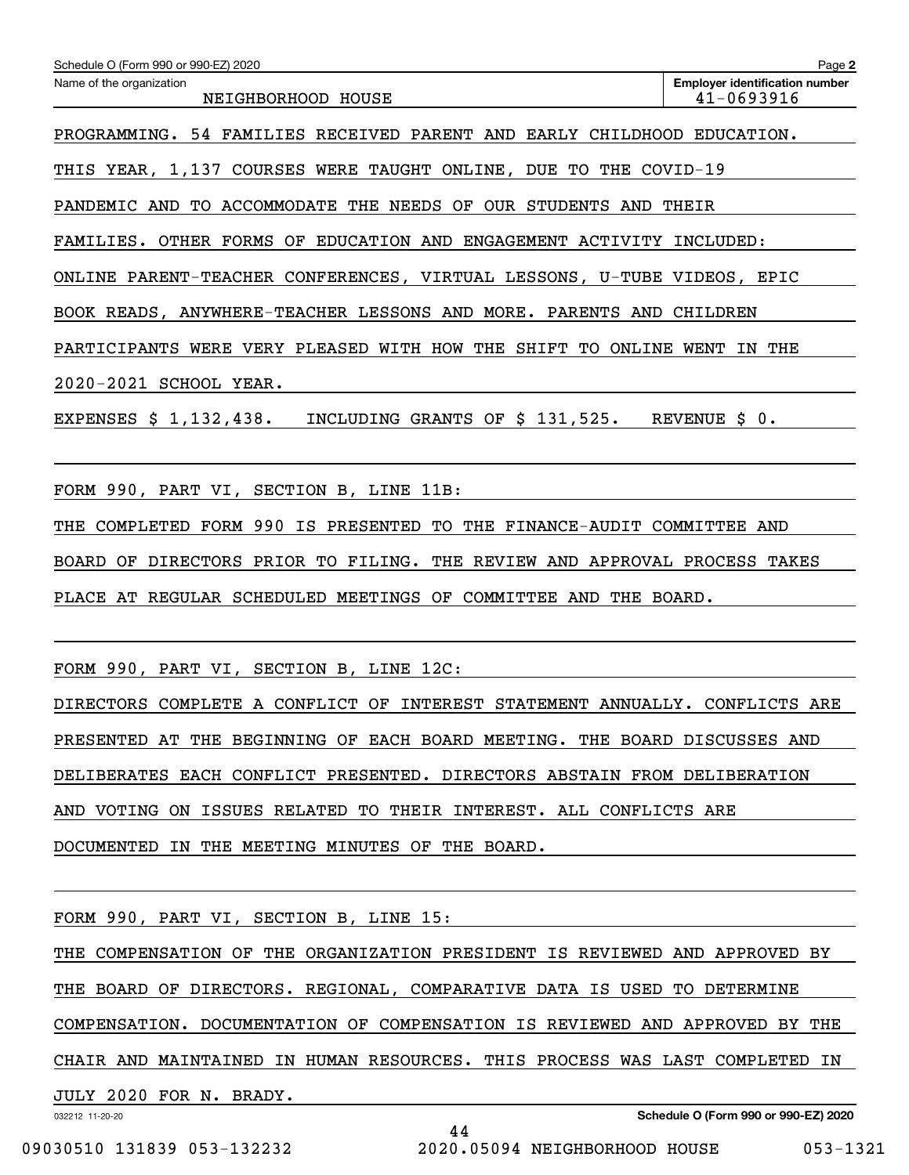| Schedule O (Form 990 or 990-EZ) 2020                                    | Page 2                                |
|-------------------------------------------------------------------------|---------------------------------------|
| Name of the organization                                                | <b>Employer identification number</b> |
| NEIGHBORHOOD HOUSE                                                      | 41-0693916                            |
| PROGRAMMING. 54 FAMILIES RECEIVED PARENT AND EARLY CHILDHOOD EDUCATION. |                                       |
| THIS YEAR, 1,137 COURSES WERE TAUGHT ONLINE, DUE TO THE COVID-19        |                                       |
| TO ACCOMMODATE THE NEEDS OF OUR STUDENTS AND<br>PANDEMIC AND            | THEIR                                 |
| FAMILIES. OTHER FORMS OF EDUCATION AND ENGAGEMENT ACTIVITY              | INCLUDED:                             |
| ONLINE PARENT-TEACHER CONFERENCES, VIRTUAL LESSONS, U-TUBE VIDEOS, EPIC |                                       |
| BOOK READS, ANYWHERE-TEACHER LESSONS AND MORE. PARENTS AND              | CHILDREN                              |
| PARTICIPANTS WERE VERY PLEASED WITH HOW<br>THE<br>SHIFT<br>TО<br>ONLINE | <b>WENT</b><br>IN THE                 |
| 2020-2021 SCHOOL YEAR.                                                  |                                       |
| EXPENSES \$ 1,132,438.<br>INCLUDING GRANTS OF \$131,525.                | REVENUE \$ 0.                         |
|                                                                         |                                       |
| FORM 990, PART VI, SECTION B, LINE 11B:                                 |                                       |

THE COMPLETED FORM 990 IS PRESENTED TO THE FINANCE-AUDIT COMMITTEE AND BOARD OF DIRECTORS PRIOR TO FILING. THE REVIEW AND APPROVAL PROCESS TAKES

PLACE AT REGULAR SCHEDULED MEETINGS OF COMMITTEE AND THE BOARD.

FORM 990, PART VI, SECTION B, LINE 12C:

DIRECTORS COMPLETE A CONFLICT OF INTEREST STATEMENT ANNUALLY. CONFLICTS ARE PRESENTED AT THE BEGINNING OF EACH BOARD MEETING. THE BOARD DISCUSSES AND DELIBERATES EACH CONFLICT PRESENTED. DIRECTORS ABSTAIN FROM DELIBERATION AND VOTING ON ISSUES RELATED TO THEIR INTEREST. ALL CONFLICTS ARE DOCUMENTED IN THE MEETING MINUTES OF THE BOARD.

FORM 990, PART VI, SECTION B, LINE 15:

THE COMPENSATION OF THE ORGANIZATION PRESIDENT IS REVIEWED AND APPROVED BY

THE BOARD OF DIRECTORS. REGIONAL, COMPARATIVE DATA IS USED TO DETERMINE

COMPENSATION. DOCUMENTATION OF COMPENSATION IS REVIEWED AND APPROVED BY THE

CHAIR AND MAINTAINED IN HUMAN RESOURCES. THIS PROCESS WAS LAST COMPLETED IN

44

JULY 2020 FOR N. BRADY.

032212 11-20-20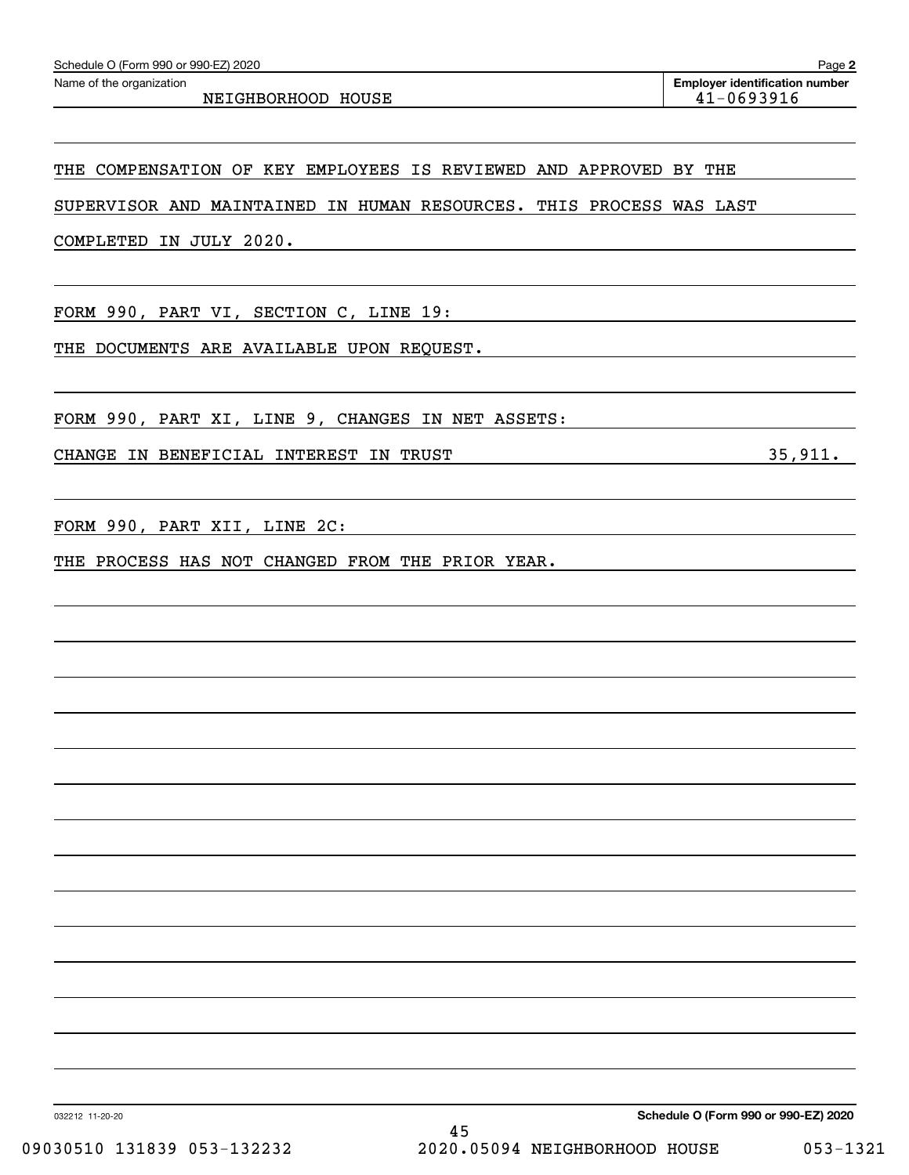| Schedule O (Form 990 or 990-EZ) 2020           | Page $2$                                            |
|------------------------------------------------|-----------------------------------------------------|
| Name of the organization<br>NEIGHBORHOOD HOUSE | <b>Employer identification number</b><br>41-0693916 |
|                                                |                                                     |

THE COMPENSATION OF KEY EMPLOYEES IS REVIEWED AND APPROVED BY THE

SUPERVISOR AND MAINTAINED IN HUMAN RESOURCES. THIS PROCESS WAS LAST

COMPLETED IN JULY 2020.

FORM 990, PART VI, SECTION C, LINE 19:

THE DOCUMENTS ARE AVAILABLE UPON REQUEST.

FORM 990, PART XI, LINE 9, CHANGES IN NET ASSETS:

CHANGE IN BENEFICIAL INTEREST IN TRUST **35,911.** 35,911.

FORM 990, PART XII, LINE 2C:

THE PROCESS HAS NOT CHANGED FROM THE PRIOR YEAR.

**Schedule O (Form 990 or 990-EZ) 2020**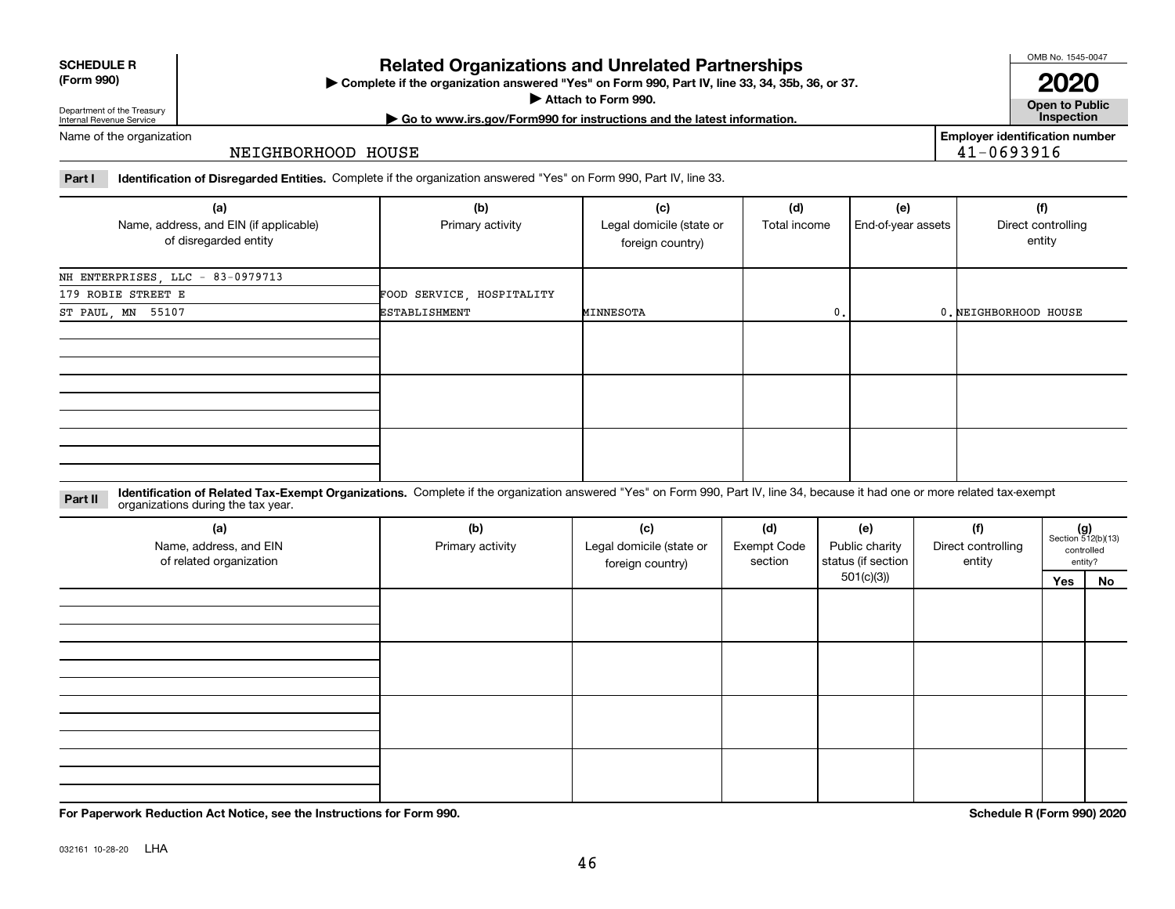| (Form 990) |  |
|------------|--|
|            |  |

**SCHEDULE R**

# **Related Organizations and Unrelated Partnerships**

**Complete if the organization answered "Yes" on Form 990, Part IV, line 33, 34, 35b, 36, or 37.** |

**Attach to Form 990.**  |

OMB No. 1545-0047 **2020**

**Open to Public**

**Employer identification number**

41-0693916

Department of the Treasury Internal Revenue Service

**| Go to www.irs.gov/Form990 for instructions and the latest information. Inspection**

Name of the organization

NEIGHBORHOOD HOUSE

**Part I Identification of Disregarded Entities.**  Complete if the organization answered "Yes" on Form 990, Part IV, line 33.

| (a)<br>Name, address, and EIN (if applicable)<br>of disregarded entity | (b)<br>Primary activity   | (c)<br>Legal domicile (state or<br>foreign country) | (d)<br>Total income | (e)<br>End-of-year assets | (f)<br>Direct controlling<br>entity |
|------------------------------------------------------------------------|---------------------------|-----------------------------------------------------|---------------------|---------------------------|-------------------------------------|
| NH ENTERPRISES, LLC - 83-0979713                                       |                           |                                                     |                     |                           |                                     |
| 179 ROBIE STREET E                                                     | FOOD SERVICE, HOSPITALITY |                                                     |                     |                           |                                     |
| ST PAUL, MN 55107                                                      | <b>ESTABLISHMENT</b>      | MINNESOTA                                           | 0.                  |                           | 0. NEIGHBORHOOD HOUSE               |
|                                                                        |                           |                                                     |                     |                           |                                     |
|                                                                        |                           |                                                     |                     |                           |                                     |
|                                                                        |                           |                                                     |                     |                           |                                     |

**Identification of Related Tax-Exempt Organizations.** Complete if the organization answered "Yes" on Form 990, Part IV, line 34, because it had one or more related tax-exempt **Part II** organizations during the tax year.

| (a)<br>Name, address, and EIN<br>of related organization | (b)<br>Primary activity | (c)<br>Legal domicile (state or<br>foreign country) | (d)<br><b>Exempt Code</b><br>section | (e)<br>Public charity<br>status (if section | (f)<br>Direct controlling<br>entity |     | $(g)$<br>Section 512(b)(13)<br>controlled<br>entity? |
|----------------------------------------------------------|-------------------------|-----------------------------------------------------|--------------------------------------|---------------------------------------------|-------------------------------------|-----|------------------------------------------------------|
|                                                          |                         |                                                     |                                      | 501(c)(3)                                   |                                     | Yes | No                                                   |
|                                                          |                         |                                                     |                                      |                                             |                                     |     |                                                      |
|                                                          |                         |                                                     |                                      |                                             |                                     |     |                                                      |
|                                                          |                         |                                                     |                                      |                                             |                                     |     |                                                      |

**For Paperwork Reduction Act Notice, see the Instructions for Form 990. Schedule R (Form 990) 2020**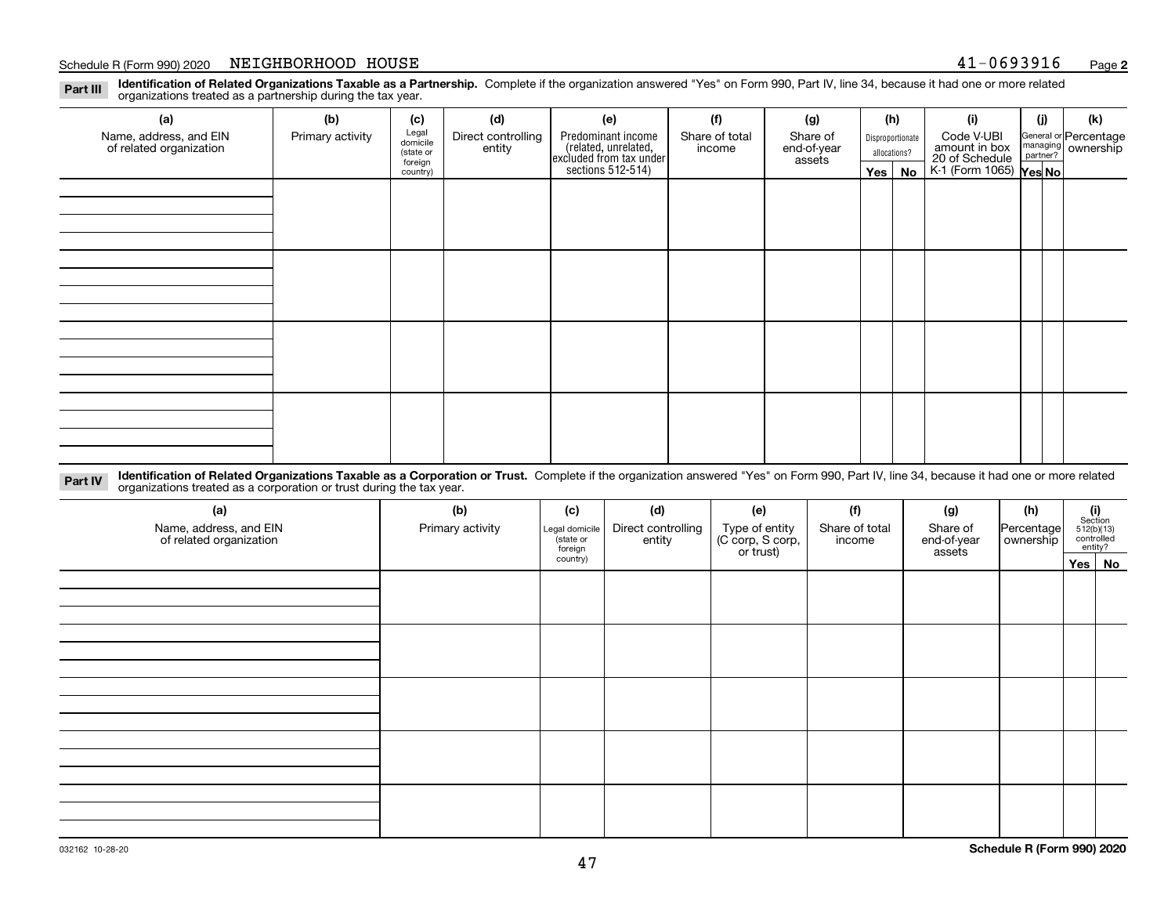#### Schedule R (Form 990) 2020 Page NEIGHBORHOOD HOUSE 41-0693916

**Identification of Related Organizations Taxable as a Partnership.** Complete if the organization answered "Yes" on Form 990, Part IV, line 34, because it had one or more related **Part III** organizations treated as a partnership during the tax year.

| (a)                                               | (b)              | (c)                  | (d)                          | (e)                                                                  | (f)                      | (g)                     |                                  | (h)           | (i)                                                       | (j) | (k)                                                       |
|---------------------------------------------------|------------------|----------------------|------------------------------|----------------------------------------------------------------------|--------------------------|-------------------------|----------------------------------|---------------|-----------------------------------------------------------|-----|-----------------------------------------------------------|
| Name, address, and EIN<br>of related organization | Primary activity | Legal<br>domicile    | Direct controlling<br>entity | Predominant income                                                   | Share of total<br>income | Share of<br>end-of-year | Disproportionate<br>allocations? |               | Code V-UBI                                                |     | General or Percentage<br>managing<br>partner?<br>partner? |
|                                                   |                  | (state or<br>foreign |                              | (related, unrelated,<br>excluded from tax under<br>sections 512-514) |                          | assets                  |                                  |               |                                                           |     |                                                           |
|                                                   |                  | country)             |                              |                                                                      |                          |                         |                                  | $Yes \mid No$ | amount in box<br>20 of Schedule<br>K-1 (Form 1065) Yes No |     |                                                           |
|                                                   |                  |                      |                              |                                                                      |                          |                         |                                  |               |                                                           |     |                                                           |
|                                                   |                  |                      |                              |                                                                      |                          |                         |                                  |               |                                                           |     |                                                           |
|                                                   |                  |                      |                              |                                                                      |                          |                         |                                  |               |                                                           |     |                                                           |
|                                                   |                  |                      |                              |                                                                      |                          |                         |                                  |               |                                                           |     |                                                           |
|                                                   |                  |                      |                              |                                                                      |                          |                         |                                  |               |                                                           |     |                                                           |
|                                                   |                  |                      |                              |                                                                      |                          |                         |                                  |               |                                                           |     |                                                           |
|                                                   |                  |                      |                              |                                                                      |                          |                         |                                  |               |                                                           |     |                                                           |
|                                                   |                  |                      |                              |                                                                      |                          |                         |                                  |               |                                                           |     |                                                           |
|                                                   |                  |                      |                              |                                                                      |                          |                         |                                  |               |                                                           |     |                                                           |
|                                                   |                  |                      |                              |                                                                      |                          |                         |                                  |               |                                                           |     |                                                           |
|                                                   |                  |                      |                              |                                                                      |                          |                         |                                  |               |                                                           |     |                                                           |
|                                                   |                  |                      |                              |                                                                      |                          |                         |                                  |               |                                                           |     |                                                           |
|                                                   |                  |                      |                              |                                                                      |                          |                         |                                  |               |                                                           |     |                                                           |
|                                                   |                  |                      |                              |                                                                      |                          |                         |                                  |               |                                                           |     |                                                           |
|                                                   |                  |                      |                              |                                                                      |                          |                         |                                  |               |                                                           |     |                                                           |
|                                                   |                  |                      |                              |                                                                      |                          |                         |                                  |               |                                                           |     |                                                           |
|                                                   |                  |                      |                              |                                                                      |                          |                         |                                  |               |                                                           |     |                                                           |

**Identification of Related Organizations Taxable as a Corporation or Trust.** Complete if the organization answered "Yes" on Form 990, Part IV, line 34, because it had one or more related **Part IV** organizations treated as a corporation or trust during the tax year.

| (a)<br>Name, address, and EIN<br>of related organization | (b)<br>Primary activity | (c)<br>Legal domicile<br>(state or<br>foreign | (d)<br>Direct controlling<br>entity | (e)<br>Type of entity<br>(C corp, S corp,<br>or trust) | (f)<br>Share of total<br>income | (g)<br>Share of<br>end-of-year<br>assets | (h)<br>Percentage<br>ownership | $\begin{array}{c} \textbf{(i)}\\ \text{Section}\\ 512 \text{(b)} \text{(13)}\\ \text{controlled}\\ \text{entity?} \end{array}$ |
|----------------------------------------------------------|-------------------------|-----------------------------------------------|-------------------------------------|--------------------------------------------------------|---------------------------------|------------------------------------------|--------------------------------|--------------------------------------------------------------------------------------------------------------------------------|
|                                                          |                         | country)                                      |                                     |                                                        |                                 |                                          |                                | Yes No                                                                                                                         |
|                                                          |                         |                                               |                                     |                                                        |                                 |                                          |                                |                                                                                                                                |
|                                                          |                         |                                               |                                     |                                                        |                                 |                                          |                                |                                                                                                                                |
|                                                          |                         |                                               |                                     |                                                        |                                 |                                          |                                |                                                                                                                                |
|                                                          |                         |                                               |                                     |                                                        |                                 |                                          |                                |                                                                                                                                |
|                                                          |                         |                                               |                                     |                                                        |                                 |                                          |                                |                                                                                                                                |
|                                                          |                         |                                               |                                     |                                                        |                                 |                                          |                                |                                                                                                                                |
|                                                          |                         |                                               |                                     |                                                        |                                 |                                          |                                |                                                                                                                                |
|                                                          |                         |                                               |                                     |                                                        |                                 |                                          |                                |                                                                                                                                |
|                                                          |                         |                                               |                                     |                                                        |                                 |                                          |                                |                                                                                                                                |
|                                                          |                         |                                               |                                     |                                                        |                                 |                                          |                                |                                                                                                                                |
|                                                          |                         |                                               |                                     |                                                        |                                 |                                          |                                |                                                                                                                                |
|                                                          |                         |                                               |                                     |                                                        |                                 |                                          |                                |                                                                                                                                |
|                                                          |                         |                                               |                                     |                                                        |                                 |                                          |                                |                                                                                                                                |
|                                                          |                         |                                               |                                     |                                                        |                                 |                                          |                                |                                                                                                                                |
|                                                          |                         |                                               |                                     |                                                        |                                 |                                          |                                |                                                                                                                                |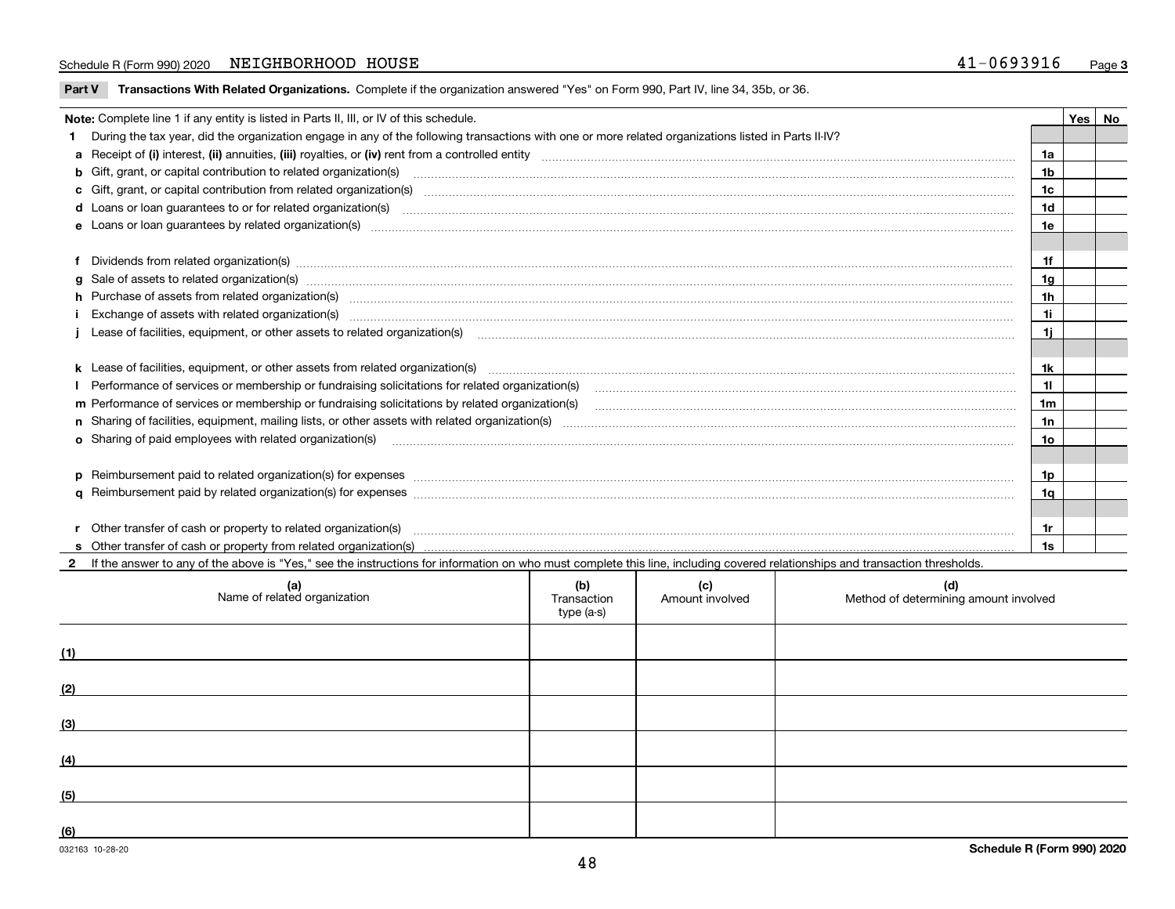### Schedule R (Form 990) 2020 Page NEIGHBORHOOD HOUSE 41-0693916

**Part V** T**ransactions With Related Organizations.** Complete if the organization answered "Yes" on Form 990, Part IV, line 34, 35b, or 36.

| Note: Complete line 1 if any entity is listed in Parts II, III, or IV of this schedule.                                                                                                                                           |                | Yes   No |
|-----------------------------------------------------------------------------------------------------------------------------------------------------------------------------------------------------------------------------------|----------------|----------|
| During the tax year, did the organization engage in any of the following transactions with one or more related organizations listed in Parts II-IV?                                                                               |                |          |
|                                                                                                                                                                                                                                   | 1a             |          |
| b Gift, grant, or capital contribution to related organization(s) mature and contained and contribution to related organization(s) matures are contained and contribution to related organization(s) matures are contained and    | 1 <sub>b</sub> |          |
| c Gift, grant, or capital contribution from related organization(s) manufaction contribution from related organization(s) manufaction contribution from related organization(s) manufaction contribution from related organiza    | 1c             |          |
|                                                                                                                                                                                                                                   | 1 <sub>d</sub> |          |
| e Loans or loan guarantees by related organization(s) encourance manufactured contract to construct the contract of the construction of the constraint of the constraint of the constraint of the constraint of the constraint    | 1e             |          |
|                                                                                                                                                                                                                                   |                |          |
| f Dividends from related organization(s) manufactured contains and contained a state of the contact of the contact of the contact of the contact of the contact of the contact of the contact of the contact of the contact of    | 1f             |          |
| g Sale of assets to related organization(s) www.assettion.com/www.assettion.com/www.assettion.com/www.assettion.com/www.assettion.com/www.assettion.com/www.assettion.com/www.assettion.com/www.assettion.com/www.assettion.co    | 1 <sub>g</sub> |          |
| h Purchase of assets from related organization(s) www.assettion.com/www.assettion.com/www.assettion.com/www.assettion.com/www.assettion.com/www.assettion.com/www.assettion.com/www.assettion.com/www.assettion.com/www.assett    | 1 <sub>h</sub> |          |
|                                                                                                                                                                                                                                   | 11             |          |
|                                                                                                                                                                                                                                   | 11             |          |
|                                                                                                                                                                                                                                   |                |          |
|                                                                                                                                                                                                                                   | 1k             |          |
|                                                                                                                                                                                                                                   | 11             |          |
|                                                                                                                                                                                                                                   | 1 <sub>m</sub> |          |
|                                                                                                                                                                                                                                   | 1n             |          |
| <b>o</b> Sharing of paid employees with related organization(s)                                                                                                                                                                   | 1o             |          |
|                                                                                                                                                                                                                                   |                |          |
| p Reimbursement paid to related organization(s) for expenses [11111] [12] reasonal content of the separation (s) for expenses [11111] [12] reasonal content in the separation (s) for expenses [1111] [12] reasonal content in    | 1p             |          |
|                                                                                                                                                                                                                                   | 1q             |          |
|                                                                                                                                                                                                                                   |                |          |
| r Other transfer of cash or property to related organization(s)                                                                                                                                                                   | 1r             |          |
| r Other transfer of cash or property to related organization(s) www.community.com/www.community.com/www.communi<br>S Other transfer of cash or property from related organization(s) www.community.community.community.community. | 1s             |          |
| 2 If the answer to any of the above is "Yes," see the instructions for information on who must complete this line, including covered relationships and transaction thresholds.                                                    |                |          |

| (a)<br>Name of related organization | (b)<br>Transaction<br>type (a-s) | (c)<br>Amount involved | (d)<br>Method of determining amount involved |
|-------------------------------------|----------------------------------|------------------------|----------------------------------------------|
| (1)                                 |                                  |                        |                                              |
| (2)                                 |                                  |                        |                                              |
| (3)                                 |                                  |                        |                                              |
| (4)                                 |                                  |                        |                                              |
| (5)                                 |                                  |                        |                                              |
| (6)                                 |                                  |                        |                                              |

 $\overline{\phantom{a}}$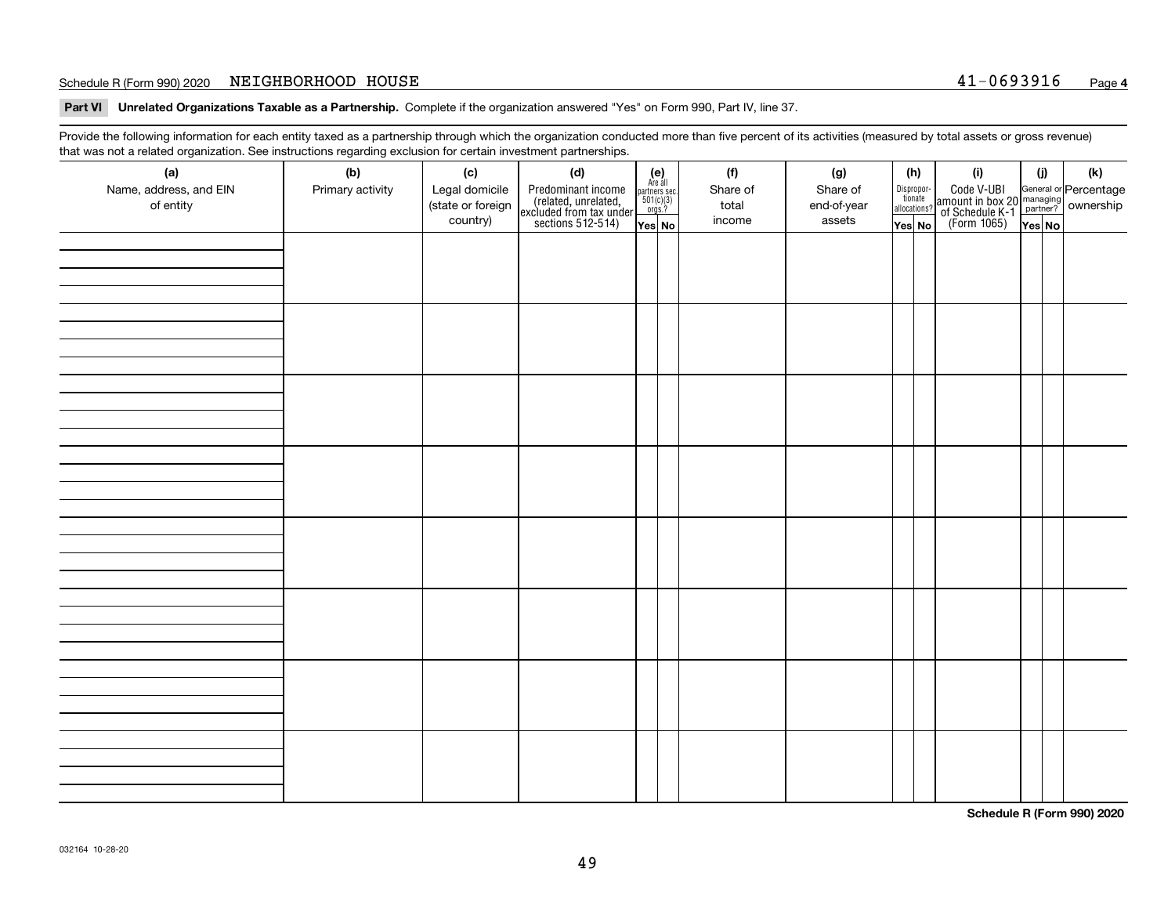## Schedule R (Form 990) 2020 Page NEIGHBORHOOD HOUSE 41-0693916

**Part VI Unrelated Organizations Taxable as a Partnership. Complete if the organization answered "Yes" on Form 990, Part IV, line 37.** 

Provide the following information for each entity taxed as a partnership through which the organization conducted more than five percent of its activities (measured by total assets or gross revenue) that was not a related organization. See instructions regarding exclusion for certain investment partnerships.

| ັ                      | ັ<br>ັ           |                   |                                                                                            |                                                                                               |          |             |                                  |                                                                                                  |        |  |     |
|------------------------|------------------|-------------------|--------------------------------------------------------------------------------------------|-----------------------------------------------------------------------------------------------|----------|-------------|----------------------------------|--------------------------------------------------------------------------------------------------|--------|--|-----|
| (a)                    | (b)              | (c)               | (d)                                                                                        | $(e)$<br>Are all                                                                              | (f)      | (g)         | (h)                              | (i)                                                                                              | (i)    |  | (k) |
| Name, address, and EIN | Primary activity | Legal domicile    | Predominant income<br>(related, unrelated,<br>excluded from tax under<br>sections 512-514) |                                                                                               | Share of | Share of    | Disproportionate<br>allocations? | Code V-UBI<br>amount in box 20 managing<br>of Schedule K-1<br>(Form 1065)<br>$\overline{Yes}$ No |        |  |     |
| of entity              |                  | (state or foreign |                                                                                            | $\begin{array}{c}\n\text{partners} & \text{sec.} \\ 501(c)(3) & \text{orgs.?} \\ \end{array}$ | total    | end-of-year |                                  |                                                                                                  |        |  |     |
|                        |                  | country)          |                                                                                            |                                                                                               | income   | assets      |                                  |                                                                                                  |        |  |     |
|                        |                  |                   |                                                                                            | Yes No                                                                                        |          |             | Yes No                           |                                                                                                  | Yes No |  |     |
|                        |                  |                   |                                                                                            |                                                                                               |          |             |                                  |                                                                                                  |        |  |     |
|                        |                  |                   |                                                                                            |                                                                                               |          |             |                                  |                                                                                                  |        |  |     |
|                        |                  |                   |                                                                                            |                                                                                               |          |             |                                  |                                                                                                  |        |  |     |
|                        |                  |                   |                                                                                            |                                                                                               |          |             |                                  |                                                                                                  |        |  |     |
|                        |                  |                   |                                                                                            |                                                                                               |          |             |                                  |                                                                                                  |        |  |     |
|                        |                  |                   |                                                                                            |                                                                                               |          |             |                                  |                                                                                                  |        |  |     |
|                        |                  |                   |                                                                                            |                                                                                               |          |             |                                  |                                                                                                  |        |  |     |
|                        |                  |                   |                                                                                            |                                                                                               |          |             |                                  |                                                                                                  |        |  |     |
|                        |                  |                   |                                                                                            |                                                                                               |          |             |                                  |                                                                                                  |        |  |     |
|                        |                  |                   |                                                                                            |                                                                                               |          |             |                                  |                                                                                                  |        |  |     |
|                        |                  |                   |                                                                                            |                                                                                               |          |             |                                  |                                                                                                  |        |  |     |
|                        |                  |                   |                                                                                            |                                                                                               |          |             |                                  |                                                                                                  |        |  |     |
|                        |                  |                   |                                                                                            |                                                                                               |          |             |                                  |                                                                                                  |        |  |     |
|                        |                  |                   |                                                                                            |                                                                                               |          |             |                                  |                                                                                                  |        |  |     |
|                        |                  |                   |                                                                                            |                                                                                               |          |             |                                  |                                                                                                  |        |  |     |
|                        |                  |                   |                                                                                            |                                                                                               |          |             |                                  |                                                                                                  |        |  |     |
|                        |                  |                   |                                                                                            |                                                                                               |          |             |                                  |                                                                                                  |        |  |     |
|                        |                  |                   |                                                                                            |                                                                                               |          |             |                                  |                                                                                                  |        |  |     |
|                        |                  |                   |                                                                                            |                                                                                               |          |             |                                  |                                                                                                  |        |  |     |
|                        |                  |                   |                                                                                            |                                                                                               |          |             |                                  |                                                                                                  |        |  |     |
|                        |                  |                   |                                                                                            |                                                                                               |          |             |                                  |                                                                                                  |        |  |     |
|                        |                  |                   |                                                                                            |                                                                                               |          |             |                                  |                                                                                                  |        |  |     |
|                        |                  |                   |                                                                                            |                                                                                               |          |             |                                  |                                                                                                  |        |  |     |
|                        |                  |                   |                                                                                            |                                                                                               |          |             |                                  |                                                                                                  |        |  |     |
|                        |                  |                   |                                                                                            |                                                                                               |          |             |                                  |                                                                                                  |        |  |     |
|                        |                  |                   |                                                                                            |                                                                                               |          |             |                                  |                                                                                                  |        |  |     |
|                        |                  |                   |                                                                                            |                                                                                               |          |             |                                  |                                                                                                  |        |  |     |
|                        |                  |                   |                                                                                            |                                                                                               |          |             |                                  |                                                                                                  |        |  |     |
|                        |                  |                   |                                                                                            |                                                                                               |          |             |                                  |                                                                                                  |        |  |     |
|                        |                  |                   |                                                                                            |                                                                                               |          |             |                                  |                                                                                                  |        |  |     |
|                        |                  |                   |                                                                                            |                                                                                               |          |             |                                  |                                                                                                  |        |  |     |
|                        |                  |                   |                                                                                            |                                                                                               |          |             |                                  |                                                                                                  |        |  |     |
|                        |                  |                   |                                                                                            |                                                                                               |          |             |                                  |                                                                                                  |        |  |     |
|                        |                  |                   |                                                                                            |                                                                                               |          |             |                                  |                                                                                                  |        |  |     |
|                        |                  |                   |                                                                                            |                                                                                               |          |             |                                  |                                                                                                  |        |  |     |
|                        |                  |                   |                                                                                            |                                                                                               |          |             |                                  |                                                                                                  |        |  |     |
|                        |                  |                   |                                                                                            |                                                                                               |          |             |                                  |                                                                                                  |        |  |     |
|                        |                  |                   |                                                                                            |                                                                                               |          |             |                                  |                                                                                                  |        |  |     |
|                        |                  |                   |                                                                                            |                                                                                               |          |             |                                  |                                                                                                  |        |  |     |
|                        |                  |                   |                                                                                            |                                                                                               |          |             |                                  |                                                                                                  |        |  |     |
|                        |                  |                   |                                                                                            |                                                                                               |          |             |                                  |                                                                                                  |        |  |     |
|                        |                  |                   |                                                                                            |                                                                                               |          |             |                                  |                                                                                                  |        |  |     |
|                        |                  |                   |                                                                                            |                                                                                               |          |             |                                  |                                                                                                  |        |  |     |

**Schedule R (Form 990) 2020**